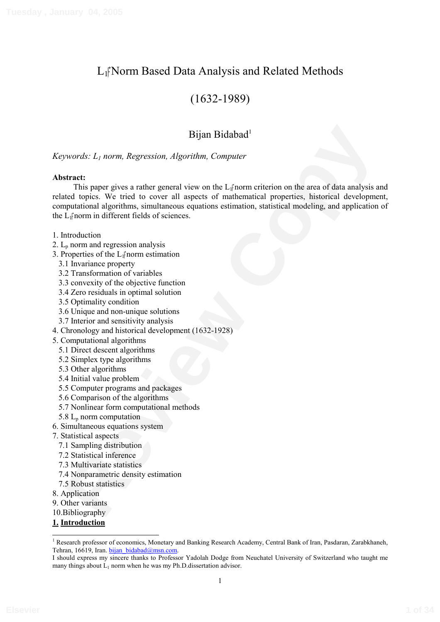# L<sub>I</sub><sup>N</sup>orm Based Data Analysis and Related Methods

# (1632-1989)

# Bijan Bidabad<sup>1</sup>

# *Keywords: L1 norm, Regression, Algorithm, Computer*

## **Abstract:**

**Bijan Bidabad**<br> **Review Control Control Control Control Control Control Control Control Control Control Control Control Control Control Control Control Control Control Control Control Control Control Control Control Contr** This paper gives a rather general view on the  $L_1$  norm criterion on the area of data analysis and related topics. We tried to cover all aspects of mathematical properties, historical development, computational algorithms, simultaneous equations estimation, statistical modeling, and application of the  $L_1$ <sup> $\uparrow$ </sup> norm in different fields of sciences.

- 1. Introduction
- 2.  $L_p$  norm and regression analysis
- 3. Properties of the  $L_1$ <sup> $\uparrow$ </sup> norm estimation
	- 3.1 Invariance property
	- 3.2 Transformation of variables
	- 3.3 convexity of the objective function
	- 3.4 Zero residuals in optimal solution
	- 3.5 Optimality condition
	- 3.6 Unique and non-unique solutions
	- 3.7 Interior and sensitivity analysis
- 4. Chronology and historical development (1632-1928)
- 5. Computational algorithms
	- 5.1 Direct descent algorithms
	- 5.2 Simplex type algorithms
	- 5.3 Other algorithms
	- 5.4 Initial value problem
	- 5.5 Computer programs and packages
	- 5.6 Comparison of the algorithms
	- 5.7 Nonlinear form computational methods
	- 5.8  $L_p$  norm computation
- 6. Simultaneous equations system
- 7. Statistical aspects
	- 7.1 Sampling distribution
	- 7.2 Statistical inference
	- 7.3 Multivariate statistics
	- 7.4 Nonparametric density estimation
	- 7.5 Robust statistics
- 8. Application
- 9. Other variants
- 10.Bibliography
- **1. Introduction**

<sup>&</sup>lt;sup>1</sup> Research professor of economics, Monetary and Banking Research Academy, Central Bank of Iran, Pasdaran, Zarabkhaneh, Tehran, 16619, Iran. bijan bidabad@msn.com.

I should express my sincere thanks to Professor Yadolah Dodge from Neuchatel University of Switzerland who taught me many things about  $L_1$  norm when he was my Ph.D. dissertation advisor.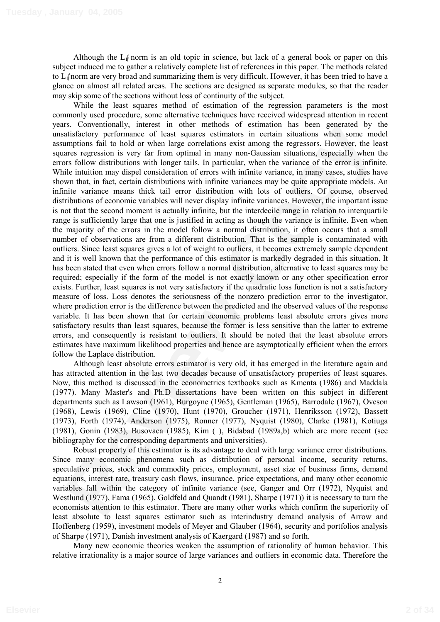Although the  $L_1$ <sup> $\uparrow$ </sup> norm is an old topic in science, but lack of a general book or paper on this subject induced me to gather a relatively complete list of references in this paper. The methods related to L1 norm are very broad and summarizing them is very difficult. However, it has been tried to have a glance on almost all related areas. The sections are designed as separate modules, so that the reader may skip some of the sections without loss of continuity of the subject.

is. Concurated in the other hare and outer incomes o' casuation in as been galaceased of units,<br>antishationy performance of least squares estimators in eratin situations when same product<br>antishationy performance of least While the least squares method of estimation of the regression parameters is the most commonly used procedure, some alternative techniques have received widespread attention in recent years. Conventionally, interest in other methods of estimation has been generated by the unsatisfactory performance of least squares estimators in certain situations when some model assumptions fail to hold or when large correlations exist among the regressors. However, the least squares regression is very far from optimal in many non-Gaussian situations, especially when the errors follow distributions with longer tails. In particular, when the variance of the error is infinite. While intuition may dispel consideration of errors with infinite variance, in many cases, studies have shown that, in fact, certain distributions with infinite variances may be quite appropriate models. An infinite variance means thick tail error distribution with lots of outliers. Of course, observed distributions of economic variables will never display infinite variances. However, the important issue is not that the second moment is actually infinite, but the interdecile range in relation to interquartile range is sufficiently large that one is justified in acting as though the variance is infinite. Even when the majority of the errors in the model follow a normal distribution, it often occurs that a small number of observations are from a different distribution. That is the sample is contaminated with outliers. Since least squares gives a lot of weight to outliers, it becomes extremely sample dependent and it is well known that the performance of this estimator is markedly degraded in this situation. It has been stated that even when errors follow a normal distribution, alternative to least squares may be required; especially if the form of the model is not exactly known or any other specification error exists. Further, least squares is not very satisfactory if the quadratic loss function is not a satisfactory measure of loss. Loss denotes the seriousness of the nonzero prediction error to the investigator, where prediction error is the difference between the predicted and the observed values of the response variable. It has been shown that for certain economic problems least absolute errors gives more satisfactory results than least squares, because the former is less sensitive than the latter to extreme errors, and consequently is resistant to outliers. It should be noted that the least absolute errors estimates have maximum likelihood properties and hence are asymptotically efficient when the errors follow the Laplace distribution.

Although least absolute errors estimator is very old, it has emerged in the literature again and has attracted attention in the last two decades because of unsatisfactory properties of least squares. Now, this method is discussed in the econometrics textbooks such as Kmenta (1986) and Maddala (1977). Many Master's and Ph.D dissertations have been written on this subject in different departments such as Lawson (1961), Burgoyne (1965), Gentleman (1965), Barrodale (1967), Oveson (1968), Lewis (1969), Cline (1970), Hunt (1970), Groucher (1971), Henriksson (1972), Bassett (1973), Forth (1974), Anderson (1975), Ronner (1977), Nyquist (1980), Clarke (1981), Kotiuga (1981), Gonin (1983), Busovaca (1985), Kim ( ), Bidabad (1989a,b) which are more recent (see bibliography for the corresponding departments and universities).

Robust property of this estimator is its advantage to deal with large variance error distributions. Since many economic phenomena such as distribution of personal income, security returns, speculative prices, stock and commodity prices, employment, asset size of business firms, demand equations, interest rate, treasury cash flows, insurance, price expectations, and many other economic variables fall within the category of infinite variance (see, Ganger and Orr (1972), Nyquist and Westlund (1977), Fama (1965), Goldfeld and Quandt (1981), Sharpe (1971)) it is necessary to turn the economists attention to this estimator. There are many other works which confirm the superiority of least absolute to least squares estimator such as interindustry demand analysis of Arrow and Hoffenberg (1959), investment models of Meyer and Glauber (1964), security and portfolios analysis of Sharpe (1971), Danish investment analysis of Kaergard (1987) and so forth.

Many new economic theories weaken the assumption of rationality of human behavior. This relative irrationality is a major source of large variances and outliers in economic data. Therefore the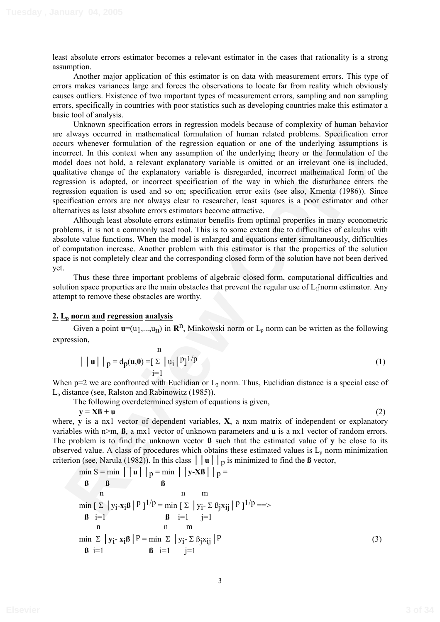least absolute errors estimator becomes a relevant estimator in the cases that rationality is a strong assumption.

Another major application of this estimator is on data with measurement errors. This type of errors makes variances large and forces the observations to locate far from reality which obviously causes outliers. Existence of two important types of measurement errors, sampling and non sampling errors, specifically in countries with poor statistics such as developing countries make this estimator a basic tool of analysis.

**CONSERVANCE CONSERVATION** IN EXERCUTION THE CONSERVATION (THE REVIEW TO THE TRANSFORMATION CONSERVANCE TO THE CONSERVATION (THE REVIEW SOMETHEAP OF THE UNITED THE CONSERVATION CONSERVATION (THE CONSERVATION CONSERVATION Unknown specification errors in regression models because of complexity of human behavior are always occurred in mathematical formulation of human related problems. Specification error occurs whenever formulation of the regression equation or one of the underlying assumptions is incorrect. In this context when any assumption of the underlying theory or the formulation of the model does not hold, a relevant explanatory variable is omitted or an irrelevant one is included, qualitative change of the explanatory variable is disregarded, incorrect mathematical form of the regression is adopted, or incorrect specification of the way in which the disturbance enters the regression equation is used and so on; specification error exits (see also, Kmenta (1986)). Since specification errors are not always clear to researcher, least squares is a poor estimator and other alternatives as least absolute errors estimators become attractive.

Although least absolute errors estimator benefits from optimal properties in many econometric problems, it is not a commonly used tool. This is to some extent due to difficulties of calculus with absolute value functions. When the model is enlarged and equations enter simultaneously, difficulties of computation increase. Another problem with this estimator is that the properties of the solution space is not completely clear and the corresponding closed form of the solution have not been derived yet.

Thus these three important problems of algebraic closed form, computational difficulties and solution space properties are the main obstacles that prevent the regular use of  $L_1$  norm estimator. Any attempt to remove these obstacles are worthy.

### **2. Lp norm and regression analysis**

Given a point  $\mathbf{u}=(u_1,...,u_n)$  in  $\mathbf{R}^n$ , Minkowski norm or  $L_p$  norm can be written as the following expression,

$$
|\mid \mathbf{u} \mid \mid p = d_p(\mathbf{u}, \mathbf{0}) = [\sum_{i=1}^{n} |u_i|^{p}]^{1/p}
$$
\n(1)

When  $p=2$  we are confronted with Euclidian or  $L_2$  norm. Thus, Euclidian distance is a special case of  $L<sub>p</sub>$  distance (see, Ralston and Rabinowitz (1985)).

The following overdetermined system of equations is given,

 $y = \mathbf{X}\mathbf{B} + \mathbf{u}$  (2)

where, **y** is a nx1 vector of dependent variables, **X**, a nxm matrix of independent or explanatory variables with n>m, **ß**, a mx1 vector of unknown parameters and **u** is a nx1 vector of random errors. The problem is to find the unknown vector **ß** such that the estimated value of **y** be close to its observed value. A class of procedures which obtains these estimated values is  $L<sub>p</sub>$  norm minimization criterion (see, Narula (1982)). In this class  $||\mathbf{u}||\mathbf{p}$  is minimized to find the **ß** vector,

$$
\min S = \min |\mathbf{u}| |\mathbf{p} = \min |\mathbf{y} \cdot \mathbf{X}\mathbf{B}| |\mathbf{p} =
$$
\n
$$
\mathbf{B} \qquad \mathbf{B} \qquad \mathbf{B}
$$
\n
$$
\min \left[ \sum |\mathbf{y}_i - \mathbf{x}_i\mathbf{B}|^p \right]^{1/p} = \min \left[ \sum |\mathbf{y}_i - \sum \mathbf{B}_j \mathbf{x}_{ij}|^p \right]^{1/p} =\n \n\mathbf{B} \quad \text{i=1} \qquad \mathbf{B} \quad \text{i=1} \qquad \text{j=1} \qquad \text{n} \qquad \text{m} \qquad \text{m} \qquad \text{m} \qquad \text{m} \qquad \text{n} \qquad \text{m} \qquad \text{n} \qquad \text{n} \qquad \text{n} \qquad \text{n} \qquad \text{n} \qquad \text{n} \qquad \text{n} \qquad \text{n} \qquad \text{n} \qquad \text{n} \qquad \text{n} \qquad \text{n} \qquad \text{n} \qquad \text{n} \qquad \text{n} \qquad \text{n} \qquad \text{n} \qquad \text{n} \qquad \text{n} \qquad \text{n} \qquad \text{n} \qquad \text{n} \qquad \text{n} \qquad \text{n} \qquad \text{n} \qquad \text{n} \qquad \text{n} \qquad \text{n} \qquad \text{n} \qquad \text{n} \qquad \text{n} \qquad \text{n} \qquad \text{n} \qquad \text{n} \qquad \text{n} \qquad \text{n} \qquad \text{n} \qquad \text{n} \qquad \text{n} \qquad \text{n} \qquad \text{n} \qquad \text{n} \qquad \text{n} \qquad \text{n} \qquad \text{n} \qquad \text{n} \qquad \text{n} \qquad \text{n} \qquad \text{n} \qquad \text{n} \qquad \text{n} \qquad \text{n} \qquad \text{n} \qquad \text{n} \qquad \text{n} \qquad \text{n} \qquad \text{n} \qquad \text{n} \qquad \text{n} \qquad \text{n} \qquad \text{n} \qquad \text{n} \qquad \text{n} \qquad \text{n} \qquad \text{n} \qquad \text{n} \qquad \text{n} \qquad \text{n} \qquad \text{n} \qquad \text{n} \qquad \
$$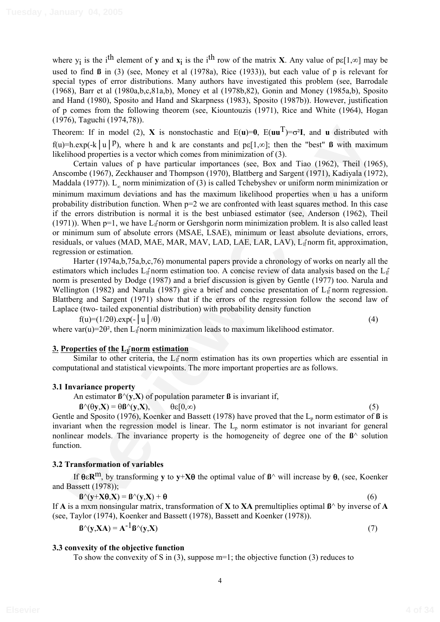where  $y_i$  is the i<sup>th</sup> element of **y** and  $x_i$  is the i<sup>th</sup> row of the matrix **X**. Any value of  $p\epsilon[1,\infty]$  may be used to find **ß** in (3) (see, Money et al (1978a), Rice (1933)), but each value of p is relevant for special types of error distributions. Many authors have investigated this problem (see, Barrodale (1968), Barr et al (1980a,b,c,81a,b), Money et al (1978b,82), Gonin and Money (1985a,b), Sposito and Hand (1980), Sposito and Hand and Skarpness (1983), Sposito (1987b)). However, justification of p comes from the following theorem (see, Kiountouzis (1971), Rice and White (1964), Hogan (1976), Taguchi (1974,78)).

Theorem: If in model (2), **X** is nonstochastic and  $E(\mathbf{u})=0$ ,  $E(\mathbf{u}\mathbf{u}^T)=\sigma^2\mathbf{I}$ , and **u** distributed with  $f(u)=h.\exp(-k|u|)^p$ , where h and k are constants and  $p\in[1,\infty]$ ; then the "best" **ß** with maximum likelihood properties is a vector which comes from minimization of (3).

corem: If in model (2), **X** is nonstochastic and  $E(u)=0$ ,  $E(uu^{-1})=e^u t$ , and **u** distributed with<br>this<br>copying [u] P), where h and k are constants and papi  $x(z)$ ; then the "best" **B** with maximum<br>Cordinary and papi  $x(z)$ . Certain values of p have particular importances (see, Box and Tiao (1962), Theil (1965), Anscombe (1967), Zeckhauser and Thompson (1970), Blattberg and Sargent (1971), Kadiyala (1972), Maddala (1977)).  $L_{n}$  norm minimization of (3) is called Tchebyshev or uniform norm minimization or minimum maximum deviations and has the maximum likelihood properties when u has a uniform probability distribution function. When p=2 we are confronted with least squares method. In this case if the errors distribution is normal it is the best unbiased estimator (see, Anderson (1962), Theil (1971)). When  $p=1$ , we have  $L_1$  norm or Gershgorin norm minimization problem. It is also called least or minimum sum of absolute errors (MSAE, LSAE), minimum or least absolute deviations, errors, residuals, or values (MAD, MAE, MAR, MAV, LAD, LAE, LAR, LAV), L<sub>i</sub><sup>t</sup>norm fit, approximation, regression or estimation.

Harter (1974a,b,75a,b,c,76) monumental papers provide a chronology of works on nearly all the estimators which includes  $L_1$  norm estimation too. A concise review of data analysis based on the  $L_1$  $\overline{\phantom{a}}$ norm is presented by Dodge (1987) and a brief discussion is given by Gentle (1977) too. Narula and Wellington (1982) and Narula (1987) give a brief and concise presentation of  $L_f$  norm regression. Blattberg and Sargent (1971) show that if the errors of the regression follow the second law of Laplace (two- tailed exponential distribution) with probability density function

 $f(u)=(1/2\theta) \exp(-\left|u\right|/\theta)$  (4)

where var(u)= $2\theta^2$ , then L<sub>I</sub><sup> $\uparrow$ </sup>norm minimization leads to maximum likelihood estimator.

## **3. Properties of the L1# #norm estimation**

Similar to other criteria, the  $L_1$  norm estimation has its own properties which are essential in computational and statistical viewpoints. The more important properties are as follows.

### **3.1 Invariance property**

An estimator  $\mathbf{B}^{\wedge}(\mathbf{y}, \mathbf{X})$  of population parameter **ß** is invariant if,

 $\mathbf{B}^{\wedge}(\mathbf{\theta y}, \mathbf{X}) = \mathbf{\theta B}^{\wedge}(\mathbf{y}, \mathbf{X}), \qquad \mathbf{\theta \varepsilon}[0, \infty)$  $[0,\infty)$  (5)

Gentle and Sposito (1976), Koenker and Bassett (1978) have proved that the  $L_p$  norm estimator of **ß** is invariant when the regression model is linear. The  $L<sub>p</sub>$  norm estimator is not invariant for general nonlinear models. The invariance property is the homogeneity of degree one of the **ß**^ solution function.

## **3.2 Transformation of variables**

If  $\theta \in \mathbb{R}^m$ , by transforming **y** to **y**+**X** $\theta$  the optimal value of  $\beta$ <sup> $\land$ </sup> will increase by  $\theta$ , (see, Koenker and Bassett (1978));

$$
\mathbf{B}^{\wedge}(\mathbf{y}+\mathbf{X}\mathbf{\theta},\mathbf{X}) = \mathbf{B}^{\wedge}(\mathbf{y},\mathbf{X}) + \mathbf{\theta} \tag{6}
$$

If **A** is a mxm nonsingular matrix, transformation of **X** to **XA** premultiplies optimal **ß**^ by inverse of **A** (see, Taylor (1974), Koenker and Bassett (1978), Bassett and Koenker (1978)).

$$
\mathbf{B}^{\wedge}(\mathbf{y}, \mathbf{X}\mathbf{A}) = \mathbf{A}^{-1}\mathbf{B}^{\wedge}(\mathbf{y}, \mathbf{X})
$$
(7)

## **3.3 convexity of the objective function**

To show the convexity of S in (3), suppose  $m=1$ ; the objective function (3) reduces to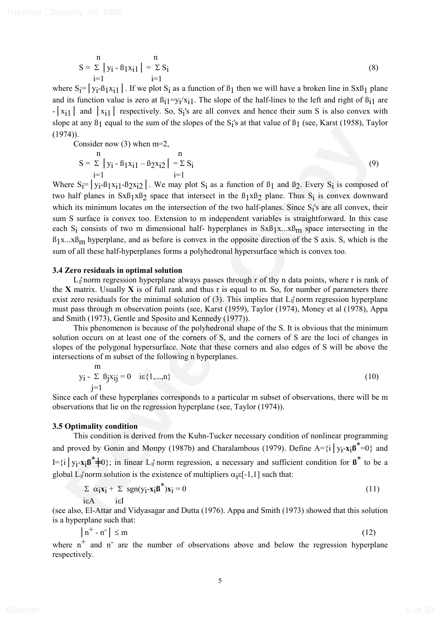$$
S = \sum_{i=1}^{n} |y_i - B_1 x_{i1}| = \sum_{i=1}^{n} S_i
$$
 (8)

where  $S_i = |y_i - \beta_1 x_{i1}|$ . If we plot  $S_i$  as a function of  $\beta_1$  then we will have a broken line in Sx $\beta_1$  plane and its function value is zero at  $B_{i1}=y_i/x_{i1}$ . The slope of the half-lines to the left and right of  $B_{i1}$  are  $-|x_{i1}|$  and  $|x_{i1}|$  respectively. So, S<sub>i</sub>'s are all convex and hence their sum S is also convex with slope at any  $\beta_1$  equal to the sum of the slopes of the S<sub>i</sub>'s at that value of  $\beta_1$  (see, Karst (1958), Taylor  $(1974)$ .

Consider now (3) when m=2,

$$
S = \sum_{i=1}^{n} |y_i - B_1 x_i| - B_2 x_i \geq 1 = \sum_{i=1}^{n} S_i
$$
 (9)

74).<br>
Consider now (3) when m=2,<br>  $S = \sum_{j=1}^{n} y_j + \beta_1 y_k + 2y_k = \sum_{j=1}^{n} \sum_{k=1}^{n}$  (9)<br>
Consider now (3) when m=2,<br>  $S = \sum_{i=1}^{n} y_i - \beta_1 y_k + 2y_k = 1$ .  $\sum_{i=1}^{n} y_i - \beta_1 y_k + 2y_k = 1$ .  $\sum_{i=1}^{n} (y_i - \beta_1 y_k + 2y_k) = 1$ .<br>  $\sum_{i=$ Where  $S_i = \vert y_i - \beta_1 x_i \vert - \beta_2 x_i \vert$ . We may plot  $S_i$  as a function of  $\beta_1$  and  $\beta_2$ . Every  $S_i$  is composed of two half planes in  $SxB_1xB_2$  space that intersect in the  $B_1xB_2$  plane. Thus  $S_i$  is convex downward which its minimum locates on the intersection of the two half-planes. Since S<sub>i</sub>'s are all convex, their sum S surface is convex too. Extension to m independent variables is straightforward. In this case each S<sub>i</sub> consists of two m dimensional half- hyperplanes in  $SxB_1x...xB_m$  space intersecting in the  $B_1x...xB_m$  hyperplane, and as before is convex in the opposite direction of the S axis. S, which is the sum of all these half-hyperplanes forms a polyhedronal hypersurface which is convex too.

#### **3.4 Zero residuals in optimal solution**

 $L_1$  norm regression hyperplane always passes through r of thy n data points, where r is rank of the **X** matrix. Usually **X** is of full rank and thus r is equal to m. So, for number of parameters there exist zero residuals for the minimal solution of (3). This implies that  $L_1$  norm regression hyperplane must pass through m observation points (see, Karst (1959), Taylor (1974), Money et al (1978), Appa and Smith (1973), Gentle and Sposito and Kennedy (1977)).

This phenomenon is because of the polyhedronal shape of the S. It is obvious that the minimum solution occurs on at least one of the corners of S, and the corners of S are the loci of changes in slopes of the polygonal hypersurface. Note that these corners and also edges of S will be above the intersections of m subset of the following n hyperplanes.

$$
\begin{array}{ll}\nm\\
y_i - \sum \beta_j x_{ij} = 0 & i \epsilon \{1, ..., n\} \\
j = 1\n\end{array} \tag{10}
$$

Since each of these hyperplanes corresponds to a particular m subset of observations, there will be m observations that lie on the regression hyperplane (see, Taylor (1974)).

#### **3.5 Optimality condition**

 This condition is derived from the Kuhn-Tucker necessary condition of nonlinear programming and proved by Gonin and Monpy (1987b) and Charalambous (1979). Define  $A = \{i \mid y_i - x_i \mathbf{B}^* = 0\}$  and  $I = \{i \mid y_i - x_i \boldsymbol{B}^* \neq 0\}$ ; in linear  $L_1$  norm regression, a necessary and sufficient condition for  $\boldsymbol{B}^*$  to be a global L<sub>1</sub> $\beta$  norm solution is the existence of multipliers  $\alpha_i \epsilon [-1,1]$  such that:

$$
\sum \alpha_i x_i + \sum \text{sgn}(y_i - x_i \beta^*) x_i = 0
$$
\n
$$
\text{i} \in A \qquad \text{if} \qquad (11)
$$

(see also, El-Attar and Vidyasagar and Dutta (1976). Appa and Smith (1973) showed that this solution is a hyperplane such that:

$$
|n^+ - n^-| \le m \tag{12}
$$

where  $n^+$  and  $n^-$  are the number of observations above and below the regression hyperplane respectively.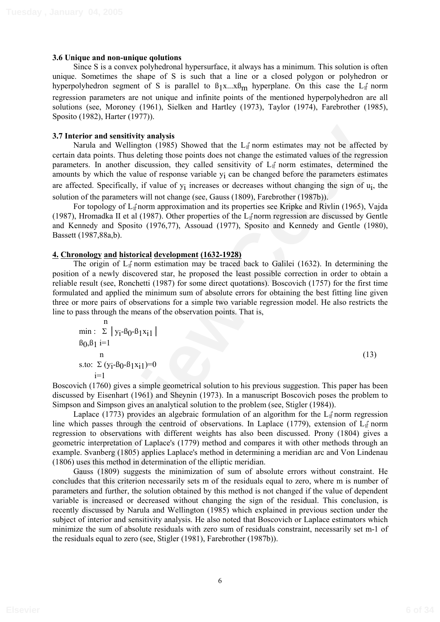#### **3.6 Unique and non-unique qolutions**

 Since S is a convex polyhedronal hypersurface, it always has a minimum. This solution is often unique. Sometimes the shape of S is such that a line or a closed polygon or polyhedron or hyperpolyhedron segment of S is parallel to  $\beta_1 x \dots x \beta_m$  hyperplane. On this case the  $L_1$  norm regression parameters are not unique and infinite points of the mentioned hyperpolyhedron are all solutions (see, Moroney (1961), Sielken and Hartley (1973), Taylor (1974), Farebrother (1985), Sposito (1982), Harter (1977)).

### **3.7 Interior and sensitivity analysis**

**Interior and sensitivity analysis**<br>
Narula and Wellington (1985) Showed that the L<sub>if</sub> norm estimates may not be affected by<br>
Narula and Wellington (1985) Showed that the Li<sub>f</sub> norm estimated values of the regression<br>
ha Narula and Wellington (1985) Showed that the  $L_1$  norm estimates may not be affected by certain data points. Thus deleting those points does not change the estimated values of the regression parameters. In another discussion, they called sensitivity of  $L_1$  norm estimates, determined the amounts by which the value of response variable yi can be changed before the parameters estimates are affected. Specifically, if value of yi increases or decreases without changing the sign of ui, the solution of the parameters will not change (see, Gauss (1809), Farebrother (1987b)).

For topology of  $L_i$  norm approximation and its properties see Kripke and Rivlin (1965), Vajda (1987), Hromadka II et al (1987). Other properties of the  $L_1$  norm regression are discussed by Gentle and Kennedy and Sposito (1976,77), Assouad (1977), Sposito and Kennedy and Gentle (1980), Bassett (1987,88a,b).

### **4. Chronology and historical development (1632-1928)**

The origin of  $L_{\parallel}$  norm estimation may be traced back to Galilei (1632). In determining the position of a newly discovered star, he proposed the least possible correction in order to obtain a reliable result (see, Ronchetti (1987) for some direct quotations). Boscovich (1757) for the first time formulated and applied the minimum sum of absolute errors for obtaining the best fitting line given three or more pairs of observations for a simple two variable regression model. He also restricts the line to pass through the means of the observation points. That is,

$$
\min_{\beta_0, \beta_1} : \sum_{i=1}^{n} |y_i - \beta_0 - \beta_1 x_{i1}|
$$
  

$$
\sum_{i=1}^{n} (y_i - \beta_0 - \beta_1 x_{i1}) = 0
$$
  
(13)

Boscovich (1760) gives a simple geometrical solution to his previous suggestion. This paper has been discussed by Eisenhart (1961) and Sheynin (1973). In a manuscript Boscovich poses the problem to Simpson and Simpson gives an analytical solution to the problem (see, Stigler (1984)).

Laplace (1773) provides an algebraic formulation of an algorithm for the  $L_1$  norm regression line which passes through the centroid of observations. In Laplace (1779), extension of  $L_1$  norm regression to observations with different weights has also been discussed. Prony (1804) gives a geometric interpretation of Laplace's (1779) method and compares it with other methods through an example. Svanberg (1805) applies Laplace's method in determining a meridian arc and Von Lindenau (1806) uses this method in determination of the elliptic meridian.

Gauss (1809) suggests the minimization of sum of absolute errors without constraint. He concludes that this criterion necessarily sets m of the residuals equal to zero, where m is number of parameters and further, the solution obtained by this method is not changed if the value of dependent variable is increased or decreased without changing the sign of the residual. This conclusion, is recently discussed by Narula and Wellington (1985) which explained in previous section under the subject of interior and sensitivity analysis. He also noted that Boscovich or Laplace estimators which minimize the sum of absolute residuals with zero sum of residuals constraint, necessarily set m-1 of the residuals equal to zero (see, Stigler (1981), Farebrother (1987b)).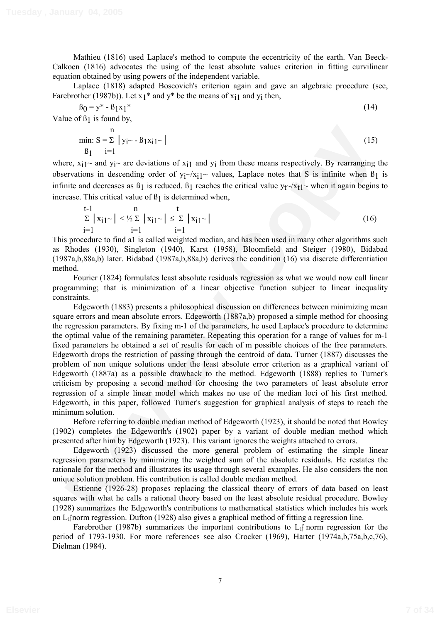Mathieu (1816) used Laplace's method to compute the eccentricity of the earth. Van Beeck-Calkoen (1816) advocates the using of the least absolute values criterion in fitting curvilinear equation obtained by using powers of the independent variable.

Laplace (1818) adapted Boscovich's criterion again and gave an algebraic procedure (see, Farebrother (1987b)). Let  $x_1$ <sup>\*</sup> and  $y$ <sup>\*</sup> be the means of  $x_{i1}$  and  $y_i$  then,

$$
\beta_0 = y^* - \beta_1 x_1^* \tag{14}
$$

Value of  $\beta_1$  is found by,

min: 
$$
S = \sum_{i=1}^{n} |y_i - \beta_1 x_i|
$$
 (15)  
\n $\beta_1$  i=1

where,  $x_{i1}$ ~ and  $y_i$ ~ are deviations of  $x_{i1}$  and  $y_i$  from these means respectively. By rearranging the observations in descending order of  $y_i \sim x_i$  values, Laplace notes that S is infinite when  $\beta_1$  is infinite and decreases as  $\beta_1$  is reduced.  $\beta_1$  reaches the critical value  $y_t \sim x_t1$ ~ when it again begins to increase. This critical value of  $\beta_1$  is determined when,

$$
\sum_{i=1}^{t-1} |x_{i1} \sim| < \frac{1}{2} \sum_{i=1}^{n} |x_{i1} \sim| \leq \sum_{i=1}^{t} |x_{i1} \sim|
$$
\n
$$
\tag{16}
$$

This procedure to find a1 is called weighted median, and has been used in many other algorithms such as Rhodes (1930), Singleton (1940), Karst (1958), Bloomfield and Steiger (1980), Bidabad (1987a,b,88a,b) later. Bidabad (1987a,b,88a,b) derives the condition (16) via discrete differentiation method.

Fourier (1824) formulates least absolute residuals regression as what we would now call linear programming; that is minimization of a linear objective function subject to linear inequality constraints.

nim:  $S = \frac{1}{2} |y_1 - \frac{1}{2} |x_2 - \frac{1}{2} |x_1 - \frac{1}{2} |x_1 - \frac{1}{2} |x_1 - \frac{1}{2} |x_1 - \frac{1}{2} |x_1 - \frac{1}{2} |x_1 - \frac{1}{2} |x_1 - \frac{1}{2} |x_1 - \frac{1}{2} |x_1 - \frac{1}{2} |x_1 - \frac{1}{2} |x_1 - \frac{1}{2} |x_1 - \frac{1}{2} |x_1 - \frac{1}{2} |x_1 - \frac{1}{2} |x_1 - \frac{1}{2} |x$ Edgeworth (1883) presents a philosophical discussion on differences between minimizing mean square errors and mean absolute errors. Edgeworth (1887a,b) proposed a simple method for choosing the regression parameters. By fixing m-1 of the parameters, he used Laplace's procedure to determine the optimal value of the remaining parameter. Repeating this operation for a range of values for m-1 fixed parameters he obtained a set of results for each of m possible choices of the free parameters. Edgeworth drops the restriction of passing through the centroid of data. Turner (1887) discusses the problem of non unique solutions under the least absolute error criterion as a graphical variant of Edgeworth (1887a) as a possible drawback to the method. Edgeworth (1888) replies to Turner's criticism by proposing a second method for choosing the two parameters of least absolute error regression of a simple linear model which makes no use of the median loci of his first method. Edgeworth, in this paper, followed Turner's suggestion for graphical analysis of steps to reach the minimum solution.

Before referring to double median method of Edgeworth (1923), it should be noted that Bowley (1902) completes the Edgeworth's (1902) paper by a variant of double median method which presented after him by Edgeworth (1923). This variant ignores the weights attached to errors.

Edgeworth (1923) discussed the more general problem of estimating the simple linear regression parameters by minimizing the weighted sum of the absolute residuals. He restates the rationale for the method and illustrates its usage through several examples. He also considers the non unique solution problem. His contribution is called double median method.

Estienne (1926-28) proposes replacing the classical theory of errors of data based on least squares with what he calls a rational theory based on the least absolute residual procedure. Bowley (1928) summarizes the Edgeworth's contributions to mathematical statistics which includes his work on  $L_1$ f norm regression. Dufton (1928) also gives a graphical method of fitting a regression line.

Farebrother (1987b) summarizes the important contributions to  $L_1$  norm regression for the period of 1793-1930. For more references see also Crocker (1969), Harter (1974a,b,75a,b,c,76), Dielman (1984).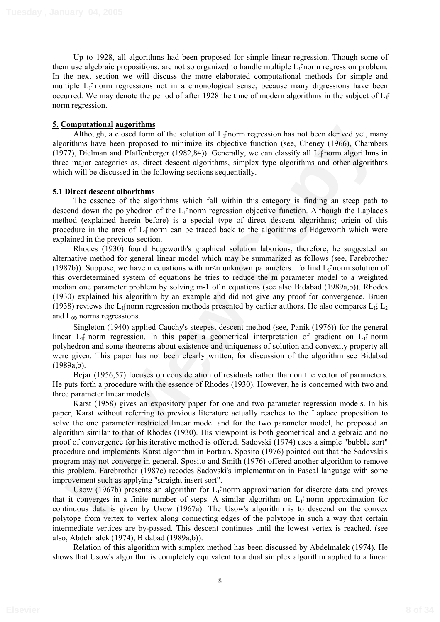Up to 1928, all algorithms had been proposed for simple linear regression. Though some of them use algebraic propositions, are not so organized to handle multiple  $L_1$  norm regression problem. In the next section we will discuss the more elaborated computational methods for simple and multiple L<sub>I</sub> norm regressions not in a chronological sense; because many digressions have been occurred. We may denote the period of after 1928 the time of modern algorithms in the subject of  $L_1$ <sup>n</sup>  $\overline{\phantom{a}}$ norm regression.

## **5. Computational augorithms**

Although, a closed form of the solution of  $L_1$  norm regression has not been derived yet, many algorithms have been proposed to minimize its objective function (see, Cheney (1966), Chambers (1977), Dielman and Pfaffenberger (1982,84)). Generally, we can classify all  $L_{\parallel}$  norm algorithms in three major categories as, direct descent algorithms, simplex type algorithms and other algorithms which will be discussed in the following sections sequentially.

## **5.1 Direct descent alborithms**

The essence of the algorithms which fall within this category is finding an steep path to descend down the polyhedron of the  $L_1$ <sup> $\uparrow$ </sup> norm regression objective function. Although the Laplace's method (explained herein before) is a special type of direct descent algorithms; origin of this procedure in the area of  $L_1$  norm can be traced back to the algorithms of Edgeworth which were explained in the previous section.

Rhodes (1930) found Edgeworth's graphical solution laborious, therefore, he suggested an alternative method for general linear model which may be summarized as follows (see, Farebrother (1987b)). Suppose, we have n equations with m<n unknown parameters. To find  $L_f$  norm solution of this overdetermined system of equations he tries to reduce the m parameter model to a weighted median one parameter problem by solving m-1 of n equations (see also Bidabad (1989a,b)). Rhodes (1930) explained his algorithm by an example and did not give any proof for convergence. Bruen (1938) reviews the L<sub>I</sub> $\gamma$  norm regression methods presented by earlier authors. He also compares L<sub>I</sub> $\gamma$ <sub>L<sub>2</sub></sub> and  $L_{\infty}$  norms regressions.

Singleton (1940) applied Cauchy's steepest descent method (see, Panik (1976)) for the general linear  $L_{\parallel}$  norm regression. In this paper a geometrical interpretation of gradient on  $L_{\parallel}$  norm polyhedron and some theorems about existence and uniqueness of solution and convexity property all were given. This paper has not been clearly written, for discussion of the algorithm see Bidabad (1989a,b).

Bejar (1956,57) focuses on consideration of residuals rather than on the vector of parameters. He puts forth a procedure with the essence of Rhodes (1930). However, he is concerned with two and three parameter linear models.

**Examplementation** angular many and Europhon and Europhian and the solution of L<sub>a</sub>fform regression has not been derived yet, many Although, a chessed to minimize its objective function (see, Chence) (1966), Chambers and t Karst (1958) gives an expository paper for one and two parameter regression models. In his paper, Karst without referring to previous literature actually reaches to the Laplace proposition to solve the one parameter restricted linear model and for the two parameter model, he proposed an algorithm similar to that of Rhodes (1930). His viewpoint is both geometrical and algebraic and no proof of convergence for his iterative method is offered. Sadovski (1974) uses a simple "bubble sort" procedure and implements Karst algorithm in Fortran. Sposito (1976) pointed out that the Sadovski's program may not converge in general. Sposito and Smith (1976) offered another algorithm to remove this problem. Farebrother (1987c) recodes Sadovski's implementation in Pascal language with some improvement such as applying "straight insert sort".

Usow (1967b) presents an algorithm for  $L_1$  norm approximation for discrete data and proves that it converges in a finite number of steps. A similar algorithm on  $L_1$  norm approximation for continuous data is given by Usow (1967a). The Usow's algorithm is to descend on the convex polytope from vertex to vertex along connecting edges of the polytope in such a way that certain intermediate vertices are by-passed. This descent continues until the lowest vertex is reached. (see also, Abdelmalek (1974), Bidabad (1989a,b)).

Relation of this algorithm with simplex method has been discussed by Abdelmalek (1974). He shows that Usow's algorithm is completely equivalent to a dual simplex algorithm applied to a linear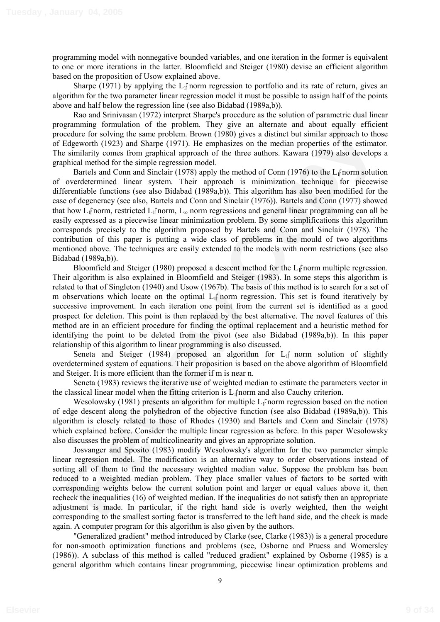programming model with nonnegative bounded variables, and one iteration in the former is equivalent to one or more iterations in the latter. Bloomfield and Steiger (1980) devise an efficient algorithm based on the proposition of Usow explained above.

Sharpe (1971) by applying the  $L_1$ <sup>\*</sup> norm regression to portfolio and its rate of return, gives an algorithm for the two parameter linear regression model it must be possible to assign half of the points above and half below the regression line (see also Bidabad (1989a,b)).

Rao and Srinivasan (1972) interpret Sharpe's procedure as the solution of parametric dual linear programming formulation of the problem. They give an alternate and about equally efficient procedure for solving the same problem. Brown (1980) gives a distinct but similar approach to those of Edgeworth (1923) and Sharpe (1971). He emphasizes on the median properties of the estimator. The similarity comes from graphical approach of the three authors. Kawara (1979) also develops a graphical method for the simple regression model.

graduate contained to the robing the relationship of the proposition is the proposition of the proposition of the proposition of the relationship of the sympath to those significative of the properties of the entire propos Bartels and Conn and Sinclair (1978) apply the method of Conn (1976) to the  $L_1$  norm solution of overdetermined linear system. Their approach is minimization technique for piecewise differentiable functions (see also Bidabad (1989a,b)). This algorithm has also been modified for the case of degeneracy (see also, Bartels and Conn and Sinclair (1976)). Bartels and Conn (1977) showed that how  $L_1$  norm, restricted  $L_1$  norm,  $L_\infty$  norm regressions and general linear programming can all be easily expressed as a piecewise linear minimization problem. By some simplifications this algorithm corresponds precisely to the algorithm proposed by Bartels and Conn and Sinclair (1978). The contribution of this paper is putting a wide class of problems in the mould of two algorithms mentioned above. The techniques are easily extended to the models with norm restrictions (see also Bidabad (1989a,b)).

Bloomfield and Steiger (1980) proposed a descent method for the  $L_1$  norm multiple regression. Their algorithm is also explained in Bloomfield and Steiger (1983). In some steps this algorithm is related to that of Singleton (1940) and Usow (1967b). The basis of this method is to search for a set of m observations which locate on the optimal  $L_1$  norm regression. This set is found iteratively by successive improvement. In each iteration one point from the current set is identified as a good prospect for deletion. This point is then replaced by the best alternative. The novel features of this method are in an efficient procedure for finding the optimal replacement and a heuristic method for identifying the point to be deleted from the pivot (see also Bidabad (1989a,b)). In this paper relationship of this algorithm to linear programming is also discussed.

Seneta and Steiger (1984) proposed an algorithm for  $L_1$ <sup>†</sup> norm solution of slightly overdetermined system of equations. Their proposition is based on the above algorithm of Bloomfield and Steiger. It is more efficient than the former if m is near n.

Seneta (1983) reviews the iterative use of weighted median to estimate the parameters vector in the classical linear model when the fitting criterion is  $L_1$  norm and also Cauchy criterion.

Wesolowsky (1981) presents an algorithm for multiple  $L_1$ <sup> $\uparrow$ </sup> norm regression based on the notion of edge descent along the polyhedron of the objective function (see also Bidabad (1989a,b)). This algorithm is closely related to those of Rhodes (1930) and Bartels and Conn and Sinclair (1978) which explained before. Consider the multiple linear regression as before. In this paper Wesolowsky also discusses the problem of multicolinearity and gives an appropriate solution.

Josvanger and Sposito (1983) modify Wesolowsky's algorithm for the two parameter simple linear regression model. The modification is an alternative way to order observations instead of sorting all of them to find the necessary weighted median value. Suppose the problem has been reduced to a weighted median problem. They place smaller values of factors to be sorted with corresponding weights below the current solution point and larger or equal values above it, then recheck the inequalities (16) of weighted median. If the inequalities do not satisfy then an appropriate adjustment is made. In particular, if the right hand side is overly weighted, then the weight corresponding to the smallest sorting factor is transferred to the left hand side, and the check is made again. A computer program for this algorithm is also given by the authors.

"Generalized gradient" method introduced by Clarke (see, Clarke (1983)) is a general procedure for non-smooth optimization functions and problems (see, Osborne and Pruess and Womersley (1986)). A subclass of this method is called "reduced gradient" explained by Osborne (1985) is a general algorithm which contains linear programming, piecewise linear optimization problems and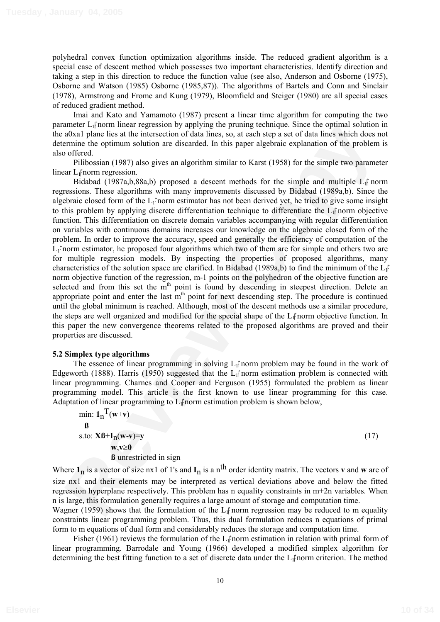polyhedral convex function optimization algorithms inside. The reduced gradient algorithm is a special case of descent method which possesses two important characteristics. Identify direction and taking a step in this direction to reduce the function value (see also, Anderson and Osborne (1975), Osborne and Watson (1985) Osborne (1985,87)). The algorithms of Bartels and Conn and Sinclair (1978), Armstrong and Frome and Kung (1979), Bloomfield and Steiger (1980) are all special cases of reduced gradient method.

Imai and Kato and Yamamoto (1987) present a linear time algorithm for computing the two parameter L<sub>I</sub><sup>†</sup>norm linear regression by applying the pruning technique. Since the optimal solution in the a0xa1 plane lies at the intersection of data lines, so, at each step a set of data lines which does not determine the optimum solution are discarded. In this paper algebraic explanation of the problem is also offered.

Pilibossian (1987) also gives an algorithm similar to Karst (1958) for the simple two parameter linear  $L_1$  norm regression.

anted the remain ancase signation of a space of the system and the propagation of the interesting of the interesting of the interesting of the interesting of the principal solution and space of the principal of the proble Bidabad (1987a,b,88a,b) proposed a descent methods for the simple and multiple  $L_1$  norm regressions. These algorithms with many improvements discussed by Bidabad (1989a,b). Since the algebraic closed form of the  $L_1$ <sup> $\uparrow$ </sup> norm estimator has not been derived yet, he tried to give some insight to this problem by applying discrete differentiation technique to differentiate the  $L_1$  norm objective function. This differentiation on discrete domain variables accompanying with regular differentiation on variables with continuous domains increases our knowledge on the algebraic closed form of the problem. In order to improve the accuracy, speed and generally the efficiency of computation of the  $L_1$  norm estimator, he proposed four algorithms which two of them are for simple and others two are for multiple regression models. By inspecting the properties of proposed algorithms, many characteristics of the solution space are clarified. In Bidabad (1989a,b) to find the minimum of the  $L_1$ <sup>n</sup>  $\overline{\phantom{a}}$ norm objective function of the regression, m-1 points on the polyhedron of the objective function are selected and from this set the m<sup>th</sup> point is found by descending in steepest direction. Delete an appropriate point and enter the last  $m<sup>th</sup>$  point for next descending step. The procedure is continued until the global minimum is reached. Although, most of the descent methods use a similar procedure, the steps are well organized and modified for the special shape of the L<sub>I</sub><sup>†</sup>norm objective function. In this paper the new convergence theorems related to the proposed algorithms are proved and their properties are discussed.

### **5.2 Simplex type algorithms**

The essence of linear programming in solving  $L_1$  norm problem may be found in the work of Edgeworth (1888). Harris (1950) suggested that the  $L_{\parallel}$  norm estimation problem is connected with linear programming. Charnes and Cooper and Ferguson (1955) formulated the problem as linear programming model. This article is the first known to use linear programming for this case. Adaptation of linear programming to  $L_1$  norm estimation problem is shown below,

min:  $\mathbf{1}_n^T(\mathbf{w}+\mathbf{v})$ **ß** s.to: **XB**+**I**<sub>n</sub>(**w**-**v**)=**y** (17) **w**,**v**≥**0 ß** unrestricted in sign

Where  $\mathbf{1}_n$  is a vector of size nx1 of 1's and  $\mathbf{I}_n$  is a n<sup>th</sup> order identity matrix. The vectors **v** and **w** are of size nx1 and their elements may be interpreted as vertical deviations above and below the fitted regression hyperplane respectively. This problem has n equality constraints in m+2n variables. When n is large, this formulation generally requires a large amount of storage and computation time.

Wagner (1959) shows that the formulation of the  $L_1$ <sup> $\uparrow$ </sup> norm regression may be reduced to m equality constraints linear programming problem. Thus, this dual formulation reduces n equations of primal form to m equations of dual form and considerably reduces the storage and computation time.

Fisher (1961) reviews the formulation of the  $L_1$  norm estimation in relation with primal form of linear programming. Barrodale and Young (1966) developed a modified simplex algorithm for determining the best fitting function to a set of discrete data under the L<sub>I</sub><sup>†</sup>norm criterion. The method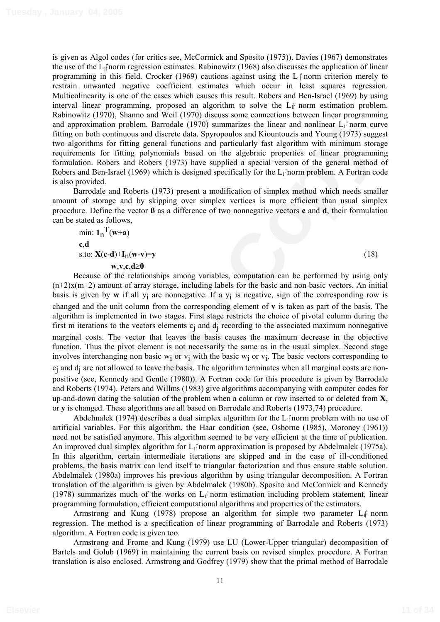is given as Algol codes (for critics see, McCormick and Sposito (1975)). Davies (1967) demonstrates the use of the  $L_1$  norm regression estimates. Rabinowitz (1968) also discusses the application of linear programming in this field. Crocker (1969) cautions against using the  $L_1$  norm criterion merely to restrain unwanted negative coefficient estimates which occur in least squares regression. Multicolinearity is one of the cases which causes this result. Robers and Ben-Israel (1969) by using interval linear programming, proposed an algorithm to solve the  $L_{\parallel}$  norm estimation problem. Rabinowitz (1970), Shanno and Weil (1970) discuss some connections between linear programming and approximation problem. Barrodale (1970) summarizes the linear and nonlinear  $L_1$  norm curve fitting on both continuous and discrete data. Spyropoulos and Kiountouzis and Young (1973) suggest two algorithms for fitting general functions and particularly fast algorithm with minimum storage requirements for fitting polynomials based on the algebraic properties of linear programming formulation. Robers and Robers (1973) have supplied a special version of the general method of Robers and Ben-Israel (1969) which is designed specifically for the  $L_1$  norm problem. A Fortran code is also provided.

Barrodale and Roberts (1973) present a modification of simplex method which needs smaller amount of storage and by skipping over simplex vertices is more efficient than usual simplex procedure. Define the vector **ß** as a difference of two nonnegative vectors **c** and **d**, their formulation can be stated as follows,

min:  $\mathbf{1}_n^T(\mathbf{w}+\mathbf{a})$ **c**,**d** s.to:  $X(c-d)+I_n(w-v)=y$  (18)  $\mathbf{w}, \mathbf{v}, \mathbf{c}, \mathbf{d} \geq 0$ 

s approximation provide in another 15790 simularizes to tune an one-main and the simularity first algorithm with minimum starage<br>ing on both continuous and discrete data. Spyropouties and Kriumton's and Young (1973) sugge Because of the relationships among variables, computation can be performed by using only (n+2)x(m+2) amount of array storage, including labels for the basic and non-basic vectors. An initial basis is given by **w** if all yi are nonnegative. If a yi is negative, sign of the corresponding row is changed and the unit column from the corresponding element of **v** is taken as part of the basis. The algorithm is implemented in two stages. First stage restricts the choice of pivotal column during the first m iterations to the vectors elements  $c_i$  and  $d_i$  recording to the associated maximum nonnegative marginal costs. The vector that leaves the basis causes the maximum decrease in the objective function. Thus the pivot element is not necessarily the same as in the usual simplex. Second stage involves interchanging non basic w<sub>i</sub> or  $v_i$  with the basic w<sub>i</sub> or  $v_i$ . The basic vectors corresponding to cj and dj are not allowed to leave the basis. The algorithm terminates when all marginal costs are nonpositive (see, Kennedy and Gentle (1980)). A Fortran code for this procedure is given by Barrodale and Roberts (1974). Peters and Willms (1983) give algorithms accompanying with computer codes for up-and-down dating the solution of the problem when a column or row inserted to or deleted from **X**, or **y** is changed. These algorithms are all based on Barrodale and Roberts (1973,74) procedure.

Abdelmalek (1974) describes a dual simplex algorithm for the  $L_1$  norm problem with no use of artificial variables. For this algorithm, the Haar condition (see, Osborne (1985), Moroney (1961)) need not be satisfied anymore. This algorithm seemed to be very efficient at the time of publication. An improved dual simplex algorithm for  $L_{\parallel}$  norm approximation is proposed by Abdelmalek (1975a). In this algorithm, certain intermediate iterations are skipped and in the case of ill-conditioned problems, the basis matrix can lend itself to triangular factorization and thus ensure stable solution. Abdelmalek (1980a) improves his previous algorithm by using triangular decomposition. A Fortran translation of the algorithm is given by Abdelmalek (1980b). Sposito and McCormick and Kennedy (1978) summarizes much of the works on  $L_f$  norm estimation including problem statement, linear programming formulation, efficient computational algorithms and properties of the estimators.

Armstrong and Kung (1978) propose an algorithm for simple two parameter  $L_1$ <sup>e</sup> norm regression. The method is a specification of linear programming of Barrodale and Roberts (1973) algorithm. A Fortran code is given too.

Armstrong and Frome and Kung (1979) use LU (Lower-Upper triangular) decomposition of Bartels and Golub (1969) in maintaining the current basis on revised simplex procedure. A Fortran translation is also enclosed. Armstrong and Godfrey (1979) show that the primal method of Barrodale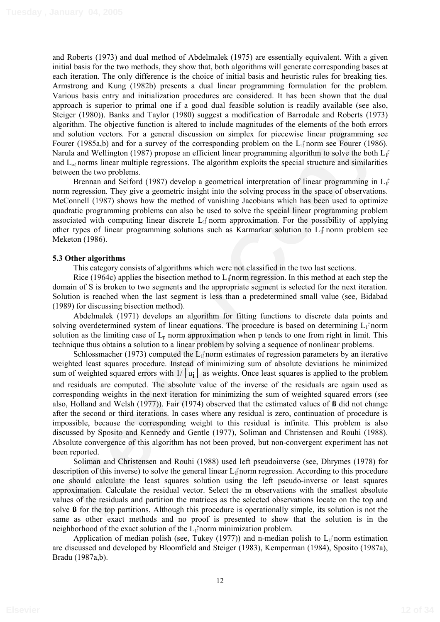and Roberts (1973) and dual method of Abdelmalek (1975) are essentially equivalent. With a given initial basis for the two methods, they show that, both algorithms will generate corresponding bases at each iteration. The only difference is the choice of initial basis and heuristic rules for breaking ties. Armstrong and Kung (1982b) presents a dual linear programming formulation for the problem. Various basis entry and initialization procedures are considered. It has been shown that the dual approach is superior to primal one if a good dual feasible solution is readily available (see also, Steiger (1980)). Banks and Taylor (1980) suggest a modification of Barrodale and Roberts (1973) algorithm. The objective function is altered to include magnitudes of the elements of the both errors and solution vectors. For a general discussion on simplex for piecewise linear programming see Fourer (1985a,b) and for a survey of the corresponding problem on the  $L_1$  norm see Fourer (1986). Narula and Wellington (1987) propose an efficient linear programming algorithm to solve the both  $L_1$ <sup>n</sup>  $\overline{\phantom{a}}$ and  $L_{\alpha f}$  norms linear multiple regressions. The algorithm exploits the special structure and similarities between the two problems.

Brennan and Seiford (1987) develop a geometrical interpretation of linear programming in L<sub>I</sub>  $\overline{\phantom{a}}$ norm regression. They give a geometric insight into the solving process in the space of observations. McConnell (1987) shows how the method of vanishing Jacobians which has been used to optimize quadratic programming problems can also be used to solve the special linear programming problem associated with computing linear discrete  $L_1$  norm approximation. For the possibility of applying other types of linear programming solutions such as Karmarkar solution to  $L_1$  norm problem see Meketon (1986).

#### **5.3 Other algorithms**

This category consists of algorithms which were not classified in the two last sections.

Rice (1964c) applies the bisection method to  $L_1$  norm regression. In this method at each step the domain of S is broken to two segments and the appropriate segment is selected for the next iteration. Solution is reached when the last segment is less than a predetermined small value (see, Bidabad (1989) for discussing bisection method).

Abdelmalek (1971) develops an algorithm for fitting functions to discrete data points and solving overdetermined system of linear equations. The procedure is based on determining  $L_1$  norm solution as the limiting case of  $L_p$  norm approximation when p tends to one from right in limit. This technique thus obtains a solution to a linear problem by solving a sequence of nonlinear problems.

orian ance to geoksek tundents of the corresponding political solicitor (1985ab) and for a sure of the contents of the component of the same of the component of the same of the component of the component of the component o Schlossmacher (1973) computed the  $L_1$ <sup> $\uparrow$ </sup> norm estimates of regression parameters by an iterative weighted least squares procedure. Instead of minimizing sum of absolute deviations he minimized sum of weighted squared errors with  $1/||u_i||$  as weights. Once least squares is applied to the problem and residuals are computed. The absolute value of the inverse of the residuals are again used as corresponding weights in the next iteration for minimizing the sum of weighted squared errors (see also, Holland and Welsh (1977)). Fair (1974) observed that the estimated values of **ß** did not change after the second or third iterations. In cases where any residual is zero, continuation of procedure is impossible, because the corresponding weight to this residual is infinite. This problem is also discussed by Sposito and Kennedy and Gentle (1977), Soliman and Christensen and Rouhi (1988). Absolute convergence of this algorithm has not been proved, but non-convergent experiment has not been reported.

Soliman and Christensen and Rouhi (1988) used left pseudoinverse (see, Dhrymes (1978) for description of this inverse) to solve the general linear  $L_{\parallel}$  norm regression. According to this procedure one should calculate the least squares solution using the left pseudo-inverse or least squares approximation. Calculate the residual vector. Select the m observations with the smallest absolute values of the residuals and partition the matrices as the selected observations locate on the top and solve **ß** for the top partitions. Although this procedure is operationally simple, its solution is not the same as other exact methods and no proof is presented to show that the solution is in the neighborhood of the exact solution of the  $L_1$ <sup> $\uparrow$ </sup> norm minimization problem.

Application of median polish (see, Tukey (1977)) and n-median polish to  $L_1$ <sup> $\uparrow$ </sup> norm estimation are discussed and developed by Bloomfield and Steiger (1983), Kemperman (1984), Sposito (1987a), Bradu (1987a,b).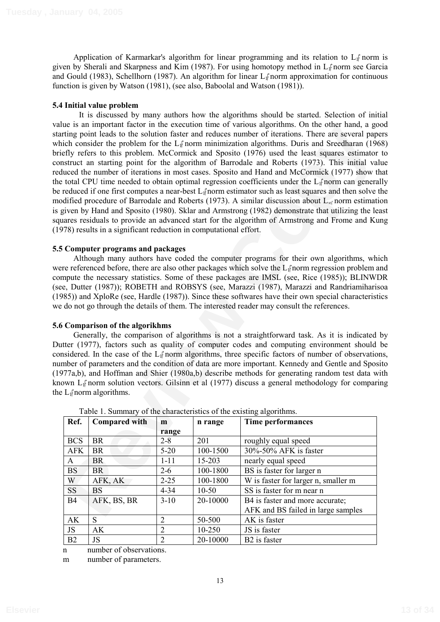Application of Karmarkar's algorithm for linear programming and its relation to  $L_1$  norm is given by Sherali and Skarpness and Kim (1987). For using homotopy method in L1 norm see Garcia and Gould (1983), Schellhorn (1987). An algorithm for linear  $L_f$  norm approximation for continuous function is given by Watson (1981), (see also, Baboolal and Watson (1981)).

### **5.4 Initial value problem**

**Example the mother in the excession and to show a sparting that of the motion and the same that a motion of the motion of the motion of the state of the prior motion and specific the properties the problem. McCommick and**  It is discussed by many authors how the algorithms should be started. Selection of initial value is an important factor in the execution time of various algorithms. On the other hand, a good starting point leads to the solution faster and reduces number of iterations. There are several papers which consider the problem for the  $L_1$ <sup> $\uparrow$ </sup> norm minimization algorithms. Duris and Sreedharan (1968) briefly refers to this problem. McCormick and Sposito (1976) used the least squares estimator to construct an starting point for the algorithm of Barrodale and Roberts (1973). This initial value reduced the number of iterations in most cases. Sposito and Hand and McCormick (1977) show that the total CPU time needed to obtain optimal regression coefficients under the  $L_1$  norm can generally be reduced if one first computes a near-best  $L_1$  norm estimator such as least squares and then solve the modified procedure of Barrodale and Roberts (1973). A similar discussion about  $L_{\alpha}$  norm estimation is given by Hand and Sposito (1980). Sklar and Armstrong (1982) demonstrate that utilizing the least squares residuals to provide an advanced start for the algorithm of Armstrong and Frome and Kung (1978) results in a significant reduction in computational effort.

## **5.5 Computer programs and packages**

Although many authors have coded the computer programs for their own algorithms, which were referenced before, there are also other packages which solve the  $L_1$  norm regression problem and compute the necessary statistics. Some of these packages are IMSL (see, Rice (1985)); BLINWDR (see, Dutter (1987)); ROBETH and ROBSYS (see, Marazzi (1987), Marazzi and Randriamiharisoa (1985)) and XploRe (see, Hardle (1987)). Since these softwares have their own special characteristics we do not go through the details of them. The interested reader may consult the references.

### **5.6 Comparison of the algorikhms**

Generally, the comparison of algorithms is not a straightforward task. As it is indicated by Dutter (1977), factors such as quality of computer codes and computing environment should be considered. In the case of the  $L_1$  norm algorithms, three specific factors of number of observations, number of parameters and the condition of data are more important. Kennedy and Gentle and Sposito (1977a,b), and Hoffman and Shier (1980a,b) describe methods for generating random test data with known L<sub>I</sub><sup>†</sup> norm solution vectors. Gilsinn et al (1977) discuss a general methodology for comparing the  $L_1$ <sup> $\uparrow$ </sup> norm algorithms.

| Ref.           | <b>Compared with</b> | m              | n range   | Time performances                   |
|----------------|----------------------|----------------|-----------|-------------------------------------|
|                |                      | range          |           |                                     |
| <b>BCS</b>     | <b>BR</b>            | $2 - 8$        | 201       | roughly equal speed                 |
| <b>AFK</b>     | <b>BR</b>            | $5-20$         | 100-1500  | 30%-50% AFK is faster               |
| A              | <b>BR</b>            | $1 - 11$       | 15-203    | nearly equal speed                  |
| <b>BS</b>      | <b>BR</b>            | $2 - 6$        | 100-1800  | BS is faster for larger n           |
| W              | AFK, AK              | $2 - 25$       | 100-1800  | W is faster for larger n, smaller m |
| <b>SS</b>      | <b>BS</b>            | $4 - 34$       | $10 - 50$ | SS is faster for m near n           |
| <b>B4</b>      | AFK, BS, BR          | $3-10$         | 20-10000  | B4 is faster and more accurate;     |
|                |                      |                |           | AFK and BS failed in large samples  |
| AK             | S                    | $\overline{2}$ | 50-500    | AK is faster                        |
| <b>JS</b>      | AK                   | $\overline{2}$ | 10-250    | JS is faster                        |
| B <sub>2</sub> | JS                   | $\overline{2}$ | 20-10000  | B <sub>2</sub> is faster            |

| Table 1. Summary of the characteristics of the existing algorithms. |  |  |  |
|---------------------------------------------------------------------|--|--|--|
|                                                                     |  |  |  |
|                                                                     |  |  |  |

n number of observations.

m number of parameters.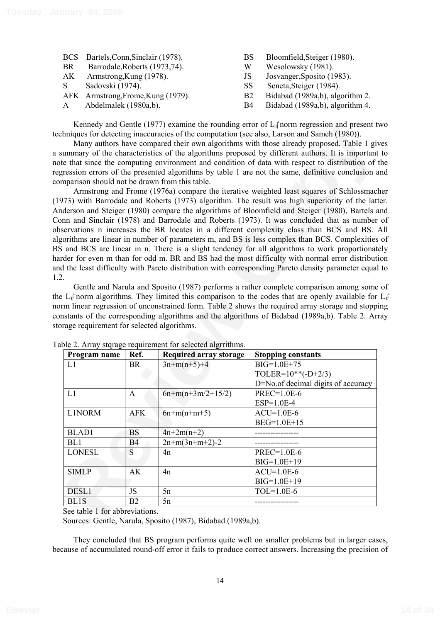|    | BCS Bartels, Conn, Sinclair (1978). | BS        | Bloomfield, Steiger (1980).     |
|----|-------------------------------------|-----------|---------------------------------|
| BR | Barrodale, Roberts (1973, 74).      | W         | Wesolowsky (1981).              |
| AK | Armstrong, Kung (1978).             | JS        | Josvanger, Sposito (1983).      |
| S. | Sadovski (1974).                    | SS.       | Seneta, Steiger (1984).         |
|    | AFK Armstrong, Frome, Kung (1979).  | <b>B2</b> | Bidabad (1989a,b), algorithm 2. |
| A  | Abdelmalek (1980a,b).               | - B4      | Bidabad (1989a,b), algorithm 4. |

Kennedy and Gentle (1977) examine the rounding error of  $L_1$ <sup> $\dot{f}$ </sup> norm regression and present two techniques for detecting inaccuracies of the computation (see also, Larson and Sameh (1980)).

|                                               |            |                                                           | <b>KEINER</b> and GERRIC (1977) examine the founding error of $L_1^p$ horm regression and present two<br>hniques for detecting inaccuracies of the computation (see also, Larson and Sameh (1980)). |
|-----------------------------------------------|------------|-----------------------------------------------------------|-----------------------------------------------------------------------------------------------------------------------------------------------------------------------------------------------------|
|                                               |            |                                                           | Many authors have compared their own algorithms with those already proposed. Table 1 gives                                                                                                          |
|                                               |            |                                                           | ummary of the characteristics of the algorithms proposed by different authors. It is important to                                                                                                   |
|                                               |            |                                                           | te that since the computing environment and condition of data with respect to distribution of the                                                                                                   |
|                                               |            |                                                           | gression errors of the presented algorithms by table 1 are not the same, definitive conclusion and                                                                                                  |
| mparison should not be drawn from this table. |            |                                                           |                                                                                                                                                                                                     |
|                                               |            |                                                           | Armstrong and Frome (1976a) compare the iterative weighted least squares of Schlossmacher                                                                                                           |
|                                               |            |                                                           | 973) with Barrodale and Roberts (1973) algorithm. The result was high superiority of the latter                                                                                                     |
|                                               |            |                                                           | derson and Steiger (1980) compare the algorithms of Bloomfield and Steiger (1980), Bartels and                                                                                                      |
|                                               |            |                                                           | nn and Sinclair (1978) and Barrodale and Roberts (1973). It was concluded that as number of                                                                                                         |
|                                               |            |                                                           | servations n increases the BR locates in a different complexity class than BCS and BS. All                                                                                                          |
|                                               |            |                                                           | corithms are linear in number of parameters m, and BS is less complex than BCS. Complexities of                                                                                                     |
|                                               |            |                                                           | and BCS are linear in n. There is a slight tendency for all algorithms to work proportionately                                                                                                      |
|                                               |            |                                                           | der for even m than for odd m. BR and BS had the most difficulty with normal error distribution                                                                                                     |
|                                               |            |                                                           | d the least difficulty with Pareto distribution with corresponding Pareto density parameter equal to                                                                                                |
|                                               |            |                                                           |                                                                                                                                                                                                     |
|                                               |            |                                                           | Gentle and Narula and Sposito (1987) performs a rather complete comparison among some of                                                                                                            |
|                                               |            |                                                           | $\pm 1$ norm algorithms. They limited this comparison to the codes that are openly available for L                                                                                                  |
|                                               |            |                                                           | rm linear regression of unconstrained form. Table 2 shows the required array storage and stopping                                                                                                   |
| rage requirement for selected algorithms.     |            |                                                           | nstants of the corresponding algorithms and the algorithms of Bidabad (1989a,b). Table 2. Array                                                                                                     |
|                                               |            |                                                           |                                                                                                                                                                                                     |
|                                               |            | ble 2. Array stqrage requirement for selected algrrithms. |                                                                                                                                                                                                     |
| Program name                                  | Ref.       | <b>Required array storage</b>                             | <b>Stopping constants</b>                                                                                                                                                                           |
| L1                                            | BR         | $3n+m(n+5)+4$                                             | BIG=1.0E+75                                                                                                                                                                                         |
|                                               |            |                                                           | TOLER= $10**(-D+2/3)$                                                                                                                                                                               |
|                                               |            |                                                           | D=No.of decimal digits of accuracy                                                                                                                                                                  |
| L1                                            | A          | $6n+m(n+3m/2+15/2)$                                       | PREC=1.0E-6                                                                                                                                                                                         |
|                                               |            |                                                           | $ESP=1.0E-4$                                                                                                                                                                                        |
| L1NORM                                        | <b>AFK</b> | $6n+m(n+m+5)$                                             | $ACU=1.0E-6$                                                                                                                                                                                        |
|                                               |            |                                                           | BEG=1.0E+15                                                                                                                                                                                         |
| <b>BLAD1</b>                                  | <b>BS</b>  | $4n+2m(n+2)$                                              |                                                                                                                                                                                                     |
| BL1                                           | <b>B4</b>  | $2n+m(3n+m+2)-2$                                          |                                                                                                                                                                                                     |
| <b>LONESL</b>                                 | S          | 4n                                                        | PREC=1.0E-6                                                                                                                                                                                         |
|                                               |            |                                                           | BIG=1.0E+19                                                                                                                                                                                         |
| <b>SIMLP</b>                                  | AK         | 4n                                                        | $ACU=1.0E-6$                                                                                                                                                                                        |
|                                               |            |                                                           | $BIG=1.0E+19$                                                                                                                                                                                       |
| DESL1                                         | JS         | 5n                                                        | $TOL=1.0E-6$                                                                                                                                                                                        |
| BL1S                                          | B2         | 5n                                                        |                                                                                                                                                                                                     |
| See table 1 for abbreviations.                |            |                                                           |                                                                                                                                                                                                     |

Table 2. Array starage requirement for selected algrrithms.

Sources: Gentle, Narula, Sposito (1987), Bidabad (1989a,b).

They concluded that BS program performs quite well on smaller problems but in larger cases, because of accumulated round-off error it fails to produce correct answers. Increasing the precision of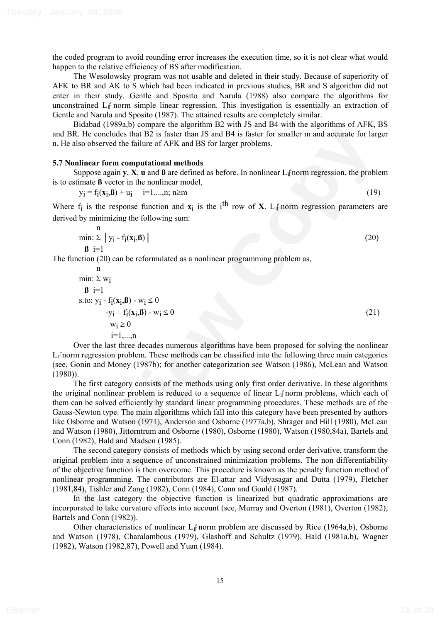(1980)).

the coded program to avoid rounding error increases the execution time, so it is not clear what would happen to the relative efficiency of BS after modification.

The Wesolowsky program was not usable and deleted in their study. Because of superiority of AFK to BR and AK to S which had been indicated in previous studies, BR and S algorithm did not enter in their study. Gentle and Sposito and Narula (1988) also compare the algorithms for unconstrained  $L_{\parallel}$  norm simple linear regression. This investigation is essentially an extraction of Gentle and Narula and Sposito (1987). The attained results are completely similar.

Bidabad (1989a,b) compare the algorithm B2 with JS and B4 with the algorithms of AFK, BS and BR. He concludes that B2 is faster than JS and B4 is faster for smaller m and accurate for larger n. He also observed the failure of AFK and BS for larger problems.

#### **5.7 Nonlinear form computational methods**

Suppose again  $y$ ,  $X$ ,  $u$  and  $\beta$  are defined as before. In nonlinear  $L_1$  norm regression, the problem is to estimate **ß** vector in the nonlinear model,

$$
y_i = f_i(x_i, B) + u_i \t i=1,...,n; n \ge m
$$
\n(19)

Where  $f_i$  is the response function and  $x_i$  is the i<sup>th</sup> row of **X**. L<sub>I</sub><sup> $\uparrow$ </sup> norm regression parameters are derived by minimizing the following sum:

$$
\min_{\mathbf{B}} \sum_{i=1}^{n} |y_i - f_i(\mathbf{x}_i, \mathbf{B})|
$$
\n(20)

The function (20) can be reformulated as a nonlinear programming problem as,

n  
\nmin: 
$$
\Sigma
$$
 w<sub>i</sub>  
\n**8** i=1  
\ns.to:  $y_i - f_i(x_i, B) - w_i \le 0$   
\n $-y_i + f_i(x_i, B) - w_i \le 0$   
\n $w_i \ge 0$   
\n $i=1,...,n$  (21)

i=1,...,n Over the last three decades numerous algorithms have been proposed for solving the nonlinear L<sub>I</sub> norm regression problem. These methods can be classified into the following three main categories (see, Gonin and Money (1987b); for another categorization see Watson (1986), McLean and Watson

**EXECUTE THE SECTION CONSTRANT CONSTRANT CONSTRANT CONSTRANT CONSTRANT CONSTRANT CONSTRANT CONSTRANT CONSTRANT CONSTRANT CONSTRANT CONSTRANT CONSTRANT CONSTRANT CONSTRANT CONSTRANT CONSTRANT CONSTRANT CONSTRANT CONSTRANT** The first category consists of the methods using only first order derivative. In these algorithms the original nonlinear problem is reduced to a sequence of linear  $L_1$  norm problems, which each of them can be solved efficiently by standard linear programming procedures. These methods are of the Gauss-Newton type. The main algorithms which fall into this category have been presented by authors like Osborne and Watson (1971), Anderson and Osborne (1977a,b), Shrager and Hill (1980), McLean and Watson (1980), Jittorntrum and Osborne (1980), Osborne (1980), Watson (1980,84a), Bartels and Conn (1982), Hald and Madsen (1985).

The second category consists of methods which by using second order derivative, transform the original problem into a sequence of unconstrained minimization problems. The non differentiability of the objective function is then overcome. This procedure is known as the penalty function method of nonlinear programming. The contributors are El-attar and Vidyasagar and Dutta (1979), Fletcher (1981,84), Tishler and Zang (1982), Conn (1984), Conn and Gould (1987).

In the last category the objective function is linearized but quadratic approximations are incorporated to take curvature effects into account (see, Murray and Overton (1981), Overton (1982), Bartels and Conn (1982)).

Other characteristics of nonlinear  $L_1$ <sup> $\uparrow$ </sup> norm problem are discussed by Rice (1964a,b), Osborne and Watson (1978), Charalambous (1979), Glashoff and Schultz (1979), Hald (1981a,b), Wagner (1982), Watson (1982,87), Powell and Yuan (1984).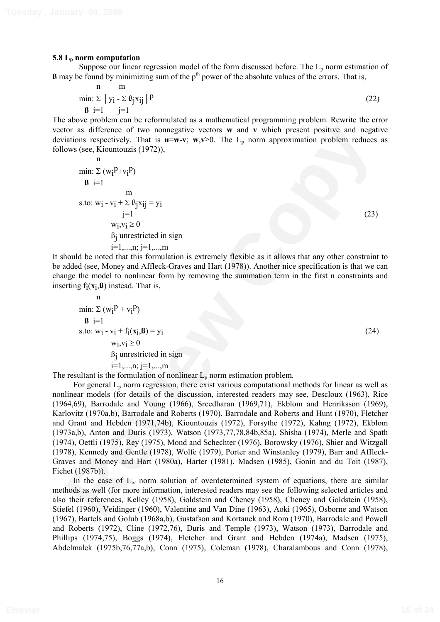### **5.8 Lp norm computation**

Suppose our linear regression model of the form discussed before. The  $L_p$  norm estimation of  $\beta$  may be found by minimizing sum of the  $p<sup>th</sup>$  power of the absolute values of the errors. That is,

$$
\begin{array}{ll}\n\text{n} & \text{m} \\
\text{min:} \ \Sigma \mid \mathbf{y}_i - \Sigma \ \mathbf{B}_j \mathbf{x}_{ij} \mid P \\
\mathbf{B} & i = 1 \quad j = 1\n\end{array}\n\tag{22}
$$

The above problem can be reformulated as a mathematical programming problem. Rewrite the error vector as difference of two nonnegative vectors **w** and **v** which present positive and negative deviations respectively. That is  $\mathbf{u}=\mathbf{w}\cdot\mathbf{v}$ ;  $\mathbf{w},\mathbf{v}\geq 0$ . The L<sub>p</sub> norm approximation problem reduces as follows (see, Kiountouzis (1972)),

n  
\nmin: 
$$
\Sigma (w_i^p + v_i^p)
$$
  
\n**6** i=1  
\nm  
\ns.to:  $w_i - v_i + \Sigma \beta_j x_{ij} = y_i$   
\n $j=1$   
\n $w_i, v_i \ge 0$   
\n $\beta_j$  unrestricted in sign  
\n $i=1,...,n; j=1,...,m$  (23)

It should be noted that this formulation is extremely flexible as it allows that any other constraint to be added (see, Money and Affleck-Graves and Hart (1978)). Another nice specification is that we can change the model to nonlinear form by removing the summation term in the first n constraints and inserting  $f_i(x_i, \mathbf{B})$  instead. That is,

$$
n
$$
  
\nmin: Σ (w<sub>i</sub>P + v<sub>i</sub>P)  
\nβ i=1  
\ns.to: w<sub>i</sub> - v<sub>i</sub> + f<sub>i</sub>(x<sub>i</sub>, β) = y<sub>i</sub>  
\n w<sub>i</sub>, v<sub>i</sub> ≥ 0  
\nβ<sub>j</sub> unrestricted in sign  
\n i=1,...,n; j=1,...,m  
\nshort in the formulation of nonlinear I, norm, within probability

The resultant is the formulation of nonlinear  $L_p$  norm estimation problem.

for an difference of two nonegative vectors w and v which present positive and negative<br>
wintimes increases (see, Kioumbuzis (1972)),<br>
min:  $\Sigma$  (w<sub>i</sub><sup>p</sup>-v<sub>i</sub><sup>p</sup>)<br>
wi<sub>i</sub> vii e =  $\sum_{i=1}^{n}$  (wi<sub>i</sub> e =  $\sum_{i=1}^{n}$  (23)<br> For general  $L_p$  norm regression, there exist various computational methods for linear as well as nonlinear models (for details of the discussion, interested readers may see, Descloux (1963), Rice (1964,69), Barrodale and Young (1966), Sreedharan (1969,71), Ekblom and Henriksson (1969), Karlovitz (1970a,b), Barrodale and Roberts (1970), Barrodale and Roberts and Hunt (1970), Fletcher and Grant and Hebden (1971,74b), Kiountouzis (1972), Forsythe (1972), Kahng (1972), Ekblom (1973a,b), Anton and Duris (1973), Watson (1973,77,78,84b,85a), Shisha (1974), Merle and Spath (1974), Oettli (1975), Rey (1975), Mond and Schechter (1976), Borowsky (1976), Shier and Witzgall (1978), Kennedy and Gentle (1978), Wolfe (1979), Porter and Winstanley (1979), Barr and Affleck-Graves and Money and Hart (1980a), Harter (1981), Madsen (1985), Gonin and du Toit (1987), Fichet (1987b)).

In the case of  $L_{\alpha}$  norm solution of overdetermined system of equations, there are similar methods as well (for more information, interested readers may see the following selected articles and also their references, Kelley (1958), Goldstein and Cheney (1958), Cheney and Goldstein (1958), Stiefel (1960), Veidinger (1960), Valentine and Van Dine (1963), Aoki (1965), Osborne and Watson (1967), Bartels and Golub (1968a,b), Gustafson and Kortanek and Rom (1970), Barrodale and Powell and Roberts (1972), Cline (1972,76), Duris and Temple (1973), Watson (1973), Barrodale and Phillips (1974,75), Boggs (1974), Fletcher and Grant and Hebden (1974a), Madsen (1975), Abdelmalek (1975b,76,77a,b), Conn (1975), Coleman (1978), Charalambous and Conn (1978),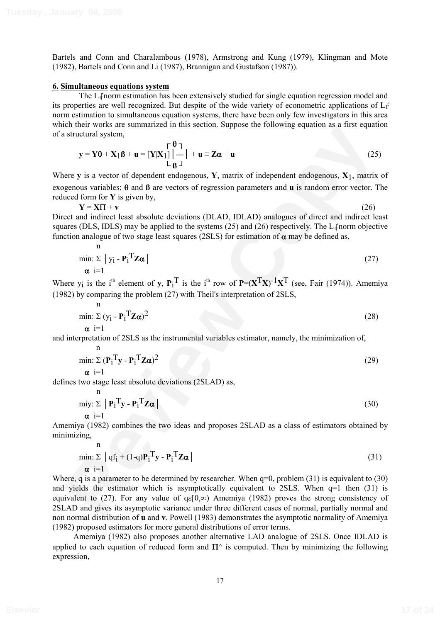Bartels and Conn and Charalambous (1978), Armstrong and Kung (1979), Klingman and Mote (1982), Bartels and Conn and Li (1987), Brannigan and Gustafson (1987)).

#### **6. Simultaneous equations system**

The  $L_1$ <sup> $\uparrow$ </sup> norm estimation has been extensively studied for single equation regression model and its properties are well recognized. But despite of the wide variety of econometric applications of  $L_1$ <sup>n</sup>  $\overline{\phantom{a}}$ norm estimation to simultaneous equation systems, there have been only few investigators in this area which their works are summarized in this section. Suppose the following equation as a first equation of a structural system,

$$
\mathbf{y} = \mathbf{Y}\boldsymbol{\theta} + \mathbf{X}_1 \boldsymbol{\beta} + \mathbf{u} = [\mathbf{Y}|\mathbf{X}_1] \Big| \begin{matrix} \boldsymbol{\theta} \\ \text{---} \\ \text{L} \\ \boldsymbol{\beta} \end{matrix} + \mathbf{u} \equiv \mathbf{Z}\boldsymbol{\alpha} + \mathbf{u}
$$
(25)

Where **y** is a vector of dependent endogenous, **Y**, matrix of independent endogenous, **X**1, matrix of exogenous variables;  $\theta$  and  $\beta$  are vectors of regression parameters and **u** is random error vector. The reduced form for **Y** is given by,

$$
Y = XT + v \tag{26}
$$

Direct and indirect least absolute deviations (DLAD, IDLAD) analogues of direct and indirect least squares (DLS, IDLS) may be applied to the systems (25) and (26) respectively. The  $L_1$  norm objective function analogue of two stage least squares (2SLS) for estimation of  $\alpha$  may be defined as,

$$
\min_{\mathbf{\alpha}} \sum_{i=1}^{n} |y_i - P_i^{\mathrm{T}} \mathbf{Z} \mathbf{\alpha}|
$$
\n
$$
(27)
$$

Where  $y_i$  is the i<sup>th</sup> element of **y**,  $P_i^T$  is the i<sup>th</sup> row of  $P=(X^T X)^{-1} X^T$  (see, Fair (1974)). Amemiya (1982) by comparing the problem (27) with Theil's interpretation of 2SLS,

$$
\min_{\mathbf{\alpha}} \sum_{i=1}^{n} (\mathbf{y}_{i} - \mathbf{P}_{i}^{T} \mathbf{Z} \mathbf{\alpha})^{2}
$$
\n
$$
(28)
$$

and interpretation of 2SLS as the instrumental variables estimator, namely, the minimization of,

$$
\min_{\mathbf{\alpha}} \sum_{i=1}^{n} (\mathbf{P}_{i}^{T} \mathbf{y} - \mathbf{P}_{i}^{T} \mathbf{Z} \mathbf{\alpha})^{2}
$$
 (29)

defines two stage least absolute deviations (2SLAD) as,

n

$$
\begin{array}{c}\n\text{m} \\
\text{m} \\
\text{m} \\
\text{m} \\
\text{m} \\
\text{m} \\
\text{m} \\
\text{m} \\
\text{m} \\
\text{m} \\
\text{m} \\
\text{m} \\
\text{m} \\
\text{m} \\
\text{m} \\
\text{m} \\
\text{m} \\
\text{m} \\
\text{m} \\
\text{m} \\
\text{m} \\
\text{m} \\
\text{m} \\
\text{m} \\
\text{m} \\
\text{m} \\
\text{m} \\
\text{m} \\
\text{m} \\
\text{m} \\
\text{m} \\
\text{m} \\
\text{m} \\
\text{m} \\
\text{m} \\
\text{m} \\
\text{m} \\
\text{m} \\
\text{m} \\
\text{m} \\
\text{m} \\
\text{m} \\
\text{m} \\
\text{m} \\
\text{m} \\
\text{m} \\
\text{m} \\
\text{m} \\
\text{m} \\
\text{m} \\
\text{m} \\
\text{m} \\
\text{m} \\
\text{m} \\
\text{m} \\
\text{m} \\
\text{m} \\
\text{m} \\
\text{m} \\
\text{m} \\
\text{m} \\
\text{m} \\
\text{m} \\
\text{m} \\
\text{m} \\
\text{m} \\
\text{m} \\
\text{m} \\
\text{m} \\
\text{m} \\
\text{m} \\
\text{m} \\
\text{m} \\
\text{m} \\
\text{m} \\
\text{m} \\
\text{m} \\
\text{m} \\
\text{m} \\
\text{m} \\
\text{m} \\
\text{m} \\
\text{m} \\
\text{m} \\
\text{m} \\
\text{m} \\
\text{m} \\
\text{m} \\
\text{m} \\
\text{m} \\
\text{m} \\
\text{m} \\
\text{m} \\
\text{m} \\
\text{m} \\
\text{m} \\
\text{m} \\
\text{m} \\
\text{m} \\
\text{m} \\
\text{m} \\
\text{m} \\
\text{m} \\
\text{m} \\
\text{m} \\
\text{m} \\
\text{m} \\
\text{m} \\
\text{m} \\
\text{m} \\
\text{m} \\
\text{m} \\
\text{m} \\
\text{m} \\
\text{m} \\
\text{m} \\
\text{m} \\
\text{m} \\
\text{m} \\
\text{m} \\
\text{m} \\
\text{m} \\
\text{m} \\
\text{m} \\
\text{m} \\
\text
$$

Amemiya (1982) combines the two ideas and proposes 2SLAD as a class of estimators obtained by minimizing,

$$
\begin{aligned}\n\min: \Sigma \left[ qf_i + (1-q)P_i^{\mathrm{T}} \mathbf{y} - P_i^{\mathrm{T}} \mathbf{Z} \boldsymbol{\alpha} \right] \\
\alpha \left[ i = 1\n\end{aligned} \tag{31}
$$

Let us not outser of the print of the section. Suppose the converting equation as a mast equator<br> **P**  $Y = Y\theta + X_1\theta + u = [Y|Y_1]\begin{pmatrix} 1 \\ 1 \end{pmatrix} - u = \theta\pi + u$  (25)<br> **Rev** y is a vector of dependent endogenous,  $Y$ , matrix of inde Where, q is a parameter to be determined by researcher. When  $q=0$ , problem (31) is equivalent to (30) and yields the estimator which is asymptotically equivalent to 2SLS. When q=1 then (31) is equivalent to (27). For any value of  $q\varepsilon[0,\infty)$  Amemiya (1982) proves the strong consistency of 2SLAD and gives its asymptotic variance under three different cases of normal, partially normal and non normal distribution of **u** and **v**. Powell (1983) demonstrates the asymptotic normality of Amemiya (1982) proposed estimators for more general distributions of error terms.

Amemiya (1982) also proposes another alternative LAD analogue of 2SLS. Once IDLAD is applied to each equation of reduced form and  $\Pi^{\wedge}$  is computed. Then by minimizing the following expression,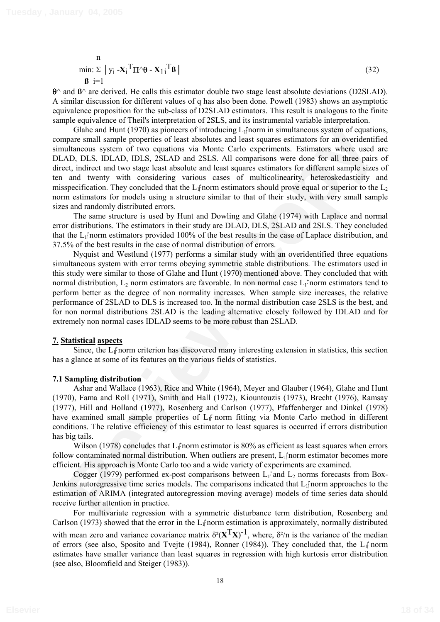n min:  $\Sigma$  | y<sub>i</sub> - $\mathbf{X}_i$ <sup>T</sup> $\mathbf{\Pi}$ ^ $\mathbf{\theta}$  -  $\mathbf{X}_{1i}$  $T_{\beta}$  (32) **ß** i=1

 $\theta^{\wedge}$  and  $\beta^{\wedge}$  are derived. He calls this estimator double two stage least absolute deviations (D2SLAD). A similar discussion for different values of q has also been done. Powell (1983) shows an asymptotic equivalence proposition for the sub-class of D2SLAD estimators. This result is analogous to the finite sample equivalence of Theil's interpretation of 2SLS, and its instrumental variable interpretation.

Client and Hunt (1970) as pioners of instruducing I-farom in simultaneous system of equations<br>(also papar small sample properties of least absolutes and least squares estimators for an overidentified<br>allowed system of two Glahe and Hunt (1970) as pioneers of introducing  $L_1$  norm in simultaneous system of equations, compare small sample properties of least absolutes and least squares estimators for an overidentified simultaneous system of two equations via Monte Carlo experiments. Estimators where used are DLAD, DLS, IDLAD, IDLS, 2SLAD and 2SLS. All comparisons were done for all three pairs of direct, indirect and two stage least absolute and least squares estimators for different sample sizes of ten and twenty with considering various cases of multicolinearity, heteroskedasticity and misspecification. They concluded that the  $L_1$  norm estimators should prove equal or superior to the  $L_2$ norm estimators for models using a structure similar to that of their study, with very small sample sizes and randomly distributed errors.

The same structure is used by Hunt and Dowling and Glahe (1974) with Laplace and normal error distributions. The estimators in their study are DLAD, DLS, 2SLAD and 2SLS. They concluded that the L<sub>I</sub><sup>t</sup> norm estimators provided 100% of the best results in the case of Laplace distribution, and 37.5% of the best results in the case of normal distribution of errors.

Nyquist and Westlund (1977) performs a similar study with an overidentified three equations simultaneous system with error terms obeying symmetric stable distributions. The estimators used in this study were similar to those of Glahe and Hunt (1970) mentioned above. They concluded that with normal distribution,  $L_2$  norm estimators are favorable. In non normal case  $L_1$  norm estimators tend to perform better as the degree of non normality increases. When sample size increases, the relative performance of 2SLAD to DLS is increased too. In the normal distribution case 2SLS is the best, and for non normal distributions 2SLAD is the leading alternative closely followed by IDLAD and for extremely non normal cases IDLAD seems to be more robust than 2SLAD.

#### **7. Statistical aspects**

Since, the L<sub>I</sub><sup>†</sup>norm criterion has discovered many interesting extension in statistics, this section has a glance at some of its features on the various fields of statistics.

#### **7.1 Sampling distribution**

Ashar and Wallace (1963), Rice and White (1964), Meyer and Glauber (1964), Glahe and Hunt (1970), Fama and Roll (1971), Smith and Hall (1972), Kiountouzis (1973), Brecht (1976), Ramsay (1977), Hill and Holland (1977), Rosenberg and Carlson (1977), Pfaffenberger and Dinkel (1978) have examined small sample properties of L<sub>I</sub><sup>†</sup> norm fitting via Monte Carlo method in different conditions. The relative efficiency of this estimator to least squares is occurred if errors distribution has big tails.

Wilson (1978) concludes that  $L_1$  norm estimator is 80% as efficient as least squares when errors follow contaminated normal distribution. When outliers are present,  $L_{\parallel}$  norm estimator becomes more efficient. His approach is Monte Carlo too and a wide variety of experiments are examined.

Cogger (1979) performed ex-post comparisons between  $L_1$  and  $L_2$  norms forecasts from Box-Jenkins autoregressive time series models. The comparisons indicated that L<sub>I</sub><sup>†</sup>norm approaches to the estimation of ARIMA (integrated autoregression moving average) models of time series data should receive further attention in practice.

For multivariate regression with a symmetric disturbance term distribution, Rosenberg and Carlson (1973) showed that the error in the  $L_1$  norm estimation is approximately, normally distributed with mean zero and variance covariance matrix  $\delta^2(X^TX)^{-1}$ , where,  $\delta^2/n$  is the variance of the median of errors (see also, Sposito and Tvejte (1984), Ronner (1984)). They concluded that, the  $L_1$  norm estimates have smaller variance than least squares in regression with high kurtosis error distribution (see also, Bloomfield and Steiger (1983)).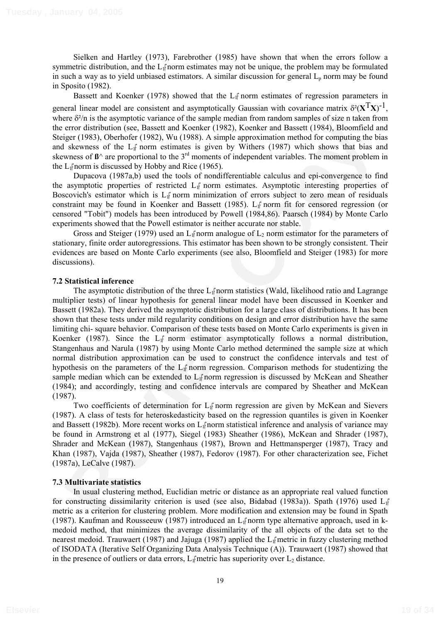Sielken and Hartley (1973), Farebrother (1985) have shown that when the errors follow a symmetric distribution, and the  $L_1$ <sup>2</sup> norm estimates may not be unique, the problem may be formulated in such a way as to yield unbiased estimators. A similar discussion for general  $L<sub>p</sub>$  norm may be found in Sposito (1982).

Bassett and Koenker (1978) showed that the  $L_{\parallel}$  norm estimates of regression parameters in general linear model are consistent and asymptotically Gaussian with covariance matrix  $\delta^2(\mathbf{X}^T\mathbf{X})^{-1}$ , where  $\delta^2/n$  is the asymptotic variance of the sample median from random samples of size n taken from the error distribution (see, Bassett and Koenker (1982), Koenker and Bassett (1984), Bloomfield and Steiger (1983), Oberhofer (1982), Wu (1988). A simple approximation method for computing the bias and skewness of the  $L_1$ <sup> $\uparrow$ </sup> norm estimates is given by Withers (1987) which shows that bias and skewness of  $\mathbf{B}^{\wedge}$  are proportional to the 3<sup>rd</sup> moments of independent variables. The moment problem in the  $L_1$  norm is discussed by Hobby and Rice (1965).

Dupacova (1987a,b) used the tools of nondifferentiable calculus and epi-convergence to find the asymptotic properties of restricted L<sub>I</sub><sup>†</sup> norm estimates. Asymptotic interesting properties of Boscovich's estimator which is  $L_{\parallel}$  norm minimization of errors subject to zero mean of residuals constraint may be found in Koenker and Bassett (1985).  $L_{\parallel}$  norm fit for censored regression (or censored "Tobit") models has been introduced by Powell (1984,86). Paarsch (1984) by Monte Carlo experiments showed that the Powell estimator is neither accurate nor stable.

Gross and Steiger (1979) used an L<sub>I</sub> $\dagger$ norm analogue of L<sub>2</sub> norm estimator for the parameters of stationary, finite order autoregressions. This estimator has been shown to be strongly consistent. Their evidences are based on Monte Carlo experiments (see also, Bloomfield and Steiger (1983) for more discussions).

### **7.2 Statistical inference**

error distribution (sec. Passett and Koemker (1982), Koemker and Bassett (1984), Bloomfield and skeepses of the L<sub>if</sub> norm estimates is given by Witters (1987), then the system by Witters (1987) which so was the basset of The asymptotic distribution of the three  $L_1$ <sup> $\uparrow$ </sup> norm statistics (Wald, likelihood ratio and Lagrange multiplier tests) of linear hypothesis for general linear model have been discussed in Koenker and Bassett (1982a). They derived the asymptotic distribution for a large class of distributions. It has been shown that these tests under mild regularity conditions on design and error distribution have the same limiting chi- square behavior. Comparison of these tests based on Monte Carlo experiments is given in Koenker (1987). Since the  $L_1$  norm estimator asymptotically follows a normal distribution, Stangenhaus and Narula (1987) by using Monte Carlo method determined the sample size at which normal distribution approximation can be used to construct the confidence intervals and test of hypothesis on the parameters of the  $L_1$  norm regression. Comparison methods for studentizing the sample median which can be extended to  $L_1$ <sup>\*</sup> norm regression is discussed by McKean and Sheather (1984); and accordingly, testing and confidence intervals are compared by Sheather and McKean (1987).

Two coefficients of determination for  $L_{\parallel}$  norm regression are given by McKean and Sievers (1987). A class of tests for heteroskedasticity based on the regression quantiles is given in Koenker and Bassett (1982b). More recent works on  $L_1$  norm statistical inference and analysis of variance may be found in Armstrong et al (1977), Siegel (1983) Sheather (1986), McKean and Shrader (1987), Shrader and McKean (1987), Stangenhaus (1987), Brown and Hettmansperger (1987), Tracy and Khan (1987), Vajda (1987), Sheather (1987), Fedorov (1987). For other characterization see, Fichet (1987a), LeCalve (1987).

### **7.3 Multivariate statistics**

In usual clustering method, Euclidian metric or distance as an appropriate real valued function for constructing dissimilarity criterion is used (see also, Bidabad (1983a)). Spath (1976) used  $L_1$  $\overline{\phantom{a}}$ metric as a criterion for clustering problem. More modification and extension may be found in Spath (1987). Kaufman and Rousseeuw (1987) introduced an  $L_1$ f norm type alternative approach, used in kmedoid method, that minimizes the average dissimilarity of the all objects of the data set to the nearest medoid. Trauwaert (1987) and Jajuga (1987) applied the L<sub>I</sub><sup>†</sup> metric in fuzzy clustering method of ISODATA (Iterative Self Organizing Data Analysis Technique (A)). Trauwaert (1987) showed that in the presence of outliers or data errors,  $L_1$ <sup> $\uparrow$ </sup> metric has superiority over  $L_2$  distance.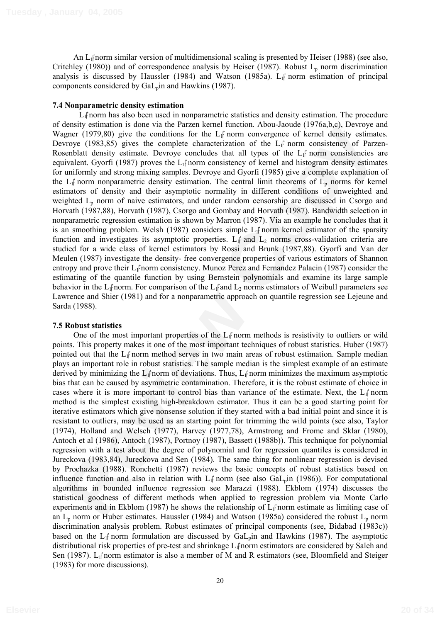An L1 norm similar version of multidimensional scaling is presented by Heiser (1988) (see also, Critchley (1980)) and of correspondence analysis by Heiser (1987). Robust  $L_p$  norm discrimination analysis is discussed by Haussler (1984) and Watson (1985a).  $L_{\parallel}$  norm estimation of principal components considered by  $Gal_p$ in and Hawkins (1987).

## **7.4 Nonparametric density estimation**

 $L_1$  norm has also been used in nonparametric statistics and density estimation. The procedure of density estimation is done via the Parzen kernel function. Abou-Jaoude (1976a,b,c), Devroye and Wagner (1979,80) give the conditions for the  $L_{\parallel}$  norm convergence of kernel density estimates. Devroye (1983,85) gives the complete characterization of the  $L_{\parallel}$  norm consistency of Parzen-Rosenblatt density estimate. Devroye concludes that all types of the  $L_1$  norm consistencies are equivalent. Gyorfi (1987) proves the  $L_1$  norm consistency of kernel and histogram density estimates for uniformly and strong mixing samples. Devroye and Gyorfi (1985) give a complete explanation of the  $L_1$  norm nonparametric density estimation. The central limit theorems of  $L_p$  norms for kernel estimators of density and their asymptotic normality in different conditions of unweighted and weighted  $L<sub>p</sub>$  norm of naive estimators, and under random censorship are discussed in Csorgo and Horvath (1987,88), Horvath (1987), Csorgo and Gombay and Horvath (1987). Bandwidth selection in nonparametric regression estimation is shown by Marron (1987). Via an example he concludes that it is an smoothing problem. Welsh (1987) considers simple  $L_1$  norm kernel estimator of the sparsity function and investigates its asymptotic properties. L<sub>if</sub> and L<sub>2</sub> norms cross-validation criteria are studied for a wide class of kernel estimators by Rossi and Brunk (1987,88). Gyorfi and Van der Meulen (1987) investigate the density- free convergence properties of various estimators of Shannon entropy and prove their  $L_1$ <sup>2</sup> norm consistency. Munoz Perez and Fernandez Palacin (1987) consider the estimating of the quantile function by using Bernstein polynomials and examine its large sample behavior in the L<sub>I</sub><sup>†</sup>norm. For comparison of the L<sub>I</sub><sup>†</sup>and L<sub>2</sub> norms estimators of Weibull parameters see Lawrence and Shier (1981) and for a nonparametric approach on quantile regression see Lejeune and Sarda (1988).

### **7.5 Robust statistics**

Learning Studies and Y and Y and Y and Y and Y and Y and Y and Y and Y and Y and Y and Y and Y and Y and Y and Y and Y and Y and Y and Y and Y and Y and Y and Y and Y and Y and Y and Y and Y and Y and Y and Y and Y and Y a One of the most important properties of the  $L_1$  norm methods is resistivity to outliers or wild points. This property makes it one of the most important techniques of robust statistics. Huber (1987) pointed out that the  $L_1$ <sup> $\uparrow$ </sup> norm method serves in two main areas of robust estimation. Sample median plays an important role in robust statistics. The sample median is the simplest example of an estimate derived by minimizing the  $L_1$  norm of deviations. Thus,  $L_1$  norm minimizes the maximum asymptotic bias that can be caused by asymmetric contamination. Therefore, it is the robust estimate of choice in cases where it is more important to control bias than variance of the estimate. Next, the  $L_1$  norm method is the simplest existing high-breakdown estimator. Thus it can be a good starting point for iterative estimators which give nonsense solution if they started with a bad initial point and since it is resistant to outliers, may be used as an starting point for trimming the wild points (see also, Taylor (1974), Holland and Welsch (1977), Harvey (1977,78), Armstrong and Frome and Sklar (1980), Antoch et al (1986), Antoch (1987), Portnoy (1987), Bassett (1988b)). This technique for polynomial regression with a test about the degree of polynomial and for regression quantiles is considered in Jureckova (1983,84), Jureckova and Sen (1984). The same thing for nonlinear regression is devised by Prochazka (1988). Ronchetti (1987) reviews the basic concepts of robust statistics based on influence function and also in relation with  $L_1$  norm (see also Ga $L_p$ in (1986)). For computational algorithms in bounded influence regression see Marazzi (1988). Ekblom (1974) discusses the statistical goodness of different methods when applied to regression problem via Monte Carlo experiments and in Ekblom (1987) he shows the relationship of  $L_{\parallel}$  norm estimate as limiting case of an  $L_p$  norm or Huber estimates. Haussler (1984) and Watson (1985a) considered the robust  $L_p$  norm discrimination analysis problem. Robust estimates of principal components (see, Bidabad (1983c)) based on the  $L_1$ <sup>t</sup> norm formulation are discussed by  $Gal_p$  in and Hawkins (1987). The asymptotic distributional risk properties of pre-test and shrinkage L<sub>I</sub> norm estimators are considered by Saleh and Sen (1987). L<sub>I</sub><sup>†</sup> norm estimator is also a member of M and R estimators (see, Bloomfield and Steiger (1983) for more discussions).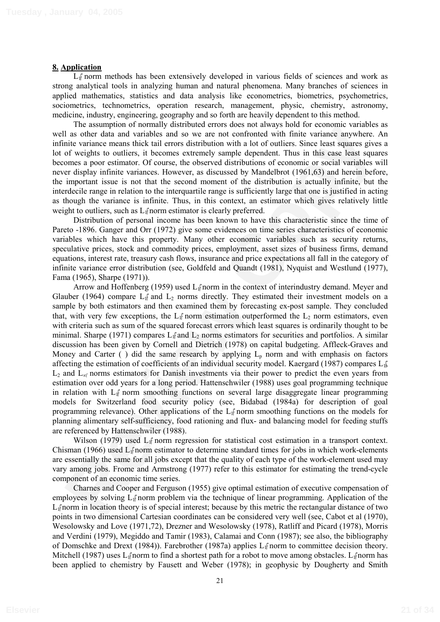#### **8. Application**

 $L_1$  norm methods has been extensively developed in various fields of sciences and work as strong analytical tools in analyzing human and natural phenomena. Many branches of sciences in applied mathematics, statistics and data analysis like econometrics, biometrics, psychometrics, sociometrics, technometrics, operation research, management, physic, chemistry, astronomy, medicine, industry, engineering, geography and so forth are heavily dependent to this method.

The assumption of normally distributed errors does not always hold for economic variables as well as other data and variables and so we are not confronted with finite variance anywhere. An infinite variance means thick tail errors distribution with a lot of outliers. Since least squares gives a lot of weights to outliers, it becomes extremely sample dependent. Thus in this case least squares becomes a poor estimator. Of course, the observed distributions of economic or social variables will never display infinite variances. However, as discussed by Mandelbrot (1961,63) and herein before, the important issue is not that the second moment of the distribution is actually infinite, but the interdecile range in relation to the interquartile range is sufficiently large that one is justified in acting as though the variance is infinite. Thus, in this context, an estimator which gives relatively little weight to outliers, such as  $L_{\parallel}$  norm estimator is clearly preferred.

Distribution of personal income has been known to have this characteristic since the time of Pareto -1896. Ganger and Orr (1972) give some evidences on time series characteristics of economic variables which have this property. Many other economic variables such as security returns, speculative prices, stock and commodity prices, employment, asset sizes of business firms, demand equations, interest rate, treasury cash flows, insurance and price expectations all fall in the category of infinite variance error distribution (see, Goldfeld and Quandt (1981), Nyquist and Westlund (1977), Fama (1965), Sharpe (1971)).

The assumption to administry assumed various observations and a solution and a solution of a solution of the solution of the solution of economic various of the sylution of the sylution of the sylution of the sylution of t Arrow and Hoffenberg (1959) used  $L_1$  norm in the context of interindustry demand. Meyer and Glauber (1964) compare  $L_1$  and  $L_2$  norms directly. They estimated their investment models on a sample by both estimators and then examined them by forecasting ex-post sample. They concluded that, with very few exceptions, the  $L_1$  norm estimation outperformed the  $L_2$  norm estimators, even with criteria such as sum of the squared forecast errors which least squares is ordinarily thought to be minimal. Sharpe (1971) compares  $L_1$  and  $L_2$  norms estimators for securities and portfolios. A similar discussion has been given by Cornell and Dietrich (1978) on capital budgeting. Affleck-Graves and Money and Carter ( ) did the same research by applying  $L_p$  norm and with emphasis on factors affecting the estimation of coefficients of an individual security model. Kaergard (1987) compares  $L_{1\beta}$  $L_2$  and  $L_{\alpha}$  norms estimators for Danish investments via their power to predict the even years from estimation over odd years for a long period. Hattenschwiler (1988) uses goal programming technique in relation with  $L_f$  norm smoothing functions on several large disaggregate linear programming models for Switzerland food security policy (see, Bidabad (1984a) for description of goal programming relevance). Other applications of the  $L_1$  norm smoothing functions on the models for planning alimentary self-sufficiency, food rationing and flux- and balancing model for feeding stuffs are referenced by Hattenschwiler (1988).

Wilson (1979) used  $L_1$  norm regression for statistical cost estimation in a transport context. Chisman (1966) used  $L_1$  norm estimator to determine standard times for jobs in which work-elements are essentially the same for all jobs except that the quality of each type of the work-element used may vary among jobs. Frome and Armstrong (1977) refer to this estimator for estimating the trend-cycle component of an economic time series.

Charnes and Cooper and Ferguson (1955) give optimal estimation of executive compensation of employees by solving L<sub>I</sub> norm problem via the technique of linear programming. Application of the  $L_1$ f norm in location theory is of special interest; because by this metric the rectangular distance of two points in two dimensional Cartesian coordinates can be considered very well (see, Cabot et al (1970), Wesolowsky and Love (1971,72), Drezner and Wesolowsky (1978), Ratliff and Picard (1978), Morris and Verdini (1979), Megiddo and Tamir (1983), Calamai and Conn (1987); see also, the bibliography of Domschke and Drext (1984)). Farebrother (1987a) applies  $L_1$  norm to committee decision theory. Mitchell (1987) uses  $L_i$  norm to find a shortest path for a robot to move among obstacles.  $L_i$  norm has been applied to chemistry by Fausett and Weber (1978); in geophysic by Dougherty and Smith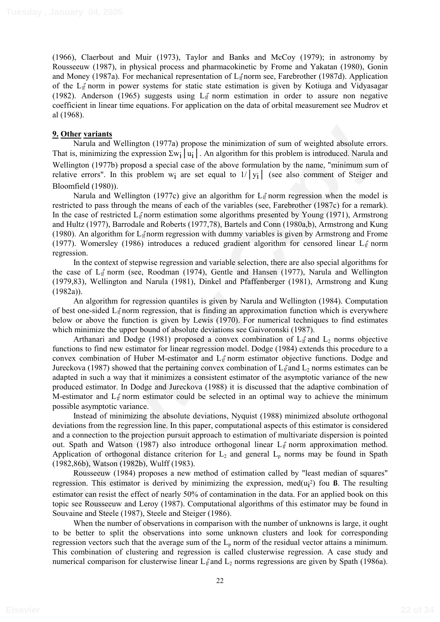(1966), Claerbout and Muir (1973), Taylor and Banks and McCoy (1979); in astronomy by Rousseeuw (1987), in physical process and pharmacokinetic by Frome and Yakatan (1980), Gonin and Money (1987a). For mechanical representation of L<sub>I</sub><sup>†</sup>norm see, Farebrother (1987d). Application of the L1 norm in power systems for static state estimation is given by Kotiuga and Vidyasagar (1982). Anderson (1965) suggests using  $L_1$  norm estimation in order to assure non negative coefficient in linear time equations. For application on the data of orbital measurement see Mudrov et al (1968).

### **9. Other variants**

Narula and Wellington (1977a) propose the minimization of sum of weighted absolute errors. That is, minimizing the expression  $\Sigma w_i |u_i|$ . An algorithm for this problem is introduced. Narula and Wellington (1977b) proposd a special case of the above formulation by the name, "minimum sum of relative errors". In this problem w<sub>i</sub> are set equal to  $1/|y_i|$  (see also comment of Steiger and Bloomfield (1980)).

Narula and Wellington (1977c) give an algorithm for  $L_1$  norm regression when the model is restricted to pass through the means of each of the variables (see, Farebrother (1987c) for a remark). In the case of restricted  $L_{\parallel}$  norm estimation some algorithms presented by Young (1971), Armstrong and Hultz (1977), Barrodale and Roberts (1977,78), Bartels and Conn (1980a,b), Armstrong and Kung (1980). An algorithm for  $L_1$  norm regression with dummy variables is given by Armstrong and Frome (1977). Womersley (1986) introduces a reduced gradient algorithm for censored linear  $L_1$  norm regression.

In the context of stepwise regression and variable selection, there are also special algorithms for the case of L1 norm (see, Roodman (1974), Gentle and Hansen (1977), Narula and Wellington (1979,83), Wellington and Narula (1981), Dinkel and Pfaffenberger (1981), Armstrong and Kung (1982a)).

An algorithm for regression quantiles is given by Narula and Wellington (1984). Computation of best one-sided L<sub>I</sub><sup>†</sup>norm regression, that is finding an approximation function which is everywhere below or above the function is given by Lewis (1970). For numerical techniques to find estimates which minimize the upper bound of absolute deviations see Gaivoronski (1987).

**Nher variants**<br> **Nher variants**<br>
Narius and Wellington (1977a) propose the minimization of sum of weighted absolute errors<br>
Narius and Wellington (1975a) propose a specifical case of the above formulation by the rame, "m Arthanari and Dodge (1981) proposed a convex combination of  $L_1$  and  $L_2$  norms objective functions to find new estimator for linear regression model. Dodge (1984) extends this procedure to a convex combination of Huber M-estimator and  $L_1$ <sup> $\uparrow$ </sup> norm estimator objective functions. Dodge and Jureckova (1987) showed that the pertaining convex combination of  $L_1$  and  $L_2$  norms estimates can be adapted in such a way that it minimizes a consistent estimator of the asymptotic variance of the new produced estimator. In Dodge and Jureckova (1988) it is discussed that the adaptive combination of M-estimator and  $L_1$  norm estimator could be selected in an optimal way to achieve the minimum possible asymptotic variance.

Instead of minimizing the absolute deviations, Nyquist (1988) minimized absolute orthogonal deviations from the regression line. In this paper, computational aspects of this estimator is considered and a connection to the projection pursuit approach to estimation of multivariate dispersion is pointed out. Spath and Watson (1987) also introduce orthogonal linear  $L_{\parallel}$  norm approximation method. Application of orthogonal distance criterion for  $L_2$  and general  $L_p$  norms may be found in Spath (1982,86b), Watson (1982b), Wulff (1983).

Rousseeuw (1984) proposes a new method of estimation called by "least median of squares" regression. This estimator is derived by minimizing the expression, med(ui 2) fou **ß**. The resulting estimator can resist the effect of nearly 50% of contamination in the data. For an applied book on this topic see Rousseeuw and Leroy (1987). Computational algorithms of this estimator may be found in Souvaine and Steele (1987), Steele and Steiger (1986).

When the number of observations in comparison with the number of unknowns is large, it ought to be better to split the observations into some unknown clusters and look for corresponding regression vectors such that the average sum of the  $L_p$  norm of the residual vector attains a minimum. This combination of clustering and regression is called clusterwise regression. A case study and numerical comparison for clusterwise linear  $L_1$  and  $L_2$  norms regressions are given by Spath (1986a).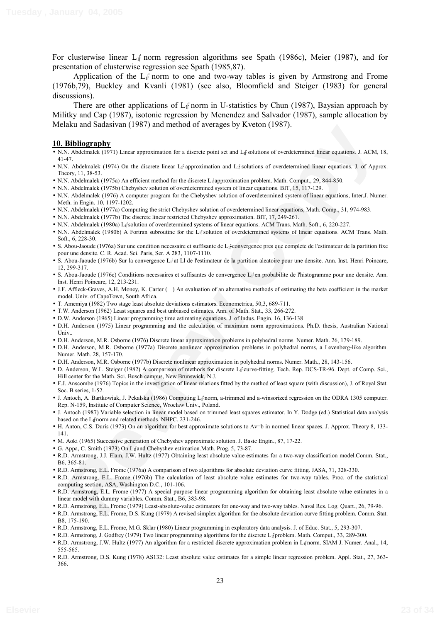For clusterwise linear  $L_1$ <sup>e</sup> norm regression algorithms see Spath (1986c), Meier (1987), and for presentation of clusterwise regression see Spath (1985,87).

Application of the  $L_1$ <sup> $\uparrow$ </sup> norm to one and two-way tables is given by Armstrong and Frome (1976b,79), Buckley and Kvanli (1981) (see also, Bloomfield and Steiger (1983) for general discussions).

There are other applications of  $L_1$ <sup> $\uparrow$ </sup> norm in U-statistics by Chun (1987), Baysian approach by Militky and Cap (1987), isotonic regression by Menendez and Salvador (1987), sample allocation by Melaku and Sadasivan (1987) and method of averages by Kveton (1987).

#### **10. Bibliography**

- intax and Absolute (1980) is hard the time of the results of the blue temperature of the state of the state of the state of the state of the state of the state of the state of the state of the state of the state of the sta • N.N. Abdelmalek (1971) Linear approximation for a discrete point set and L<sub>I</sub>f solutions of overdetermined linear equations. J. ACM, 18, 41-47.
- N.N. Abdelmalek (1974) On the discrete linear  $L_1$  approximation and  $L_1$  solutions of overdetermined linear equations. J. of Approx. Theory, 11, 38-53.
- N.N. Abdelmalek (1975a) An efficient method for the discrete L<sub>If</sub> approximation problem. Math. Comput., 29, 844-850.
- N.N. Abdelmalek (1975b) Chebyshev solution of overdetermined system of linear equations. BIT, 15, 117-129.
- N.N. Abdelmalek (1976) A computer program for the Chebyshev solution of overdetermined system of linear equations, Inter.J. Numer. Meth. in Engin. 10, 1197-1202.
- N.N. Abdelmalek (1977a) Computing the strict Chebyshev solution of overdetermined linear equations, Math. Comp., 31, 974-983.
- N.N. Abdelmalek (1977b) The discrete linear restricted Chebyshev approximation. BIT, 17, 249-261.
- N.N. Abdelmalek (1980a) L<sub>I</sub>fsolution of overdetermined systems of linear equations. ACM Trans. Math. Soft., 6, 220-227.
- N.N. Abdelmalek (1980b) A Fortran subroutine for the L<sub>I</sub>f solution of overdetermined systems of linear equations. ACM Trans. Math. Soft., 6, 228-30.
- S. Abou-Jaoude (1976a) Sur une condition necessaire et suffisante de L1 -convergence pres que complete de l'estimateur de la partition fixe pour une densite. C. R. Acad. Sci. Paris, Ser. A 283, 1107-1110.
- S. Abou-Jaoude (1976b) Sur la convergence  $L_i$ <sup>a</sup> at Ll de l'estimateur de la partition aleatoire pour une densite. Ann. Inst. Henri Poincare, 12, 299-317.
- · S. Abou-Jaoude (1976c) Conditions necessaires et suffisantes de convergence L<sub>If</sub>en probabilite de l'histogramme pour une densite. Ann. Inst. Henri Poincare, 12, 213-231.
- J.F. Affleck-Graves, A.H. Money, K. Carter ( ) An evaluation of an alternative methods of estimating the beta coefficient in the market model. Univ. of CapeTown, South Africa.
- T. Amemiya (1982) Two stage least absolute deviations estimators. Econometrica, 50,3, 689-711.
- T.W. Anderson (1962) Least squares and best unbiased estimates. Ann. of Math. Stat., 33, 266-272.
- D.W. Anderson (1965) Linear programming time estimating equations. J. of Indus. Engin. 16, 136-138
- D.H. Anderson (1975) Linear programming and the calculation of maximum norm approximations. Ph.D. thesis, Australian National Univ..
- D.H. Anderson, M.R. Osborne (1976) Discrete linear approximation problems in polyhedral norms. Numer. Math. 26, 179-189.
- D.H. Anderson, M.R. Osborne (1977a) Discrete nonlinear approximation problems in polyhedral norms, a Levenberg-like algorithm. Numer. Math. 28, 157-170.
- D.H. Anderson, M.R. Osborne (1977b) Discrete nonlinear approximation in polyhedral norms. Numer. Math., 28, 143-156.
- D. Anderson, W.L. Steiger (1982) A comparison of methods for discrete L<sub>I</sub><sup>r</sup>curve-fitting. Tech. Rep. DCS-TR-96. Dept. of Comp. Sci., Hill center for the Math. Sci. Busch campus, New Brunswick, N.J.
- F.J. Anscombe (1976) Topics in the investigation of linear relations fitted by the method of least square (with discussion), J. of Royal Stat. Soc. B series, 1-52.
- J. Antoch, A. Bartkowiak, J. Pekalska (1986) Computing L<sub>if</sub>norm, a-trimmed and a-winsorized regression on the ODRA 1305 computer. Rep. N-159, Institute of Computer Science, Wroclaw Univ., Poland.
- J. Antoch (1987) Variable selection in linear model based on trimmed least squares estimator. In Y. Dodge (ed.) Statistical data analysis based on the L<sub>I</sub><sup>r</sup>norm and related methods. NHPC. 231-246.
- H. Anton, C.S. Duris (1973) On an algorithm for best approximate solutions to Av=b in normed linear spaces. J. Approx. Theory 8, 133- 141.
- M. Aoki (1965) Successive generation of Chebyshev approximate solution. J. Basic Engin., 87, 17-22.
- G. Appa, C. Smith (1973) On L<sub>I</sub>f and Chebyshev estimation. Math. Prog. 5, 73-87.
- R.D. Armstrong, J.J. Elam, J.W. Hultz (1977) Obtaining least absolute value estimates for a two-way classification model.Comm. Stat., B6, 365-81.
- R.D. Armstrong, E.L. Frome (1976a) A comparison of two algorithms for absolute deviation curve fitting. JASA, 71, 328-330.
- R.D. Armstrong, E.L. Frome (1976b) The calculation of least absolute value estimates for two-way tables. Proc. of the statistical computing section, ASA, Washington D.C., 101-106.
- R.D. Armstrong, E.L. Frome (1977) A special purpose linear programming algorithm for obtaining least absolute value estimates in a linear model with dummy variables. Comm. Stat., B6, 383-98.
- R.D. Armstrong, E.L. Frome (1979) Least-absolute-value estimators for one-way and two-way tables. Naval Res. Log. Quart., 26, 79-96.
- R.D. Armstrong, E.L. Frome, D.S. Kung (1979) A revised simplex algorithm for the absolute deviation curve fitting problem. Comm. Stat. B8, 175-190.
- R.D. Armstrong, E.L. Frome, M.G. Sklar (1980) Linear programming in exploratory data analysis. J. of Educ. Stat., 5, 293-307.
- R.D. Armstrong, J. Godfrey (1979) Two linear programming algorithms for the discrete L<sub>i</sub><sup>t</sup>problem. Math. Comput., 33, 289-300.
- R.D. Armstrong, J.W. Hultz (1977) An algorithm for a restricted discrete approximation problem in L<sub>If</sub>norm. SIAM J. Numer. Anal., 14, 555-565.
- R.D. Armstrong, D.S. Kung (1978) AS132: Least absolute value estimates for a simple linear regression problem. Appl. Stat., 27, 363- 366.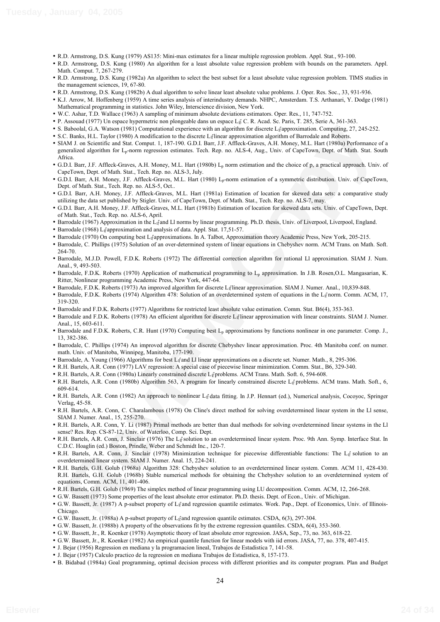- R.D. Armstrong, D.S. Kung (1979) AS135: Mini-max estimates for a linear multiple regression problem. Appl. Stat., 93-100.
- R.D. Armstrong, D.S. Kung (1980) An algorithm for a least absolute value regression problem with bounds on the parameters. Appl. Math. Comput. 7, 267-279.
- R.D. Armstrong, D.S. Kung (1982a) An algorithm to select the best subset for a least absolute value regression problem. TIMS studies in the management sciences, 19, 67-80.
- R.D. Armstrong, D.S. Kung (1982b) A dual algorithm to solve linear least absolute value problems. J. Oper. Res. Soc., 33, 931-936.
- K.J. Arrow, M. Hoffenberg (1959) A time series analysis of interindustry demands. NHPC, Amsterdam. T.S. Arthanari, Y. Dodge (1981) Mathematical programming in statistics. John Wiley, Interscience division, New York.
- W.C. Ashar, T.D. Wallace (1963) A sampling of minimum absolute deviations estimators. Oper. Res., 11, 747-752.
- P. Assouad (1977) Un espace hypermetric non plongeable dans un espace L<sub>If</sub> C. R. Acad. Sc. Paris, T. 285, Serie A, 361-363.
- S. Baboolal, G.A. Watson (1981) Computational experience with an algorithm for discrete L<sub>If</sub> approximation. Computing, 27, 245-252.
- S.C. Banks, H.L. Taylor (1980) A modification to the discrete L1 linear approximation algorithm of Barrodale and Roberts.
- Babodi CA. Wannel (1981) Computission when its also that include the tractive legrestion Copy<br>interaction of the state of the state of the state of the state of the state of the state of the state of the state of the state • SIAM J. on Scientific and Stat. Comput. 1, 187-190. G.D.I. Barr, J.F. Affleck-Graves, A.H. Money, M.L. Hart (1980a) Performance of a generalized algorithm for L<sub>p</sub>-norm regression estimates. Tech. Rep. no. ALS-4, Aug., Univ. of CapeTown, Dept. of Math. Stat. South Africa.
- G.D.I. Barr, J.F. Affleck-Graves, A.H. Money, M.L. Hart (1980b) L<sub>p</sub> norm estimation and the choice of p, a practical approach. Univ. of CapeTown, Dept. of Math. Stat., Tech. Rep. no. ALS-3, July.
- G.D.I. Barr, A.H. Money, J.F. Affleck-Graves, M.L. Hart (1980) Lp-norm estimation of a symmetric distribution. Univ. of CapeTown, Dept. of Math. Stat., Tech. Rep. no. ALS-5, Oct..
- G.D.I. Barr, A.H. Money, J.F. Affleck-Graves, M.L. Hart (1981a) Estimation of location for skewed data sets: a comparative study utilizing the data set published by Stigler. Univ. of CapeTown, Dept. of Math. Stat., Tech. Rep. no. ALS-7, may.
- G.D.I. Barr, A.H. Money, J.F. Affleck-Graves, M.L. Hart (1981b) Estimation of location for skewed data sets. Univ. of CapeTown, Dept. of Math. Stat., Tech. Rep. no. ALS-6, April.
- Barrodale (1967) Approximation in the L<sub>if</sub>and Ll norms by linear programming. Ph.D. thesis, Univ. of Liverpool, Liverpool, England.
- Barrodale (1968) L<sub>if</sub> approximation and analysis of data. Appl. Stat. 17,51-57.
- Barrodale (1970) On computing best L<sub>I</sub><sup>e</sup> approximations. In A. Talbot, Approximation theory Academic Press, New York, 205-215.
- Barrodale, C. Phillips (1975) Solution of an over-determined system of linear equations in Chebyshev norm. ACM Trans. on Math. Soft. 264-70.
- Barrodale, M.J.D. Powell, F.D.K. Roberts (1972) The differential correction algorithm for rational Ll approximation. SIAM J. Num. Anal., 9, 493-503.
- Barrodale, F.D.K. Roberts (1970) Application of mathematical programming to Lp approximation. In J.B. Rosen,O.L. Mangasarian, K. Ritter, Nonlinear programming Academic Press, New York, 447-64.
- Barrodale, F.D.K. Roberts (1973) An improved algorithm for discrete L1 linear approximation. SIAM J. Numer. Anal., 10,839-848.
- Barrodale, F.D.K. Roberts (1974) Algorithm 478: Solution of an overdetermined system of equations in the L<sub>II</sub> norm. Comm. ACM, 17, 319-320.
- Barrodale and F.D.K. Roberts (1977) Algorithms for restricted least absolute value estimation. Comm. Stat. B6(4), 353-363.
- Barrodale and F.D.K. Roberts (1978) An efficient algorithm for discrete L<sub>If</sub>linear approximation with linear constraints. SIAM J. Numer. Anal., 15, 603-611.
- Barrodale and F.D.K. Roberts, C.R. Hunt (1970) Computing best Lp approximations by functions nonlinear in one parameter. Comp. J., 13, 382-386.
- Barrodale, C. Phillips (1974) An improved algorithm for discrete Chebyshev linear approximation. Proc. 4th Manitoba conf. on numer. math. Univ. of Manitoba, Winnipeg, Manitoba, 177-190.
- Barrodale, A. Young (1966) Algorithms for best L<sub>If</sub> and LI linear approximations on a discrete set. Numer. Math., 8, 295-306.
- R.H. Bartels, A.R. Conn (1977) LAV regression: A special case of piecewise linear minimization. Comm. Stat., B6, 329-340.
- R.H. Bartels, A.R. Conn (1980a) Linearly constrained discrete L<sub>I</sub>f problems. ACM Trans. Math. Soft. 6, 594-608.
- R.H. Bartels, A.R. Conn (1980b) Algorithm 563, A program for linearly constrained discrete L<sub>I</sub>f problems. ACM trans. Math. Soft., 6, 609-614.
- R.H. Bartels, A.R. Conn (1982) An approach to nonlinear L<sub>if</sub> data fitting. In J.P. Hennart (ed.), Numerical analysis, Cocoyoc, Springer Verlag, 45-58.
- R.H. Bartels, A.R. Conn, C. Charalambous (1978) On Cline's direct method for solving overdetermined linear system in the Ll sense, SIAM J. Numer. Anal., 15, 255-270.
- R.H. Bartels, A.R. Conn, Y. Li (1987) Primal methods are better than dual methods for solving overdetermined linear systems in the Ll sense? Res. Rep. CS-87-12, Univ. of Waterloo, Comp. Sci. Dept.
- R.H. Bartels, A.R. Conn, J. Sinclair (1976) The L<sub>il</sub><sup>s</sup>solution to an overdetermined linear system. Proc. 9th Ann. Symp. Interface Stat. In C.D.C. Hoaglin (ed.) Boston, Prindle, Weber and Schmidt Inc., 120-7.
- R.H. Bartels, A.R. Conn, J. Sinclair (1978) Minimization technique for piecewise differentiable functions: The L<sub>If</sub> solution to an overdetermined linear system. SIAM J. Numer. Anal. 15, 224-241.
- R.H. Bartels, G.H. Golub (1968a) Algorithm 328: Chebyshev solution to an overdetermined linear system. Comm. ACM 11, 428-430. R.H. Bartels, G.H. Golub (1968b) Stable numerical methods for obtaining the Chebyshev solution to an overdetermined system of equations, Comm. ACM, 11, 401-406.
- R.H. Bartels, G.H. Golub (1969) The simplex method of linear programming using LU decomposition. Comm. ACM, 12, 266-268.
- G.W. Bassett (1973) Some properties of the least absolute error estimator. Ph.D. thesis. Dept. of Econ., Univ. of Michigan.
- G.W. Bassett, Jr. (1987) A p-subset property of L<sub>If</sub> and regression quantile estimates. Work. Pap., Dept. of Economics, Univ. of Illinois-Chicago.
- G.W. Bassett, Jr. (1988a) A p-subset property of L<sub>If</sub> and regression quantile estimates. CSDA, 6(3), 297-304.
- G.W. Bassett, Jr. (1988b) A property of the observations fit by the extreme regression quantiles. CSDA, 6(4), 353-360.
- G.W. Bassett, Jr., R. Koenker (1978) Asymptotic theory of least absolute error regression. JASA, Sep., 73, no. 363, 618-22.
- G.W. Bassett, Jr., R. Koenker (1982) An empirical quantile function for linear models with iid errors. JASA, 77, no. 378, 407-415.
- J. Bejar (1956) Regression en mediana y la programacion lineal, Trabajos de Estadistica 7, 141-58.
- J. Bejar (1957) Calculo practico de la regression en mediana Trabajos de Estadistica, 8, 157-173.
- B. Bidabad (1984a) Goal programming, optimal decision process with different priorities and its computer program. Plan and Budget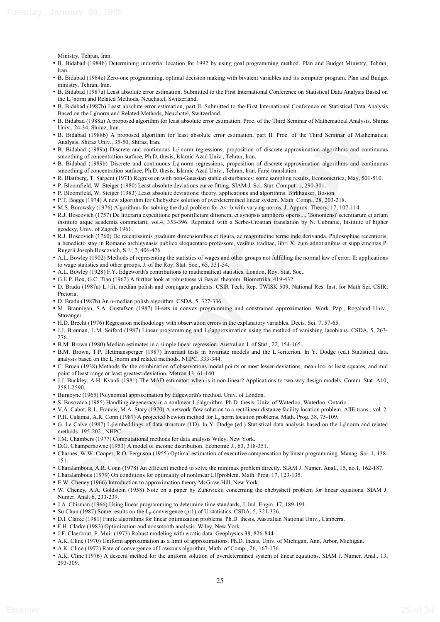Ministry, Tehran, Iran.

- B. Bidabad (1984b) Determining industrial location for 1992 by using goal programming method. Plan and Budget Ministry, Tehran, Iran.
- B. Bidabad (1984c) Zero-one programming, optimal decision making with bivalent variables and its computer program. Plan and Budget ministry, Tehran, Iran.
- B. Bidabad (1987a) Least absolute error estimation. Submitted to the First International Conference on Statistical Data Analysis Based on the L1 norm and Related Methods, Neuchatel, Switzerland.
- B. Bidabad (1987b) Least absolute error estimation, part II. Submitted to the First International Conference on Statistical Data Analysis Based on the L<sub>I</sub><sup>r</sup>norm and Related Methods, Neuchatel, Switzerland.
- B. Bidabad (1988a) A proposed algorithm for least absolute error estimation. Proc. of the Third Seminar of Mathematical Analysis. Shiraz Univ., 24-34, Shiraz, Iran.
- B. Bidabad (1988b) A proposed algorithm for least absolute error estimation, part II. Proc. of the Third Seminar of Mathematical Analysis, Shiraz Univ., 35-50, Shiraz, Iran.
- B. Bidabad (1989a) Discrete and continuous L<sub>II</sub> norm regressions, proposition of discrete approximation algorithms and continuous smoothing of concentration surface, Ph.D. thesis, Islamic Azad Univ., Tehran, Iran.
- B. Bidabad (1989b) Discrete and continuous L<sub>II</sub> norm regressions, proposition of discrete approximation algorithms and continuous smoothing of concentration surface, Ph.D. thesis, Islamic Azad Univ., Tehran, Iran. Farsi translation.
- R. Blattberg, T. Sargent (1971) Regression with non-Gaussian stable disturbances: some sampling results, Econometrica, May, 501-510.
- P. Bloomfield, W. Steiger (1980) Least absolute deviations curve fitting. SIAM J. Sci. Stat. Comput. 1, 290-301.
- P. Bloomfield, W. Steiger (1983) Least absolute deviations: theory, applications and algorithms. Birkhauser, Boston.
- P.T. Boggs (1974) A new algorithm for Chebyshev solution of overdetermined linear system. Math. Comp., 28, 203-218.
- M.S. Borowsky (1976) Algorithms for solving the dual problem for Av=b with varying norms. J. Approx. Theory, 17, 107-114.
- R.J. Boscovich (1757) De litteraria expeditione per pontificiam ditionem, et synopsis amplioris operis..., 'Bononiensi' scientiarum et artum instituto atque academia commetarii, vol.4, 353-396. Reprinted with a Serbo-Croatian translation by N. Cubranic, Institute of higher geodesy, Univ. of Zagreb 1961.
- ive, 34-3, Shark line, Review algorithm lie lear absolute enve extinsion, part II Proc. of the Third Simurat of Mahematica<br>
Balaka (1998) A proposed algorithm lie lears absolute enve extinsion, proposition of diseast, appr • R.J. Boscovich (1760) De recentissimis graduum dimensionibus et figura, ac magnitudine terrae inde derivanda. Philosophiae recentioris, a benedicto stay in Romano archigynasis publico eloquentare professore, vesibus traditae, libri X, cum adnotianibus et supplementas P. Rugerii Joseph Boscovich, S.J., 2, 406-426.
- A.L. Bowley (1902) Methods of representing the statistics of wages and other groups not fulfilling the normal law of error, II: applications to wage statistics and other groups. J. of the Roy. Stat. Soc., 65, 331-54.
- A.L. Bowley (1928) F.Y. Edgeworth's contributions to mathematical statistics. London, Roy. Stat. Soc..
- G.E.P. Box, G.C. Tiao (1962) A further look at robustness vi Bayes' theorem. Biometrika, 419-432.
- D. Bradu (1987a) L1 fit, median polish and conjugate gradients. CSIR Tech. Rep. TWISK 509, National Res. Inst. for Math Sci. CSIR, Pretoria.
- D. Bradu (1987b) An n-median polish algorithm. CSDA, 5, 327-336.
- M. Brannigan, S.A. Gustafson (1987) H-sets in convex programming and constrained approximation. Work. Pap., Rogaland Univ., Stavanger.
- H.D. Brecht (1976) Regression methodology with observation errors in the explanatory variables. Decis. Sci. 7, 57-65.
- J.J. Brennan, L.M. Seiford (1987) Linear programming and Lif approximation using the method of vanishing Jacobians. CSDA, 5, 263-276.
- B.M. Brown (1980) Median estimates in a simple linear regression. Australian J. of Stat., 22, 154-165.
- B.M. Brown, T.P. Hettmansperger (1987) Invariant tests in bivariate models and the L<sub>I</sub><sup>2</sup>criterion. In Y. Dodge (ed.) Statistical data analysis based on the  $L_1$  norm and related methods, NHPC, 333-344.
- C. Bruen (1938) Methods for the combination of observations modal points or most lesser-deviations, mean loci or least squares, and mid point of least range or least greatest-deviation. Metron 13, 61-140.
- J.J. Buckley, A.H. Kvanli (1981) The MAD estimator: when is it non-linear? Applications to two-way design models. Comm. Stat. A10, 2581-2590.
- Burgoyne (1965) Polynomial approximation by Edgeworth's method. Univ. of London.
- S. Busovaca (1985) Handling degeneracy in a nonlinear L<sub>if</sub>algorithm. Ph.D. thesis, Univ. of Waterloo, Waterloo, Ontario.
- V.A. Cabot, R.L. Francis, M.A. Stary (1970) A network flow solution to a rectilinear distance facility location problem. AIIE trans., vol. 2.
- P.H. Calamai, A.R. Conn (1987) A projected Newton method for  $L_p$  norm location problems. Math. Prog. 38, 75-109.
- G. Le Calve (1987) L<sub>i</sub><sup>t</sup>embeddings of data structure (I,D). In Y. Dodge (ed.) Statistical data analysis based on the L<sub>i</sub><sup>t</sup>norm and related methods. 195-202., NHPC.
- J.M. Chambers (1977) Computational methods for data analysis Wiley, New York.
- D.G. Champernowne (1953) A model of income distribution. Economic J., 63, 318-351.
- Charnes, W.W. Cooper, R.O. Ferguson (1955) Optimal estimation of executive compensation by linear programming. Manag. Sci. 1, 138- 151.
- Charalambous, A.R. Conn (1978) An efficient method to solve the minimax problem directly. SIAM J. Numer. Anal., 15, no.1, 162-187.
- Charalambous (1979) On conditions for optimality of nonlinear L1 problem. Math. Prog. 17, 123-135.
- E.W. Cheney (1966) Introduction to approximation theory McGraw-Hill, New York.
- W. Cheney, A.A. Goldstein (1958) Note on a paper by Zuhovickii concerning the chebysheff problem for linear equations. SIAM J. Numer. Anal. 6, 233-239.
- J.A. Chisman (1966) Using linear programming to determine time standards, J. Ind. Engin. 17, 189-191.
- Su Chun (1987) Some results on the Lp-convergence (pr1) of U-statistics. CSDA, 5, 321-326.
- D.I. Clarke (1981) Finite algorithms for linear optimization problems. Ph.D. thesis, Australian National Univ., Canberra.
- F.H. Clarke (1983) Optimization and nonsmooth analysis. Wiley, New York.
- J.F. Claerbout, F. Muir (1973) Robust modeling with erratic data. Geophysics 38, 826-844.
- A.K. Cline (1970) Uniform approximation as a limit of approximations. Ph.D. thesis, Univ. of Michigan, Ann, Arbor, Michigan.
- A.K. Cline (1972) Rate of convergence of Lawson's algorithm, Math. of Comp., 26, 167-176.
- A.K. Cline (1976) A descent method for the uniform solution of overdetermined system of linear equations. SIAM J. Numer. Anal., 13, 293-309.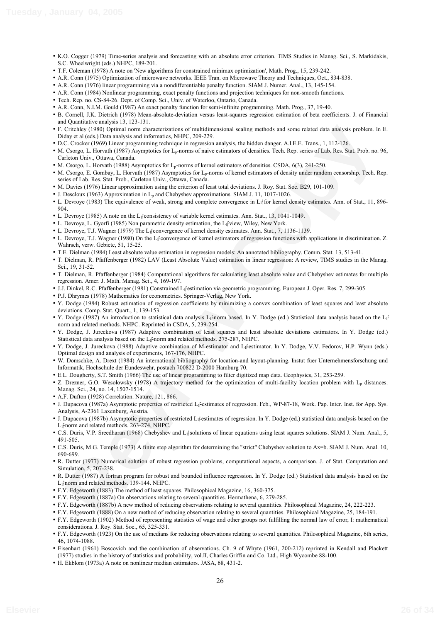- K.O. Cogger (1979) Time-series analysis and forecasting with an absolute error criterion. TIMS Studies in Manag. Sci., S. Markidakis, S.C. Wheelwright (eds.) NHPC, 189-201.
- T.F. Coleman (1978) A note on 'New algorithms for constrained minimax optimization', Math. Prog., 15, 239-242.
- A.R. Conn (1975) Optimization of microwave networks. IEEE Tran. on Microwave Theory and Techniques, Oct., 834-838.
- A.R. Conn (1976) linear programming via a nondifferentiable penalty function. SIAM J. Numer. Anal., 13, 145-154.
- A.R. Conn (1984) Nonlinear programming, exact penalty functions and projection techniques for non-smooth functions.
- Tech. Rep. no. CS-84-26. Dept. of Comp. Sci., Univ. of Waterloo, Ontario, Canada.
- A.R. Conn, N.I.M. Gould (1987) An exact penalty function for semi-infinite programming. Math. Prog., 37, 19-40.
- B. Cornell, J.K. Dietrich (1978) Mean-absolute-deviation versus least-squares regression estimation of beta coefficients. J. of Financial and Quantitative analysis 13, 123-131.
- F. Critchley (1980) Optimal norm characterizations of multidimensional scaling methods and some related data analysis problem. In E. Diday et al (eds.) Data analysis and informatics, NHPC, 209-229.
- D.C. Crocker (1969) Linear programming technique in regression analysis, the hidden danger. A.I.E.E. Trans., 1, 112-126.
- M. Csorgo, L. Horvath (1987) Asymptotics for Lp-norms of naive estimators of densities. Tech. Rep. series of Lab. Res. Stat. Prob. no. 96, Carleton Univ., Ottawa, Canada.
- M. Csorgo, L. Horvath (1988) Asymptotics for Lp-norms of kernel estimators of densities. CSDA, 6(3), 241-250.
- Colock (1980) Quan loands the strengtheories of the ministerior in the strengtheories (1981) Contact (1981) Copy (1981) Copy (1981) Copy (1981) Copy (1981) Copy (1981) Copy (1981) Copy (1981) Copy (1981) Copy (1981) Copy ( • M. Csorgo, E. Gombay, L. Horvath (1987) Asymptotics for L<sub>p</sub>-norms of kernel estimators of density under random censorship. Tech. Rep. series of Lab. Res. Stat. Prob., Carleton Univ., Ottawa, Canada.
- M. Davies (1976) Linear approximation using the criterion of least total deviations. J. Roy. Stat. Soc. B29, 101-109.
- J. Descloux (1963) Approximation in  $L<sub>p</sub>$  and Chebyshev approximations. SIAM J. 11, 1017-1026.
- L. Devroye (1983) The equivalence of weak, strong and complete convergence in  $L_{\parallel}$  for kernel density estimates. Ann. of Stat., 11, 896-904.
- L. Devroye (1985) A note on the L<sub>II</sub><sup>†</sup>consistency of variable kernel estimates. Ann. Stat., 13, 1041-1049.
- L. Devroye, L. Gyorfi (1985) Non parametric density estimation, the L<sub>I</sub><sup>†</sup>view, Wiley, New York.
- L. Devroye, T.J. Wagner (1979) The L<sub>I</sub><sup>r</sup>convergence of kernel density estimates. Ann. Stat., 7, 1136-1139.
- L. Devroye, T.J. Wagner (1980) On the L<sub>if</sub>convergence of kernel estimators of regression functions with applications in discrimination. Z. Wahrsch, verw. Gebiete, 51, 15-25.
- T.E. Dielman (1984) Least absolute value estimation in regression models: An annotated bibliography. Comm. Stat. 13, 513-41.
- T. Dielman, R. Pfaffenberger (1982) LAV (Least Absolute Value) estimation in linear regression: A review, TIMS studies in the Manag. Sci., 19, 31-52.
- T. Dielman, R. Pfaffenberger (1984) Computational algorithms for calculating least absolute value and Chebyshev estimates for multiple regression. Amer. J. Math. Manag. Sci., 4, 169-197.
- J.J. Dinkel, R.C. Pfaffenberger (1981) Constrained L<sub>if</sub>estimation via geometric programming. European J. Oper. Res. 7, 299-305.
- P.J. Dhrymes (1978) Mathematics for econometrics. Springer-Verlag, New York.
- Y. Dodge (1984) Robust estimation of regression coefficients by minimizing a convex combination of least squares and least absolute deviations. Comp. Stat. Quart., 1, 139-153.
- Y. Dodge (1987) An introduction to statistical data analysis L<sub>i</sub>fnorm based. In Y. Dodge (ed.) Statistical data analysis based on the L<sub>i</sub> ĺ norm and related methods. NHPC. Reprinted in CSDA, 5, 239-254.
- Y. Dodge, J. Jureckova (1987) Adaptive combination of least squares and least absolute deviations estimators. In Y. Dodge (ed.) Statistical data analysis based on the  $L_1$ <sup>2</sup> norm and related methods. 275-287, NHPC.
- · Y. Dodge, J. Jureckova (1988) Adaptive combination of M-estimator and Lifestimator. In Y. Dodge, V.V. Fedorov, H.P. Wynn (eds.) Optimal design and analysis of experiments, 167-176, NHPC.
- W. Domschke, A. Drext (1984) An international bibliography for location-and layout-planning. Instut fuer Unternehmensforschung und Informatik, Hochschule der Eundeswehr, postach 700822 D-2000 Hamburg 70.
- E.L. Dougherty, S.T. Smith (1966) The use of linear programming to filter digitized map data. Geophysics, 31, 253-259.
- Z. Drezner, G.O. Wesolowsky (1978) A trajectory method for the optimization of multi-facility location problem with Lp distances. Manag. Sci., 24, no. 14, 1507-1514.
- A.F. Dufton (1928) Correlation. Nature, 121, 866.
- · J. Dupacova (1987a) Asymptotic properties of restricted Lifestimates of regression. Feb., WP-87-18, Work. Pap. Inter. Inst. for App. Sys. Analysis, A-2361 Laxenburg, Austria.
- J. Dupacova (1987b) Asymptotic properties of restricted L<sub>I</sub>f-estimates of regression. In Y. Dodge (ed.) statistical data analysis based on the L<sub>I</sub><sup>k</sup>norm and related methods. 263-274, NHPC.
- C.S. Duris, V.P. Sreedharan (1968) Chebyshev and L<sub>if</sub>'solutions of linear equations using least squares solutions. SIAM J. Num. Anal., 5, 491-505.
- C.S. Duris, M.G. Temple (1973) A finite step algorithm for determining the "strict" Chebyshev solution to Ax=b. SIAM J. Num. Anal. 10, 690-699.
- R. Dutter (1977) Numerical solution of robust regression problems, computational aspects, a comparison. J. of Stat. Computation and Simulation, 5, 207-238.
- R. Dutter (1987) A fortran program for robust and bounded influence regression. In Y. Dodge (ed.) Statistical data analysis based on the L<sub>I</sub>fnorm and related methods. 139-144. NHPC.
- F.Y. Edgeworth (1883) The method of least squares. Philosophical Magazine, 16, 360-375.
- F.Y. Edgeworth (1887a) On observations relating to several quantities. Hermathena, 6, 279-285.
- F.Y. Edgeworth (1887b) A new method of reducing observations relating to several quantities. Philosophical Magazine, 24, 222-223.
- F.Y. Edgeworth (1888) On a new method of reducing observation relating to several quantities. Philosophical Magazine, 25, 184-191.
- F.Y. Edgeworth (1902) Method of representing statistics of wage and other groups not fulfilling the normal law of error, I: mathematical considerations. J. Roy. Stat. Soc., 65, 325-331.
- F.Y. Edgeworth (1923) On the use of medians for reducing observations relating to several quantities. Philosophical Magazine, 6th series, 46, 1074-1088.
- Eisenhart (1961) Boscovich and the combination of observations. Ch. 9 of Whyte (1961, 200-212) reprinted in Kendall and Plackett (1977) studies in the history of statistics and probability, vol.II, Charles Griffin and Co. Ltd., High Wycombe 88-100.
- H. Ekblom (1973a) A note on nonlinear median estimators. JASA, 68, 431-2.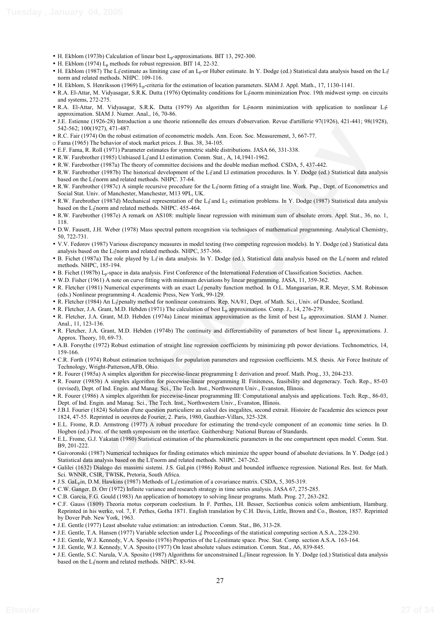- H. Ekblom (1973b) Calculation of linear best L<sub>p</sub>-approximations. BIT 13, 292-300.
- H. Ekblom (1974)  $L_p$  methods for robust regression. BIT 14, 22-32.
- H. Ekblom (1987) The L<sub>if</sub>estimate as limiting case of an L<sub>p</sub>-or Huber estimate. In Y. Dodge (ed.) Statistical data analysis based on the L<sub>i</sub> ĺ norm and related methods. NHPC. 109-116.
- H. Ekblom, S. Henriksson (1969) Lp-criteria for the estimation of location parameters. SIAM J. Appl. Math., 17, 1130-1141.
- R.A. El-Attar, M. Vidyasagar, S.R.K. Dutta (1976) Optimality conditions for L<sub>I</sub><sup>2</sup>norm minimization Proc. 19th midwest symp. on circuits and systems, 272-275.
- · R.A. El-Attar, M. Vidyasagar, S.R.K. Dutta (1979) An algorithm for L<sub>li</sub>norm minimization with application to nonlinear L<sub>li</sub> approximation. SIAM J. Numer. Anal., 16, 70-86.
- J.E. Estienne (1926-28) Introduction a une theorie rationnelle des erreurs d'observation. Revue d'artillerie 97(1926), 421-441; 98(1928), 542-562; 100(1927), 471-487.
- R.C. Fair (1974) On the robust estimation of econometric models. Ann. Econ. Soc. Measurement, 3, 667-77.
- o Fama (1965) The behavior of stock market prices. J. Bus. 38, 34-105.
- E.F. Fama, R. Roll (1971) Parameter estimates for symmetric stable distributions. JASA 66, 331-338.
- R.W. Farebrother (1985) Unbiased L<sub>If</sub> and Ll estimation. Comm. Stat., A, 14, 1941-1962.
- R.W. Farebrother (1987a) The theory of committee decisions and the double median method. CSDA, 5, 437-442.
- R.W. Farebrother (1987b) The historical development of the L<sub>If</sub> and Ll estimation procedures. In Y. Dodge (ed.) Statistical data analysis based on the L<sub>I</sub><sup>†</sup>norm and related methods. NHPC. 37-64.
- R.W. Farebrother (1987c) A simple recursive procedure for the L<sub>I</sub><sup>t</sup> norm fitting of a straight line. Work. Pap., Dept. of Econometrics and Social Stat. Univ. of Manchester, Manchester, M13 9PL, UK.
- R.W. Farebrother (1987d) Mechanical representation of the L<sub>If</sub> and L<sub>2</sub> estimation problems. In Y. Dodge (1987) Statistical data analysis based on the  $L_1$ <sup>e</sup> norm and related methods. NHPC. 455-464.
- R.W. Farebrother (1987e) A remark on AS108: multiple linear regression with minimum sum of absolute errors. Appl. Stat., 36, no. 1, 118.
- D.W. Fausett, J.H. Weber (1978) Mass spectral pattern recognition via techniques of mathematical programming. Analytical Chemistry, 50, 722-731.
- V.V. Fedorov (1987) Various discrepancy measures in model testing (two competing regression models). In Y. Dodge (ed.) Statistical data analysis based on the L<sub>I</sub><sup>†</sup>norm and related methods. NHPC, 357-366.
- B. Fichet (1987a) The role played by  $L_1 f$  in data analysis. In Y. Dodge (ed.), Statistical data analysis based on the  $L_1 f$  norm and related methods. NHPC, 185-194.
- B. Fichet (1987b) Lp-space in data analysis. First Conference of the International Federation of Classification Societies. Aachen.
- W.D. Fisher (1961) A note on curve fitting with minimum deviations by linear programming. JASA, 11, 359-362.
- R. Fletcher (1981) Numerical experiments with an exact  $L_i^r$  penalty function method. In O.L. Mangasarian, R.R. Meyer, S.M. Robinson (eds.) Nonlinear programming 4. Academic Press, New York, 99-129.
- R. Fletcher (1984) An L<sub>if</sub>penalty method for nonlinear constraints. Rep. NA/81, Dept. of Math. Sci., Univ. of Dundee, Scotland.
- R. Fletcher, J.A. Grant, M.D. Hebden (1971) The calculation of best Lp approximations. Comp. J., 14, 276-279.
- R. Fletcher, J.A. Grant, M.D. Hebden (1974a) Linear minimax approximation as the limit of best L<sub>p</sub> approximation. SIAM J. Numer. Anal., 11, 123-136.
- R. Fletcher, J.A. Grant, M.D. Hebden (1974b) The continuity and differentiability of parameters of best linear Lp approximations. J. Approx. Theory, 10, 69-73.
- A.B. Forsythe (1972) Robust estimation of straight line regression coefficients by minimizing pth power deviations. Technometrics, 14, 159-166.
- C.R. Forth (1974) Robust estimation techniques for population parameters and regression coefficients. M.S. thesis. Air Force Institute of Technology, Wright-Patterson,AFB, Ohio.
- R. Fourer (1985a) A simplex algorithm for piecewise-linear programming I: derivation and proof. Math. Prog., 33, 204-233.
- R. Fourer (1985b) A simplex algorithm for piecewise-linear programming II: Finiteness, feasibility and degeneracy. Tech. Rep., 85-03 (revised), Dept. of Ind. Engin. and Manag. Sci., The Tech. Inst., Northwestern Univ., Evanston, Illinois.
- R. Fourer (1986) A simplex algorithm for piecewise-linear programming III: Computational analysis and applications. Tech. Rep., 86-03, Dept. of Ind. Engin. and Manag. Sci., The Tech. Inst., Northwestern Univ., Evanston, Illinois.
- J.B.I. Fourier (1824) Solution d'une question particuliere au calcul des inegalites, second extrait. Histoire de l'academie des sciences pour 1824, 47-55. Reprinted in oeuvres de Fourier, 2. Paris, 1980, Gauthier-Villars, 325-328.
- E.L. Frome, R.D. Armstrong (1977) A robust procedure for estimating the trend-cycle component of an economic time series. In D. Hogben (ed.) Proc. of the tenth symposium on the interface. Gaithersburg: National Bureau of Standards.
- E.L. Frome, G.J. Yakatan (1980) Statistical estimation of the pharmokinetic parameters in the one compartment open model. Comm. Stat. B9, 201-222.
- Gaivoronski (1987) Numerical techniques for finding estimates which minimize the upper bound of absolute deviations. In Y. Dodge (ed.) Statistical data analysis based on the L1<sup>n</sup>orm and related methods. NHPC. 247-262.
- Galilei (1632) Dialogo dei massimi sistemi. J.S. GaLpin (1986) Robust and bounded influence regression. National Res. Inst. for Math. Sci. WNNR, CSIR, TWISK, Pretoria, South Africa.
- J.S. GaL<sub>p</sub>in, D.M. Hawkins (1987) Methods of L<sub>if</sub>estimation of a covariance matrix. CSDA, 5, 305-319.
- C.W. Ganger, D. Orr (1972) Infinite variance and research strategy in time series analysis. JASA 67, 275-285.
- C.B. Garcia, F.G. Gould (1983) An application of homotopy to solving linear programs. Math. Prog. 27, 263-282.
- 3-50, 100(187), 471-487)<br>
The Copyright and the same primarine methods of the First CoP Maximizers (1, 67.77)<br> **Review Copyright and the same primarine methods of the same primarine (1, 67.77)<br>
For Fig. 10.60(197) Purents** • C.F. Gauss (1809) Theoria motus corporum coelestium. In F. Perthes, I.H. Besser, Sectionbus conicis solem ambientium, Hamburg. Reprinted in his werke, vol. 7, F. Pethes, Gotha 1871. English translation by C.H. Davis, Little, Brown and Co., Boston, 1857. Reprinted by Dover Pub. New York, 1963.
- J.E. Gentle (1977) Least absolute value estimation: an introduction. Comm. Stat., B6, 313-28.
- J.E. Gentle, T.A. Hansen (1977) Variable selection under L<sub>I</sub>f Proceedings of the statistical computing section A.S.A., 228-230.
- J.E. Gentle, W.J. Kennedy, V.A. Sposito (1976) Properties of the L<sub>I</sub><sup>e</sup>estimate space. Proc. Stat. Comp. section A.S.A. 163-164.
- J.E. Gentle, W.J. Kennedy, V.A. Sposito (1977) On least absolute values estimation. Comm. Stat., A6, 839-845.
- J.E. Gentle, S.C. Narula, V.A. Sposito (1987) Algorithms for unconstrained L<sub>If</sub>linear regression. In Y. Dodge (ed.) Statistical data analysis based on the L<sub>I</sub><sup>†</sup>norm and related methods. NHPC. 83-94.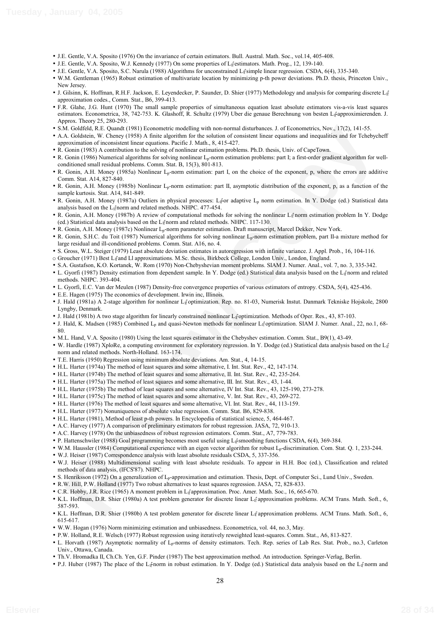- J.E. Gentle, V.A. Sposito (1976) On the invariance of certain estimators. Bull. Austral. Math. Soc., vol.14, 405-408.
- J.E. Gentle, V.A. Sposito, W.J. Kennedy (1977) On some properties of L<sub>I</sub><sup>t</sup>estimators. Math. Prog., 12, 139-140.
- J.E. Gentle, V.A. Sposito, S.C. Narula (1988) Algorithms for unconstrained L1 simple linear regression. CSDA, 6(4), 335-340.
- W.M. Gentleman (1965) Robust estimation of multivariate location by minimizing p-th power deviations. Ph.D. thesis, Princeton Univ., New Jersey.
- J. Gilsinn, K. Hoffman, R.H.F. Jackson, E. Leyendecker, P. Saunder, D. Shier (1977) Methodology and analysis for comparing discrete L<sub>1</sub>f ĺ approximation codes., Comm. Stat., B6, 399-413.
- F.R. Glahe, J.G. Hunt (1970) The small sample properties of simultaneous equation least absolute estimators vis-a-vis least squares estimators. Econometrica, 38, 742-753. K. Glashoff, R. Schultz (1979) Uber die genaue Berechnung von besten L<sub>if</sub>approximierenden. J. Approx. Theory 25, 280-293.
- S.M. Goldfeld, R.E. Quandt (1981) Econometric modelling with non-normal disturbances. J. of Econometrics, Nov., 17(2), 141-55.
- K Goldel, R. F. Quasher (1987) Neuro-entire medicine with construction of the Construction of Coldel (E. Review Copy) (1971) 1445.<br>Construction of the state of the state and the state of the state and the state of the stat • A.A. Goldstein, W. Cheney (1958) A finite algorithm for the solution of consistent linear equations and inequalities and for Tchebycheff approximation of inconsistent linear equations. Pacific J. Math., 8, 415-427.
- R. Gonin (1983) A contribution to the solving of nonlinear estimation problems. Ph.D. thesis, Univ. of CapeTown.
- R. Gonin (1986) Numerical algorithms for solving nonlinear L<sub>p</sub>-norm estimation problems: part I; a first-order gradient algorithm for wellconditioned small residual problems. Comm. Stat. B, 15(3), 801-813.
- R. Gonin, A.H. Money (1985a) Nonlinear L<sub>p</sub>-norm estimation: part I, on the choice of the exponent, p, where the errors are additive Comm. Stat. A14, 827-840.
- R. Gonin, A.H. Money (1985b) Nonlinear Lp-norm estimation: part II, asymptotic distribution of the exponent, p, as a function of the sample kurtosis. Stat. A14, 841-849.
- R. Gonin, A.H. Money (1987a) Outliers in physical processes: L<sub>if</sub>or adaptive L<sub>p</sub> norm estimation. In Y. Dodge (ed.) Statistical data analysis based on the L<sub>I</sub><sup>†</sup>norm and related methods. NHPC. 477-454.
- R. Gonin, A.H. Money (1987b) A review of computational methods for solving the nonlinear  $L_1^r$  norm estimation problem In Y. Dodge (ed.) Statistical data analysis based on the L<sub>Il</sub> norm and related methods. NHPC. 117-130.
- R. Gonin, A.H. Money (1987c) Nonlinear Lp-norm parameter estimation. Draft manuscript, Marcel Dekker, New York.
- R. Gonin, S.H.C. du Toit (1987) Numerical algorithms for solving nonlinear Lp-norm estimation problem, part II-a mixture method for large residual and ill-conditioned problems. Comm. Stat. A16, no. 4.
- S. Gross, W.L. Steiger (1979) Least absolute deviation estimates in autoregression with infinite variance. J. Appl. Prob., 16, 104-116.
- o Groucher (1971) Best L<sub>if</sub>and Ll approximations. M.Sc. thesis, Birkbeck College, London Univ., London, England.
- S.A. Gustafson, K.O. Kortanek, W. Rom (1970) Non-Chebyshevian moment problems. SIAM J. Numer. Anal., vol. 7, no. 3, 335-342.
- L. Gyorfi (1987) Density estimation from dependent sample. In Y. Dodge (ed.) Statistical data analysis based on the L<sub>I</sub>f norm and related methods. NHPC. 393-404.
- L. Gyorfi, E.C. Van der Meulen (1987) Density-free convergence properties of various estimators of entropy. CSDA, 5(4), 425-436.
- E.E. Hagen (1975) The economics of development. Irwin inc, Illinois.
- J. Hald (1981a) A 2-stage algorithm for nonlinear L<sub>I</sub><sup>e</sup> optimization. Rep. no. 81-03, Numerisk Instut. Danmark Tekniske Hojskole, 2800 Lyngby, Denmark.
- J. Hald (1981b) A two stage algorithm for linearly constrained nonlinear L<sub>I</sub>foptimization. Methods of Oper. Res., 43, 87-103.
- J. Hald, K. Madsen (1985) Combined  $L_p$  and quasi-Newton methods for nonlinear L<sub>If</sub> optimization. SIAM J. Numer. Anal., 22, no.1, 68-80.
- M.L. Hand, V.A. Sposito (1980) Using the least squares estimator in the Chebyshev estimation. Comm. Stat., B9(1), 43-49.
- W. Hardle (1987) XploRe, a computing environment for exploratory regression. In Y. Dodge (ed.) Statistical data analysis based on the L<sub>1f</sub> ĺ norm and related methods. North-Holland. 163-174.
- T.E. Harris (1950) Regression using minimum absolute deviations. Am. Stat., 4, 14-15.
- H.L. Harter (1974a) The method of least squares and some alternative, I. Int. Stat. Rev., 42, 147-174.
- H.L. Harter (1974b) The method of least squares and some alternative, II. Int. Stat. Rev., 42, 235-264.
- H.L. Harter (1975a) The method of least squares and some alternative, III. Int. Stat. Rev., 43, 1-44.
- H.L. Harter (1975b) The method of least squares and some alternative, IV Int. Stat. Rev., 43, 125-190, 273-278.
- H.L. Harter (1975c) The method of least squares and some alternative, V. Int. Stat. Rev., 43, 269-272.
- H.L. Harter (1976) The method of least squares and some alternative, VI. Int. Stat. Rev., 44, 113-159.
- H.L. Harter (1977) Nonuniqueness of absolute value regression. Comm. Stat. B6, 829-838.
- H.L. Harter (1981), Method of least p-th powers. In Encyclopedia of statistical science, 5, 464-467.
- A.C. Harvey (1977) A comparison of preliminary estimators for robust regression. JASA, 72, 910-13.
- A.C. Harvey (1978) On the unbiasedness of robust regression estimators. Comm. Stat., A7, 779-783.
- P. Hattenschwiler (1988) Goal programming becomes most useful using  $L_1$ <sup>e</sup>smoothing functions CSDA, 6(4), 369-384.
- W.M. Haussler (1984) Computational experience with an eigen vector algorithm for robust Lp-discrimination. Com. Stat. Q. 1, 233-244.
- W.J. Heiser (1987) Correspondence analysis with least absolute residuals CSDA, 5, 337-356.
- W.J. Heiser (1988) Multidimensional scaling with least absolute residuals. To appear in H.H. Boc (ed.), Classification and related methods of data analysis, (IFCS'87). NHPC.
- S. Henriksson (1972) On a generalization of Lp-approximation and estimation. Thesis, Dept. of Computer Sci., Lund Univ., Sweden.
- R.W. Hill, P.W. Holland (1977) Two robust alternatives to least squares regression. JASA, 72, 828-833.
- C.R. Hobby, J.R. Rice (1965) A moment problem in L<sub>i</sub><sup>t</sup>approximation. Proc. Amer. Math. Soc., 16, 665-670.
- K.L. Hoffman, D.R. Shier (1980a) A test problem generator for discrete linear L<sub>If</sub> approximation problems. ACM Trans. Math. Soft., 6, 587-593.
- K.L. Hoffman, D.R. Shier (1980b) A test problem generator for discrete linear L<sub>If</sub> approximation problems. ACM Trans. Math. Soft., 6, 615-617.
- W.W. Hogan (1976) Norm minimizing estimation and unbiasedness. Econometrica, vol. 44, no.3, May.
- P.W. Holland, R.E. Welsch (1977) Robust regression using iteratively reweighted least-squares. Comm. Stat., A6, 813-827.
- L. Horvath (1987) Asymptotic normality of Lp-norms of density estimators. Tech. Rep. series of Lab Res. Stat. Prob., no.3, Carleton Univ., Ottawa, Canada.
- Th.V. Hromadka II, Ch.Ch. Yen, G.F. Pinder (1987) The best approximation method. An introduction. Springer-Verlag, Berlin.
- P.J. Huber (1987) The place of the L<sub>if</sub>norm in robust estimation. In Y. Dodge (ed.) Statistical data analysis based on the L<sub>if</sub>norm and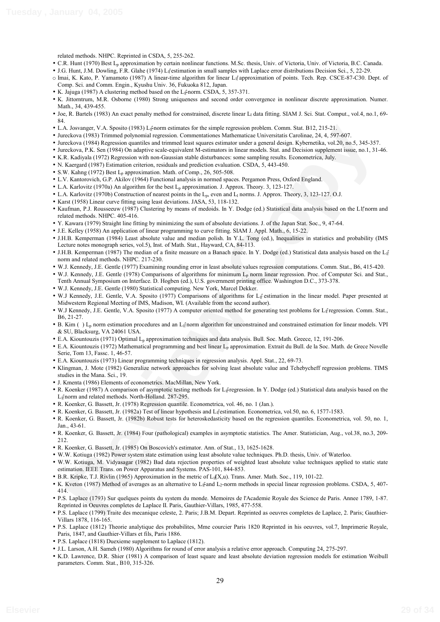related methods. NHPC. Reprinted in CSDA, 5, 255-262.

- C.R. Hunt (1970) Best Lp approximation by certain nonlinear functions. M.Sc. thesis, Univ. of Victoria, Univ. of Victoria, B.C. Canada.
- J.G. Hunt, J.M. Dowling, F.R. Glahe (1974) L<sub>if</sub>estimation in small samples with Laplace error distributions Decision Sci., 5, 22-29.
- o Imai, K. Kato, P. Yamamoto (1987) A linear-time algorithm for linear Lif approximation of points. Tech. Rep. CSCE-87-C30. Dept. of Comp. Sci. and Comm. Engin., Kyushu Univ. 36, Fukuoka 812, Japan.
- K. Jajuga (1987) A clustering method based on the L<sub>I</sub><sup>t</sup>norm. CSDA, 5, 357-371.
- K. Jittorntrum, M.R. Osborne (1980) Strong uniqueness and second order convergence in nonlinear discrete approximation. Numer. Math., 34, 439-455.
- Joe, R. Bartels (1983) An exact penalty method for constrained, discrete linear L<sub>l</sub> data fitting. SIAM J. Sci. Stat. Comput., vol.4, no.1, 69-84.
- L.A. Josvanger, V.A. Sposito (1983) L<sub>I</sub> $\sharp$ norm estimates for the simple regression problem. Comm. Stat. B12, 215-21.
- Jureckova (1983) Trimmed polynomial regression. Commentationes Mathematicae Universitatis Carolinae, 24, 4, 597-607.
- Jureckova (1984) Regression quantiles and trimmed least squares estimator under a general design. Kybernetika, vol.20, no.5, 345-357.
- Jureckova, P.K. Sen (1984) On adaptive scale-equivalent M-estimators in linear models. Stat. and Decision supplement issue, no.1, 31-46.
- K.R. Kadiyala (1972) Regression with non-Gaussian stable disturbances: some sampling results. Econometrica, July.
- N. Kaergard (1987) Estimation criterion, residuals and prediction evaluation. CSDA, 5, 443-450.
- S.W. Kahng (1972) Best  $L_p$  approximation. Math. of Comp., 26, 505-508.
- L.V. Kantorovich, G.P. Akilov (1964) Functional analysis in normed spaces. Pergamon Press, Oxford England.
- L.A. Karlovitz (1970a) An algorithm for the best  $L_p$  approximation. J. Approx. Theory. 3, 123-127.
- L.A. Karlovitz (1970b) Construction of nearest points in the L<sub>p</sub>, even and L<sub>1</sub> norms. J. Approx. Theory, 3, 123-127. O.J.
- Karst (1958) Linear curve fitting using least deviations. JASA, 53, 118-132.
- Kaufman, P.J. Rousseeuw (1987) Clustering by means of medoids. In Y. Dodge (ed.) Statistical data analysis based on the L1<sup>n</sup>norm and related methods. NHPC. 405-416.
- Y. Kawara (1979) Straight line fitting by minimizing the sum of absolute deviations. J. of the Japan Stat. Soc., 9, 47-64.
- J.E. Kelley (1958) An application of linear programming to curve fitting. SIAM J. Appl. Math., 6, 15-22.
- J.H.B. Kemperman (1984) Least absolute value and median polish. In Y.L. Tong (ed.), Inequalities in statistics and probability (IMS Lecture notes monograph series, vol.5), Inst. of Math. Stat., Hayward, CA, 84-113.
- J.H.B. Kemperman (1987) The median of a finite measure on a Banach space. In Y. Dodge (ed.) Statistical data analysis based on the L<sub>1f</sub> ĺ norm and related methods. NHPC. 217-230.
- W.J. Kennedy, J.E. Gentle (1977) Examining rounding error in least absolute values regression computations. Comm. Stat., B6, 415-420.
- A. Josephure (1987) Levente (1987) Levente mismate for the employees in the time is a fill 2.113-12.<br>
Review Copy 1988 (1987) Levente Cohenente Concentrates Mathematics Universite Confined at 12.113-12.<br>
Review Copy 1988 ( • W.J. Kennedy, J.E. Gentle (1978) Comparisons of algorithms for minimum L<sub>p</sub> norm linear regression. Proc. of Computer Sci. and Stat., Tenth Annual Symposium on Interface. D. Hogben (ed.), U.S. government printing office. Washington D.C., 373-378.
- W.J. Kennedy, J.E. Gentle (1980) Statistical computing. New York, Marcel Dekker.
- W.J Kennedy, J.E. Gentle, V.A. Sposito (1977) Comparisons of algorithms for L<sub>I</sub>f estimation in the linear model. Paper presented at Midwestern Regional Meeting of IMS, Madison, WI. (Available from the second author).
- W.J Kennedy, J.E. Gentle, V.A. Sposito (1977) A computer oriented method for generating test problems for L<sub>if</sub>regression. Comm. Stat., B6, 21-27.
- B. Kim ()  $L_p$  norm estimation procedures and an  $L_f$  norm algorithm for unconstrained and constrained estimation for linear models. VPI & SU, Blacksurg, VA 24061 USA.
- E.A. Kiountouzis (1971) Optimal Lp approximation techniques and data analysis. Bull. Soc. Math. Greece, 12, 191-206.
- E.A. Kiountouzis (1972) Mathematical programming and best linear Lp approximation. Extrait du Bull. de la Soc. Math. de Grece Novelle Serie, Tom 13, Fassc. 1, 46-57.
- E.A. Kiountouzis (1973) Linear programming techniques in regression analysis. Appl. Stat., 22, 69-73.
- Klingman, J. Mote (1982) Generalize network approaches for solving least absolute value and Tchebycheff regression problems. TIMS studies in the Mana. Sci., 19.
- J. Kmenta (1986) Elements of econometrics. MacMillan, New York.
- R. Koenker (1987) A comparison of asymptotic testing methods for Lifregression. In Y. Dodge (ed.) Statistical data analysis based on the L<sub>l</sub><sup> $\gamma$ </sup>norm and related methods. North-Holland. 287-295.
- R. Koenker, G. Bassett, Jr. (1978) Regression quantile. Econometrica, vol. 46, no. 1 (Jan.).
- R. Koenker, G. Bassett, Jr. (1982a) Test of linear hypothesis and L<sub>If</sub>estimation. Econometrica, vol.50, no. 6, 1577-1583.
- R. Koenker, G. Bassett, Jr. (1982b) Robust tests for heteroskedasticity based on the regression quantiles. Econometrica, vol. 50, no. 1, Jan., 43-61.
- R. Koenker, G. Bassett, Jr. (1984) Four (pathological) examples in asymptotic statistics. The Amer. Statistician, Aug., vol.38, no.3, 209- 212.
- R. Koenker, G. Bassett, Jr. (1985) On Boscovich's estimator. Ann. of Stat., 13, 1625-1628.
- W.W. Kotiuga (1982) Power system state estimation using least absolute value techniques. Ph.D. thesis, Univ. of Waterloo.
- W.W. Kotiuga, M. Vidyasagar (1982) Bad data rejection properties of weighted least absolute value techniques applied to static state estimation. IEEE Trans. on Power Apparatus and Systems. PAS-101, 844-853.
- B.R. Kripke, T.J. Rivlin (1965) Approximation in the metric of  $L_1(X,u)$ . Trans. Amer. Math. Soc., 119, 101-22.
- K. Kveton (1987) Method of averages as an alternative to L<sub>I</sub><sup>2</sup> and L<sub>2</sub>-norm methods in special linear regression problems. CSDA, 5, 407-414.
- P.S. Laplace (1793) Sur quelques points du system du monde. Memoires de l'Academie Royale des Science de Paris. Annee 1789, 1-87. Reprinted in Oeuvres completes de Laplace II. Paris, Gauthier-Villars, 1985, 477-558.
- P.S. Laplace (1799) Traite des mecanique celeste, 2. Paris; J.B.M. Depart. Reprinted as oeuvres completes de Laplace, 2. Paris; Gauthier-Villars 1878, 116-165.
- P.S. Laplace (1812) Theorie analytique des probabilites, Mme courcier Paris 1820 Reprinted in his oeuvres, vol.7, Imprimerie Royale, Paris, 1847, and Gauthier-Villars et fils, Paris 1886.
- P.S. Laplace (1818) Duexieme supplement to Laplace (1812).
- J.L. Larson, A.H. Sameh (1980) Algorithms for round of error analysis a relative error approach. Computing 24, 275-297.
- K.D. Lawrence, D.R. Shier (1981) A comparison of least square and least absolute deviation regression models for estimation Weibull parameters. Comm. Stat., B10, 315-326.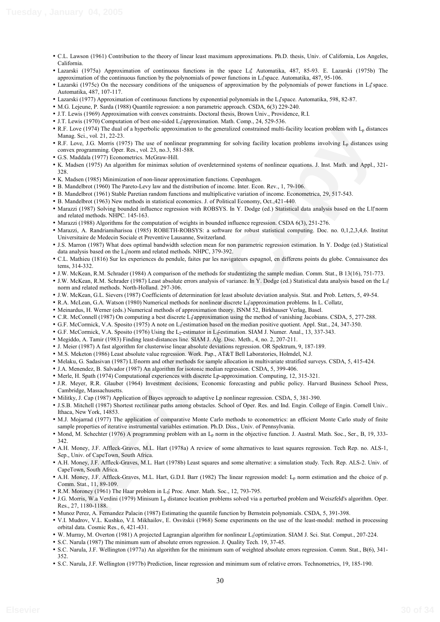- C.L. Lawson (1961) Contribution to the theory of linear least maximum approximations. Ph.D. thesis, Univ. of California, Los Angeles, California.
- Lazarski (1975a) Approximation of continuous functions in the space L<sub>1</sub>. Automatika, 487, 85-93. E. Lazarski (1975b) The approximation of the continuous function by the polynomials of power functions in  $L_1$  space. Automatika, 487, 95-106.
- Lazarski (1975c) On the necessary conditions of the uniqueness of approximation by the polynomials of power functions in  $L_1$  space. Automatika, 487, 107-117.
- Lazarski (1977) Approximation of continuous functions by exponential polynomials in the L<sub>I</sub>space. Automatika, 598, 82-87.
- M.G. Lejeune, P. Sarda (1988) Quantile regression: a non parametric approach. CSDA, 6(3) 229-240.
- J.T. Lewis (1969) Approximation with convex constraints. Doctoral thesis, Brown Univ., Providence, R.I.
- J.T. Lewis (1970) Computation of best one-sided L1 approximation. Math. Comp., 24, 529-536.
- R.F. Love (1974) The dual of a hyperbolic approximation to the generalized constrained multi-facility location problem with  $L_n$  distances Manag. Sci., vol. 21, 22-23.
- E. Lowe (1976) The dual of a log-perduction are to be percentated constrained path-incident path-incident path-incident (1976). The sign of most constrained by the sign of the sign of the sign of the sign of the sign of t • R.F. Love, J.G. Morris (1975) The use of nonlinear programming for solving facility location problems involving  $L_p$  distances using convex programming. Oper. Res., vol. 23, no.3, 581-588.
- G.S. Maddala (1977) Econometrics. McGraw-Hill.
- K. Madsen (1975) An algorithm for minimax solution of overdetermined systems of nonlinear equations. J. Inst. Math. and Appl., 321- 328.
- K. Madsen (1985) Minimization of non-linear approximation functions. Copenhagen.
- B. Mandelbrot (1960) The Pareto-Levy law and the distribution of income. Inter. Econ. Rev., 1, 79-106.
- B. Mandelbrot (1961) Stable Paretian random functions and multiplicative variation of income. Econometrica, 29, 517-543.
- B. Mandelbrot (1963) New methods in statistical economics. J. of Political Economy, Oct.,421-440.
- Marazzi (1987) Solving bounded influence regression with ROBSYS. In Y. Dodge (ed.) Statistical data analysis based on the L1<sup>n</sup>norm and related methods. NHPC. 145-163.
- Marazzi (1988) Algorithms for the computation of weights in bounded influence regression. CSDA 6(3), 251-276.
- Marazzi, A. Randriamiharisoa (1985) ROBETH-ROBSYS: a software for robust statistical computing. Doc. no. 0,1,2,3,4,6. Institut Universitaire de Medecin Sociale et Preventive Lausanne, Switzerland.
- J.S. Marron (1987) What does optimal bandwidth selection mean for non parametric regression estimation. In Y. Dodge (ed.) Statistical data analysis based on the  $L_1$ <sup>e</sup> norm and related methods. NHPC, 379-392.
- C.L. Mathieu (1816) Sur les experiences du pendule, faites par les navigateurs espagnol, en differens points du globe. Connaissance des tems, 314-332.
- J.W. McKean, R.M. Schrader (1984) A comparison of the methods for studentizing the sample median. Comm. Stat., B 13(16), 751-773.
- J.W. McKean, R.M. Schrader (1987) Least absolute errors analysis of variance. In Y. Dodge (ed.) Statistical data analysis based on the L<sub>1f</sub> ĺ norm and related methods. North-Holland. 297-306.
- J.W. McKean, G.L. Sievers (1987) Coefficients of determination for least absolute deviation analysis. Stat. and Prob. Letters, 5, 49-54.
- R.A. McLean, G.A. Watson (1980) Numerical methods for nonlinear discrete L<sub>If</sub> approximation problems. In L. Collatz,
- Meinardus, H. Werner (eds.) Numerical methods of approximation theory. ISNM 52, Birkhauser Verlag, Basel.
- C.R. McConnell (1987) On computing a best discrete L<sub>I</sub> approximation using the method of vanishing Jacobians. CSDA, 5, 277-288.
- G.F. McCormick, V.A. Sposito (1975) A note on L<sub>if</sub>estimation based on the median positive quotient. Appl. Stat., 24, 347-350.
- G.F. McCormick, V.A. Sposito (1976) Using the L<sub>2</sub>-estimator in L<sub>I</sub><sup>e</sup>estimation. SIAM J. Numer. Anal., 13, 337-343.
- Megiddo, A. Tamir (1983) Finding least-distances line. SIAM J. Alg. Disc. Meth., 4, no. 2, 207-211.
- J. Meier (1987) A fast algorithm for clusterwise linear absolute deviations regression. OR Spektrum, 9, 187-189.
- M.S. Meketon (1986) Least absolute value regression. Work. Pap., AT&T Bell Laboratories, Holmdel, N.J.
- Melaku, G. Sadasivan (1987) L1<sup>2</sup>norm and other methods for sample allocation in multivariate stratified surveys. CSDA, 5, 415-424.
- J.A. Menendez, B. Salvador (1987) An algorithm for isotonic median regression. CSDA, 5, 399-406.
- Merle, H. Spath (1974) Computational experiences with discrete Lp-approximation. Computing, 12, 315-321.
- J.R. Meyer, R.R. Glauber (1964) Investment decisions, Economic forecasting and public policy. Harvard Business School Press, Cambridge, Massachusetts.
- Militky, J. Cap (1987) Application of Bayes approach to adaptive Lp nonlinear regression. CSDA, 5, 381-390.
- J.S.B. Mitchell (1987) Shortest rectilinear paths among obstacles. School of Oper. Res. and Ind. Engin. College of Engin. Cornell Univ.. Ithaca, New York, 14853.
- M.J. Mojarrad (1977) The application of comparative Monte Carlo methods to econometrics: an efficient Monte Carlo study of finite sample properties of iterative instrumental variables estimation. Ph.D. Diss., Univ. of Pennsylvania.
- Mond, M. Schechter (1976) A programming problem with an Lp norm in the objective function. J. Austral. Math. Soc., Ser., B, 19, 333- 342.
- A.H. Money, J.F. Affleck-Graves, M.L. Hart (1978a) A review of some alternatives to least squares regression. Tech Rep. no. ALS-1, Sep., Univ. of CapeTown, South Africa.
- A.H. Money, J.F. Affleck-Graves, M.L. Hart (1978b) Least squares and some alternative: a simulation study. Tech. Rep. ALS-2. Univ. of CapeTown, South Africa.
- A.H. Money, J.F. Affleck-Graves, M.L. Hart, G.D.I. Barr (1982) The linear regression model: Lp norm estimation and the choice of p. Comm. Stat., 11, 89-109.
- R.M. Moroney (1961) The Haar problem in L<sub>i</sub>f Proc. Amer. Math. Soc., 12, 793-795.
- J.G. Morris, W.a Verdini (1979) Minisum Lp distance location problems solved via a perturbed problem and Weiszfeld's algorithm. Oper. Res., 27, 1180-1188.
- Munoz Perez, A. Fernandez Palacin (1987) Estimating the quantile function by Bernstein polynomials. CSDA, 5, 391-398.
- V.I. Mudrov, V.L. Kushko, V.I. Mikhailov, E. Osvitskii (1968) Some experiments on the use of the least-modul: method in processing orbital data. Cosmic Res., 6, 421-431.
- W. Murray, M. Overton (1981) A projected Lagrangian algorithm for nonlinear L<sub>if</sub>optimization. SIAM J. Sci. Stat. Comput., 207-224.
- S.C. Narula (1987) The minimum sum of absolute errors regression. J. Quality Tech. 19, 37-45. • S.C. Narula, J.F. Wellington (1977a) An algorithm for the minimum sum of weighted absolute errors regression. Comm. Stat., B(6), 341-
- S.C. Narula, J.F. Wellington (1977b) Prediction, linear regression and minimum sum of relative errors. Technometrics, 19, 185-190.

352.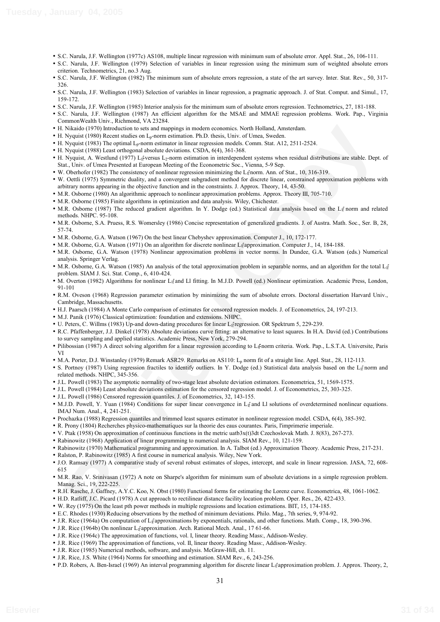- S.C. Narula, J.F. Wellington (1977c) AS108, multiple linear regression with minimum sum of absolute error. Appl. Stat., 26, 106-111.
- S.C. Narula, J.F. Wellington (1979) Selection of variables in linear regression using the minimum sum of weighted absolute errors criterion. Technometrics, 21, no.3 Aug.
- S.C. Narula, J.F. Wellington (1982) The minimum sum of absolute errors regression, a state of the art survey. Inter. Stat. Rev., 50, 317- 326.
- S.C. Narula, J.F. Wellington (1983) Selection of variables in linear regression, a pragmatic approach. J. of Stat. Comput. and Simul., 17, 159-172.
- S.C. Narula, J.F. Wellington (1985) Interior analysis for the minimum sum of absolute errors regression. Technometrics, 27, 181-188.
- S.C. Narula, J.F. Wellington (1987) An efficient algorithm for the MSAE and MMAE regression problems. Work. Pap., Virginia CommonWealth Univ., Richmond, VA 23284.
- H. Nikaido (1970) Introduction to sets and mappings in modern economics. North Holland, Amsterdam.
- H. Nyquist (1980) Recent studies on  $L_p$ -norm estimation. Ph.D. thesis, Univ. of Umea, Sweden.
- H. Nyquist (1983) The optimal  $L_n$ -norm estimator in linear regression models. Comm. Stat. A12, 2511-2524.
- H. Nyquist (1988) Least orthogonal absolute deviations. CSDA, 6(4), 361-368.
- H. Nyquist, A. Westlund (1977) L<sub>i</sub>fversus L<sub>2</sub>-norm estimation in interdependent systems when residual distributions are stable. Dept. of Stat., Univ. of Umea Presented at European Meeting of the Econometric Soc., Vienna, 5-9 Sep.
- W. Oberhofer (1982) The consistency of nonlinear regression minimizing the L<sub>If</sub> norm. Ann. of Stat., 10, 316-319.
- W. Oettli (1975) Symmetric duality, and a convergent subgradient method for discrete linear, constrained approximation problems with arbitrary norms appearing in the objective function and in the constraints. J. Approx. Theory, 14, 43-50.
- M.R. Osborne (1980) An algorithmic approach to nonlinear approximation problems. Approx. Theory III, 705-710.
- M.R. Osborne (1985) Finite algorithms in optimization and data analysis. Wiley, Chichester.
- M.R. Osborne (1987) The reduced gradient algorithm. In Y. Dodge (ed.) Statistical data analysis based on the L<sub>I</sub><sup>†</sup> norm and related methods. NHPC. 95-108.
- M.R. Osborne, S.A. Pruess, R.S. Womersley (1986) Concise representation of generalized gradients. J. of Austra. Math. Soc., Ser. B, 28, 57-74.
- M.R. Osborne, G.A. Watson (1967) On the best linear Chebyshev approximation. Computer J., 10, 172-177.
- M.R. Osborne, G.A. Watson (1971) On an algorithm for discrete nonlinear L<sub>If</sub> approximation. Computer J., 14, 184-188.
- M.R. Osborne, G.A. Watson (1978) Nonlinear approximation problems in vector norms. In Dundee, G.A. Watson (eds.) Numerical analysis. Springer Verlag.
- M.R. Osborne, G.A. Watson (1985) An analysis of the total approximation problem in separable norms, and an algorithm for the total L<sub>1</sub> $f$ ĺ problem. SIAM J. Sci. Stat. Comp., 6, 410-424.
- M. Overton (1982) Algorithms for nonlinear L<sub>if</sub> and Ll fitting. In M.J.D. Powell (ed.) Nonlinear optimization. Academic Press, London, 91-101
- R.M. Oveson (1968) Regression parameter estimation by minimizing the sum of absolute errors. Doctoral dissertation Harvard Univ., Cambridge, Massachusetts.
- H.J. Paarsch (1984) A Monte Carlo comparison of estimates for censored regression models. J. of Econometrics, 24, 197-213.
- M.J. Panik (1976) Classical optimization: foundation and extensions. NHPC.
- U. Peters, C. Willms (1983) Up-and down-dating procedures for linear L<sub>I</sub>f regression. OR Spektrum 5, 229-239.
- R.C. Pfaffenberger, J.J. Dinkel (1978) Absolute deviations curve fitting: an alternative to least squares. In H.A. David (ed.) Contributions to survey sampling and applied statistics. Academic Press, New York, 279-294.
- Pilibossian (1987) A direct solving algorithm for a linear regression according to L<sub>1</sub><sup>2</sup>norm criteria. Work. Pap., L.S.T.A. Universite, Paris VI
- M.A. Porter, D.J. Winstanley (1979) Remark ASR29. Remarks on AS110: L<sub>p</sub> norm fit of a straight line. Appl. Stat., 28, 112-113.
- S. Portnoy (1987) Using regression fractiles to identify outliers. In Y. Dodge (ed.) Statistical data analysis based on the L<sub>I</sub><sup>t</sup> norm and related methods. NHPC, 345-356.
- J.L. Powell (1983) The asymptotic normality of two-stage least absolute deviation estimators. Econometrica, 51, 1569-1575.
- J.L. Powell (1984) Least absolute deviations estimation for the censored regression model. J. of Econometrics, 25, 303-325.
- J.L. Powell (1986) Censored regression quantiles. J. of Econometrics, 32, 143-155.
- M.J.D. Powell, Y. Yuan (1984) Conditions for super linear convergence in L<sub>If</sub> and LI solutions of overdetermined nonlinear equations. IMAJ Num. Anal., 4, 241-251.
- Prochazka (1988) Regression quantiles and trimmed least squares estimator in nonlinear regression model. CSDA, 6(4), 385-392.
- R. Prony (1804) Recherches physico-mathematiques sur la theorie des eaus courantes. Paris, l'imprimerie imperiale.
- V. Ptak (1958) On approximation of continuous functions in the metric uatb3x(t)3dt Czechoslovak Math. J. 8(83), 267-273.
- Rabinowitz (1968) Application of linear programming to numerical analysis. SIAM Rev., 10, 121-159.
- Rabinowitz (1970) Mathematical programming and approximation. In A. Talbot (ed.) Approximation Theory. Academic Press, 217-231.
- Ralston, P. Rabinowitz (1985) A first course in numerical analysis. Wiley, New York.
- Wirkle (1990) heavies<br>of one of the Margingi in noder one consider Meric Hella Associates.<br>When (1980) Beservation or F<sub>i</sub>stern medicinal R-D relation of the of Urnes Steelar.<br>Negative Copy is a complete the Margingi in th • J.O. Ramsay (1977) A comparative study of several robust estimates of slopes, intercept, and scale in linear regression. JASA, 72, 608- 615
- M.R. Rao, V. Srinivasan (1972) A note on Sharpe's algorithm for minimum sum of absolute deviations in a simple regression problem. Manag. Sci., 19, 222-225.
- R.H. Rasche, J. Gaffney, A.Y.C. Koo, N. Obst (1980) Functional forms for estimating the Lorenz curve. Econometrica, 48, 1061-1062.
- H.D. Ratliff, J.C. Picard (1978) A cut approach to rectilinear distance facility location problem. Oper. Res., 26, 422-433.
- W. Rey (1975) On the least pth power methods in multiple regressions and location estimations. BIT, 15, 174-185.
- E.C. Rhodes (1930) Reducing observations by the method of minimum deviations. Philo. Mag., 7th series, 9, 974-92.
- J.R. Rice (1964a) On computation of L<sub>I</sub><sup>e</sup> approximations by exponentials, rationals, and other functions. Math. Comp., 18, 390-396.
- J.R. Rice (1964b) On nonlinear L<sub>i</sub><sup>r</sup>approximation. Arch. Rational Mech. Anal., 17 61-66.
- J.R. Rice (1964c) The approximation of functions, vol. I, linear theory. Reading Mass:, Addison-Wesley.
- J.R. Rice (1969) The approximation of functions, vol. II, linear theory. Reading Mass:, Addison-Wesley.
- J.R. Rice (1985) Numerical methods, software, and analysis. McGraw-Hill, ch. 11.
- J.R. Rice, J.S. White (1964) Norms for smoothing and estimation. SIAM Rev., 6, 243-256.
- P.D. Robers, A. Ben-Israel (1969) An interval programming algorithm for discrete linear L<sub>I</sub>f approximation problem. J. Approx. Theory, 2,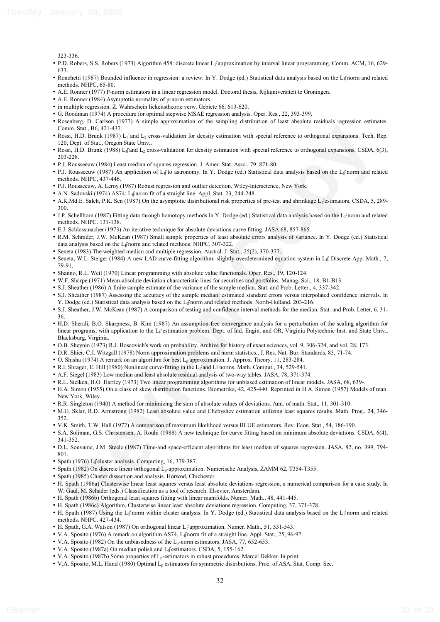323-336.

- P.D. Robers, S.S. Robers (1973) Algorithm 458: discrete linear L<sub>If</sub> approximation by interval linear programming. Comm. ACM, 16, 629-633.
- Ronchetti (1987) Bounded influence in regression: a review. In Y. Dodge (ed.) Statistical data analysis based on the L<sub>I</sub> norm and related methods. NHPC, 65-80.
- A.E. Ronner (1977) P-norm estimators in a linear regression model. Doctoral thesis, Rijkuniversiteit te Groningen.
- A.E. Ronner (1984) Asymptotic normality of p-norm estimators
- in multiple regression. Z. Wahrschein lickeitstheorie verw. Gebiete 66, 613-620.
- G. Roodman (1974) A procedure for optimal stepwise MSAE regression analysis. Oper. Res., 22, 393-399.
- Rosenberg, D. Carlson (1977) A simple approximation of the sampling distribution of least absolute residuals regression estimates. Comm. Stat., B6, 421-437.
- Rossi, H.D. Brunk (1987) L<sub>1</sub><sup>t</sup> and L<sub>2</sub> cross-validation for density estimation with special reference to orthogonal expansions. Tech. Rep. 120, Dept. of Stat., Oregon State Univ..
- Rossi, H.D. Brunk (1988) L<sub>1</sub> and L<sub>2</sub> cross-validation for density estimation with special reference to orthogonal expansions. CSDA, 6(3), 203-228.
- P.J. Rousseeuw (1984) Least median of squares regression. J. Amer. Stat. Asso., 79, 871-80.
- P.J. Rousseeuw (1987) An application of L<sub>If</sub> to astronomy. In Y. Dodge (ed.) Statistical data analysis based on the L<sub>If</sub> norm and related methods. NHPC, 437-446.
- P.J. Rousseeuw, A. Leroy (1987) Robust regression and outlier detection. Wiley-Interscience, New York.
- A.N. Sadovski (1974) AS74: L<sub>il</sub><sup>2</sup>norm fit of a straight line. Appl. Stat. 23, 244-248.
- A.K.Md.E. Saleh, P.K. Sen (1987) On the asymptotic distributional risk properties of pre-test and shrinkage L<sub>If</sub>estimators. CSDA, 5, 289-300.
- J.P. Schellhorn (1987) Fitting data through homotopy methods In Y. Dodge (ed.) Statistical data analysis based on the L<sub>II</sub> norm and related methods. NHPC. 131-138.
- E.J. Schlossmacher (1973) An iterative technique for absolute deviations curve fitting. JASA 68, 857-865.
- R.M. Schrader, J.W. McKean (1987) Small sample properties of least absolute errors analysis of variance. In Y. Dodge (ed.) Statistical data analysis based on the  $L_1$ <sup>e</sup> norm and related methods. NHPC. 307-322.
- Seneta (1983) The weighted median and multiple regression. Austral. J. Stat., 25(2), 370-377.
- Seneta, W.L. Steiger (1984) A new LAD curve-fitting algorithm: slightly overdetermined equation system in L<sub>1</sub>. Discrete App. Math., 7, 79-91.
- Shanno, R.L. Weil (1970) Linear programming with absolute value functionals. Oper. Res., 19, 120-124.
- W.F. Sharpe (1971) Mean-absolute deviation characteristic lines for securities and portfolios. Manag. Sci., 18, B1-B13.
- S.J. Sheather (1986) A finite sample estimate of the variance of the sample median. Stat. and Prob. Letter., 4, 337-342.
- S.J. Sheather (1987) Assessing the accuracy of the sample median: estimated standard errors versus interpolated confidence intervals. In Y. Dodge (ed.) Statistical data analysis based on the L<sub>II</sub><sup>n</sup>norm and related methods. North-Holland. 203-216.
- S.J. Sheather, J.W. McKean (1987) A comparison of testing and confidence interval methods for the median. Stat. and Prob. Letter, 6, 31- 36.
- over. Sim, 16, 421-421<br> **Review Copy (14%)**<br> **Review Copy (14%)**  $\frac{1}{2}$  constrainties for develop estimation with spacial reference to orthogonal expansions. The<br>
Review Copy Copy Copy (14%) and reduce the strain of the • H.D. Sherali, B.O. Skarpness, B. Kim (1987) An assumption-free convergence analysis for a perturbation of the scaling algorithm for linear programs, with application to the L<sub>If</sub> estimation problem. Dept. of Ind. Engin. and OR, Virginia Polytechnic Inst. and State Univ., Blacksburg, Virginia.
- O.B. Sheynin (1973) R.J. Boscovich's work on probability. Archive for history of exact sciences, vol. 9, 306-324, and vol. 28, 173.
- D.R. Shier, C.J. Witzgall (1978) Norm approximation problems and norm statistics., J. Res. Nat. Bur. Standards, 83, 71-74.
- O. Shisha (1974) A remark on an algorithm for best Lp approximation. J. Approx. Theory, 11, 283-284.
- R.I. Shrager, E. Hill (1980) Nonlinear curve-fitting in the L<sub>If</sub> and Ll norms. Math. Comput., 34, 529-541.
- A.F. Siegel (1983) Low median and least absolute residual analysis of two-way tables. JASA, 78, 371-374.
- R.L. Sielken, H.O. Hartley (1973) Two linear programming algorithms for unbiased estimation of linear models. JASA, 68, 639-.
- H.A. Simon (1955) On a class of skew distribution functions. Biometrika, 42, 425-440. Reprinted in H.A. Simon (1957) Models of man. New York, Wiley.
- R.R. Singleton (1940) A method for minimizing the sum of absolute values of deviations. Ann. of math. Stat., 11, 301-310.
- M.G. Sklar, R.D. Armstrong (1982) Least absolute value and Chebyshev estimation utilizing least squares results. Math. Prog., 24, 346- 352.
- V.K. Smith, T.W. Hall (1972) A comparison of maximum likelihood versus BLUE estimators. Rev. Econ. Stat., 54, 186-190.
- S.A. Soliman, G.S. Christensen, A. Rouhi (1988) A new technique for curve fitting based on minimum absolute deviations. CSDA, 6(4), 341-352.
- D.L. Souvaine, J.M. Steele (1987) Time-and space-efficient algorithms for least median of squares regression. JASA, 82, no. 399, 794- 801.
- Spath (1976) L<sub>1</sub> cluster analysis. Computing, 16, 379-387.
- Spath (1982) On discrete linear orthogonal Lp-approximation. Numerische Analysis, ZAMM 62, T354-T355.
- Spath (1985) Cluster dissection and analysis. Horwod, Chichester.
- H. Spath (1986a) Clusterwise linear least squares versus least absolute deviations regression, a numerical comparison for a case study. In W. Gaul, M. Schader (eds.) Classification as a tool of research. Elsevier, Amsterdam.
- H. Spath (1986b) Orthogonal least squares fitting with linear manifolds. Numer. Math., 48, 441-445.
- H. Spath (1986c) Algorithm, Clusterwise linear least absolute deviations regression. Computing, 37, 371-378.
- H. Spath (1987) Using the Li<sup>e</sup>norm within cluster analysis. In Y. Dodge (ed.) Statistical data analysis based on the Li<sup>e</sup>norm and related methods. NHPC. 427-434.
- H. Spath, G.A. Watson (1987) On orthogonal linear L<sub>if</sub>approximation. Numer. Math., 51, 531-543.
- V.A. Sposito (1976) A remark on algorithm AS74, L<sub>I</sub><sup>t</sup>norm fit of a straight line. Appl. Stat., 25, 96-97.
- V.A. Sposito (1982) On the unbiasedness of the L<sub>p</sub>-norm estimators. JASA, 77, 652-653.
- V.A. Sposito (1987a) On median polish and L<sub>If</sub> estimators. CSDA, 5, 155-162.
- V.A. Sposito (1987b) Some properties of Lp-estimators in robust procedures. Marcel Dekker. In print.
- V.A. Sposito, M.L. Hand (1980) Optimal L<sub>p</sub> estimators for symmetric distributions. Proc. of ASA, Stat. Comp. Sec.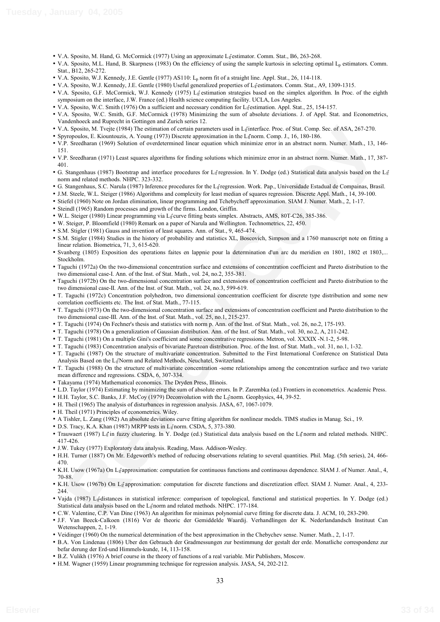- V.A. Sposito, M. Hand, G. McCormick (1977) Using an approximate Lifestimator. Comm. Stat., B6, 263-268.
- V.A. Sposito, M.L. Hand, B. Skarpness (1983) On the efficiency of using the sample kurtosis in selecting optimal L<sub>p</sub> estimators. Comm. Stat., B12, 265-272.
- V.A. Sposito, W.J. Kennedy, J.E. Gentle (1977) AS110: L<sub>p</sub> norm fit of a straight line. Appl. Stat., 26, 114-118.
- V.A. Sposito, W.J. Kennedy, J.E. Gentle (1980) Useful generalized properties of L<sub>If</sub>estimators. Comm. Stat., A9, 1309-1315.
- V.A. Sposito, G.F. McCormick, W.J. Kennedy (1975) L<sub>if</sub> estimation strategies based on the simplex algorithm. In Proc. of the eighth symposium on the interface, J.W. France (ed.) Health science computing facility. UCLA, Los Angeles.
- V.A. Sposito, W.C. Smith (1976) On a sufficient and necessary condition for L<sub>If</sub>estimation. Appl. Stat., 25, 154-157.
- V.A. Sposito, W.C. Smith, G.F. McCormick (1978) Minimizing the sum of absolute deviations. J. of Appl. Stat. and Econometrics, Vandenhoeck and Ruprecht in Gottingen and Zurich series 12.
- V.A. Sposito, M. Tvejte (1984) The estimation of certain parameters used in L<sub>I</sub><sub>I</sub> interface. Proc. of Stat. Comp. Sec. of ASA, 267-270.
- Spyropoulos, E. Kiountouzis, A. Young (1973) Discrete approximation in the L<sub>1</sub> norm. Comp. J., 16, 180-186.
- V.P. Sreedharan (1969) Solution of overdetermined linear equation which minimize error in an abstract norm. Numer. Math., 13, 146- 151.
- V.P. Sreedharan (1971) Least squares algorithms for finding solutions which minimize error in an abstract norm. Numer. Math., 17, 387- 401.
- G. Stangenhaus (1987) Bootstrap and interface procedures for  $L_1$  regression. In Y. Dodge (ed.) Statistical data analysis based on the  $L_1$ ĺ norm and related methods. NHPC. 323-332.
- · G. Stangenhaus, S.C. Narula (1987) Inference procedures for the L<sub>If</sub>regression. Work. Pap., Universidade Estadual de Compainas, Brasil.
- J.M. Steele, W.L. Steiger (1986) Algorithms and complexity for least median of squares regression. Discrete Appl. Math., 14, 39-100.
- Stiefel (1960) Note on Jordan elimination, linear programming and Tchebycheff approximation. SIAM J. Numer. Math., 2, 1-17.
- Steindl (1965) Random processes and growth of the firms. London, Griffin.
- W.L. Steiger (1980) Linear programming via L<sub>If</sub>curve fitting beats simplex. Abstracts, AMS, 80T-C26, 385-386.
- W. Steiger, P. Bloomfield (1980) Remark on a paper of Narula and Wellington. Technometrics, 22, 450.
- S.M. Stigler (1981) Gauss and invention of least squares. Ann. of Stat., 9, 465-474.
- S.M. Stigler (1984) Studies in the history of probability and statistics XL, Boscovich, Simpson and a 1760 manuscript note on fitting a linear relation. Biometrica, 71, 3, 615-620.
- Svanberg (1805) Exposition des operations faites en lappnie pour la determination d'un arc du meridien en 1801, 1802 et 1803,... Stockholm.
- Taguchi (1972a) On the two-dimensional concentration surface and extensions of concentration coefficient and Pareto distribution to the two dimensional case-I. Ann. of the Inst. of Stat. Math., vol. 24, no.2, 355-381.
- Taguchi (1972b) On the two-dimensional concentration surface and extensions of concentration coefficient and Pareto distribution to the two dimensional case-II. Ann. of the Inst. of Stat. Math., vol. 24, no.3, 599-619.
- T. Taguchi (1972c) Concentration polyhedron, two dimensional concentration coefficient for discrete type distribution and some new correlation coefficients etc. The Inst. of Stat. Math., 77-115.
- T. Taguchi (1973) On the two-dimensional concentration surface and extensions of concentration coefficient and Pareto distribution to the two dimensional case-III. Ann. of the Inst. of Stat. Math., vol. 25, no.1, 215-237.
- T. Taguchi (1974) On Fechner's thesis and statistics with norm p. Ann. of the Inst. of Stat. Math., vol. 26, no.2, 175-193.
- T. Taguchi (1978) On a generalization of Gaussian distribution. Ann. of the Inst. of Stat. Math., vol. 30, no.2, A, 211-242.
- T. Taguchi (1981) On a multiple Gini's coefficient and some concentrative regressions. Metron, vol. XXXIX -N.1-2, 5-98.
- T. Taguchi (1983) Concentration analysis of bivariate Paretoan distribution. Proc. of the Inst. of Stat. Math., vol. 31, no.1, 1-32.
- A. Specie, M. Traye (1963) the column to create the state in Leftin line, The state is the state of the state in the state in the state is the state in the state in the state is the state in the state in the state in the s • T. Taguchi (1987) On the structure of multivariate concentration. Submitted to the First International Conference on Statistical Data Analysis Based on the L1 Norm and Related Methods, Neuchatel, Switzerland.
- T. Taguchi (1988) On the structure of multivariate concentration -some relationships among the concentration surface and two variate mean difference and regressions. CSDA, 6, 307-334.
- Takayama (1974) Mathematical economics. The Dryden Press, Illinois.
- L.D. Taylor (1974) Estimating by minimizing the sum of absolute errors. In P. Zarembka (ed.) Frontiers in econometrics. Academic Press.
- H.H. Taylor, S.C. Banks, J.F. McCoy (1979) Deconvolution with the L<sub>I</sub>fnorm. Geophysics, 44, 39-52.
- H. Theil (1965) The analysis of disturbances in regression analysis. JASA, 67, 1067-1079.
- H. Theil (1971) Principles of econometrics. Wiley.
- A Tishler, L. Zang (1982) An absolute deviations curve fitting algorithm for nonlinear models. TIMS studies in Manag. Sci., 19.
- D.S. Tracy, K.A. Khan (1987) MRPP tests in L<sub>if</sub> norm. CSDA, 5, 373-380.
- Trauwaert (1987) L<sub>1</sub><sup>†</sup> in fuzzy clustering. In Y. Dodge (ed.) Statistical data analysis based on the L<sub>1</sub><sup>†</sup> norm and related methods. NHPC. 417-426.
- J.W. Tukey (1977) Exploratory data analysis. Reading, Mass. Addison-Wesley.
- H.H. Turner (1887) On Mr. Edgeworth's method of reducing observations relating to several quantities. Phil. Mag. (5th series), 24, 466- 470.
- K.H. Usow (1967a) On L<sub>if</sub>approximation: computation for continuous functions and continuous dependence. SIAM J. of Numer. Anal., 4, 70-88.
- K.H. Usow (1967b) On L<sub>I</sub><sup>t</sup> approximation: computation for discrete functions and discretization effect. SIAM J. Numer. Anal., 4, 233-244
- Vajda (1987) Lif distances in statistical inference: comparison of topological, functional and statistical properties. In Y. Dodge (ed.) Statistical data analysis based on the  $L_1$  norm and related methods. NHPC. 177-184.
- C.W. Valentine, C.P. Van Dine (1963) An algorithm for minimax polynomial curve fitting for discrete data. J. ACM, 10, 283-290.
- J.F. Van Beeck-Calkoen (1816) Ver de theoric der Gemiddelde Waardij. Verhandlingen der K. Nederlandandsch Instituut Can Wetenschappen, 2, 1-19.
- Veidinger (1960) On the numerical determination of the best approximation in the Chebychev sense. Numer. Math., 2, 1-17.
- B.A. Von Lindenau (1806) Uber den Gebrauch der Gradmessungen zur bestimmung der gestalt der erde. Monatliche correspondenz zur befar derung der Erd-und Himmels-kunde, 14, 113-158.
- B.Z. Vulikh (1976) A brief course in the theory of functions of a real variable. Mir Publishers, Moscow.
- H.M. Wagner (1959) Linear programming technique for regression analysis. JASA, 54, 202-212.